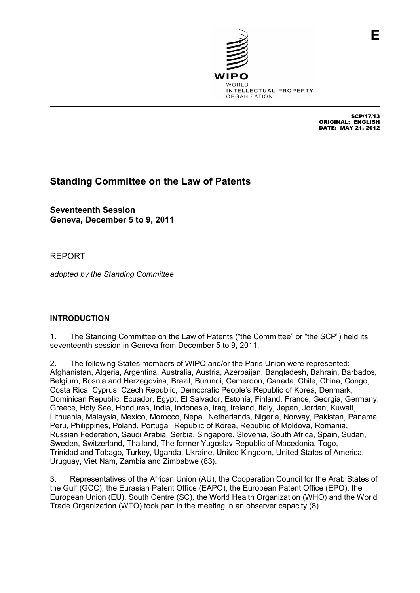

SCP/17/13 ORIGINAL: ENGLISH DATE: MAY 21, 2012

**E**

# **Standing Committee on the Law of Patents**

**Seventeenth Session Geneva, December 5 to 9, 2011** 

## REPORT

*adopted by the Standing Committee* 

## **INTRODUCTION**

1. The Standing Committee on the Law of Patents ("the Committee" or "the SCP") held its seventeenth session in Geneva from December 5 to 9, 2011.

2. The following States members of WIPO and/or the Paris Union were represented: Afghanistan, Algeria, Argentina, Australia, Austria, Azerbaijan, Bangladesh, Bahrain, Barbados, Belgium, Bosnia and Herzegovina, Brazil, Burundi, Cameroon, Canada, Chile, China, Congo, Costa Rica, Cyprus, Czech Republic, Democratic People's Republic of Korea, Denmark, Dominican Republic, Ecuador, Egypt, El Salvador, Estonia, Finland, France, Georgia, Germany, Greece, Holy See, Honduras, India, Indonesia, Iraq, Ireland, Italy, Japan, Jordan, Kuwait, Lithuania, Malaysia, Mexico, Morocco, Nepal, Netherlands, Nigeria, Norway, Pakistan, Panama, Peru, Philippines, Poland, Portugal, Republic of Korea, Republic of Moldova, Romania, Russian Federation, Saudi Arabia, Serbia, Singapore, Slovenia, South Africa, Spain, Sudan, Sweden, Switzerland, Thailand, The former Yugoslav Republic of Macedonia, Togo, Trinidad and Tobago, Turkey, Uganda, Ukraine, United Kingdom, United States of America, Uruguay, Viet Nam, Zambia and Zimbabwe (83).

3. Representatives of the African Union (AU), the Cooperation Council for the Arab States of the Gulf (GCC), the Eurasian Patent Office (EAPO), the European Patent Office (EPO), the European Union (EU), South Centre (SC), the World Health Organization (WHO) and the World Trade Organization (WTO) took part in the meeting in an observer capacity (8).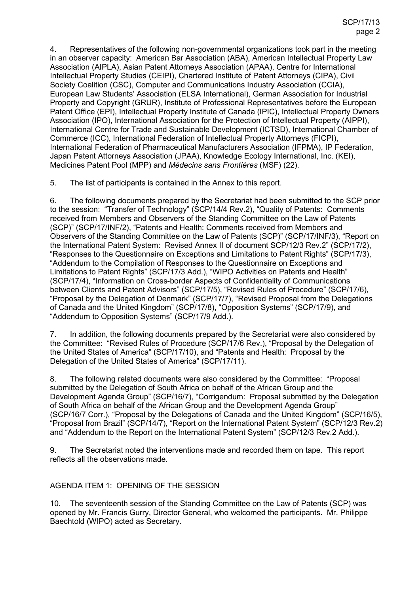4. Representatives of the following non-governmental organizations took part in the meeting in an observer capacity: American Bar Association (ABA), American Intellectual Property Law Association (AIPLA), Asian Patent Attorneys Association (APAA), Centre for International Intellectual Property Studies (CEIPI), Chartered Institute of Patent Attorneys (CIPA), Civil Society Coalition (CSC), Computer and Communications Industry Association (CCIA), European Law Students' Association (ELSA International), German Association for Industrial Property and Copyright (GRUR), Institute of Professional Representatives before the European Patent Office (EPI), Intellectual Property Institute of Canada (IPIC), Intellectual Property Owners Association (IPO), International Association for the Protection of Intellectual Property (AIPPI), International Centre for Trade and Sustainable Development (ICTSD), International Chamber of Commerce (ICC), International Federation of Intellectual Property Attorneys (FICPI), International Federation of Pharmaceutical Manufacturers Association (IFPMA), IP Federation, Japan Patent Attorneys Association (JPAA), Knowledge Ecology International, Inc. (KEI), Medicines Patent Pool (MPP) and *Médecins sans Frontières* (MSF) (22).

5. The list of participants is contained in the Annex to this report.

6. The following documents prepared by the Secretariat had been submitted to the SCP prior to the session: "Transfer of Technology" (SCP/14/4 Rev.2), "Quality of Patents: Comments received from Members and Observers of the Standing Committee on the Law of Patents (SCP)" (SCP/17/INF/2), "Patents and Health: Comments received from Members and Observers of the Standing Committee on the Law of Patents (SCP)" (SCP/17/INF/3), "Report on the International Patent System: Revised Annex II of document SCP/12/3 Rev.2" (SCP/17/2), "Responses to the Questionnaire on Exceptions and Limitations to Patent Rights" (SCP/17/3), "Addendum to the Compilation of Responses to the Questionnaire on Exceptions and Limitations to Patent Rights" (SCP/17/3 Add.), "WIPO Activities on Patents and Health" (SCP/17/4), "Information on Cross-border Aspects of Confidentiality of Communications between Clients and Patent Advisors" (SCP/17/5), "Revised Rules of Procedure" (SCP/17/6), "Proposal by the Delegation of Denmark" (SCP/17/7), "Revised Proposal from the Delegations of Canada and the United Kingdom" (SCP/17/8), "Opposition Systems" (SCP/17/9), and "Addendum to Opposition Systems" (SCP/17/9 Add.).

7. In addition, the following documents prepared by the Secretariat were also considered by the Committee: "Revised Rules of Procedure (SCP/17/6 Rev.), "Proposal by the Delegation of the United States of America" (SCP/17/10), and "Patents and Health: Proposal by the Delegation of the United States of America" (SCP/17/11).

8. The following related documents were also considered by the Committee: "Proposal submitted by the Delegation of South Africa on behalf of the African Group and the Development Agenda Group" (SCP/16/7), "Corrigendum: Proposal submitted by the Delegation of South Africa on behalf of the African Group and the Development Agenda Group" (SCP/16/7 Corr.), "Proposal by the Delegations of Canada and the United Kingdom" (SCP/16/5), "Proposal from Brazil" (SCP/14/7), "Report on the International Patent System" (SCP/12/3 Rev.2) and "Addendum to the Report on the International Patent System" (SCP/12/3 Rev.2 Add.).

9. The Secretariat noted the interventions made and recorded them on tape. This report reflects all the observations made.

## AGENDA ITEM 1: OPENING OF THE SESSION

10. The seventeenth session of the Standing Committee on the Law of Patents (SCP) was opened by Mr. Francis Gurry, Director General, who welcomed the participants. Mr. Philippe Baechtold (WIPO) acted as Secretary.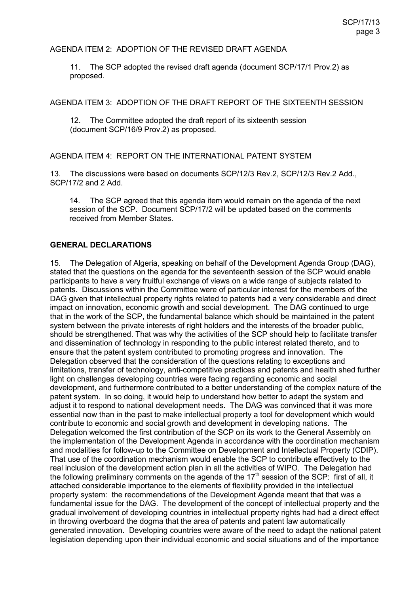#### AGENDA ITEM 2: ADOPTION OF THE REVISED DRAFT AGENDA

11. The SCP adopted the revised draft agenda (document SCP/17/1 Prov.2) as proposed.

AGENDA ITEM 3: ADOPTION OF THE DRAFT REPORT OF THE SIXTEENTH SESSION

12. The Committee adopted the draft report of its sixteenth session (document SCP/16/9 Prov.2) as proposed.

#### AGENDA ITEM 4: REPORT ON THE INTERNATIONAL PATENT SYSTEM

13. The discussions were based on documents SCP/12/3 Rev.2, SCP/12/3 Rev.2 Add., SCP/17/2 and 2 Add.

14. The SCP agreed that this agenda item would remain on the agenda of the next session of the SCP. Document SCP/17/2 will be updated based on the comments received from Member States.

#### **GENERAL DECLARATIONS**

15. The Delegation of Algeria, speaking on behalf of the Development Agenda Group (DAG), stated that the questions on the agenda for the seventeenth session of the SCP would enable participants to have a very fruitful exchange of views on a wide range of subjects related to patents. Discussions within the Committee were of particular interest for the members of the DAG given that intellectual property rights related to patents had a very considerable and direct impact on innovation, economic growth and social development. The DAG continued to urge that in the work of the SCP, the fundamental balance which should be maintained in the patent system between the private interests of right holders and the interests of the broader public, should be strengthened. That was why the activities of the SCP should help to facilitate transfer and dissemination of technology in responding to the public interest related thereto, and to ensure that the patent system contributed to promoting progress and innovation. The Delegation observed that the consideration of the questions relating to exceptions and limitations, transfer of technology, anti-competitive practices and patents and health shed further light on challenges developing countries were facing regarding economic and social development, and furthermore contributed to a better understanding of the complex nature of the patent system. In so doing, it would help to understand how better to adapt the system and adjust it to respond to national development needs. The DAG was convinced that it was more essential now than in the past to make intellectual property a tool for development which would contribute to economic and social growth and development in developing nations. The Delegation welcomed the first contribution of the SCP on its work to the General Assembly on the implementation of the Development Agenda in accordance with the coordination mechanism and modalities for follow-up to the Committee on Development and Intellectual Property (CDIP). That use of the coordination mechanism would enable the SCP to contribute effectively to the real inclusion of the development action plan in all the activities of WIPO. The Delegation had the following preliminary comments on the agenda of the  $17<sup>th</sup>$  session of the SCP: first of all, it attached considerable importance to the elements of flexibility provided in the intellectual property system: the recommendations of the Development Agenda meant that that was a fundamental issue for the DAG. The development of the concept of intellectual property and the gradual involvement of developing countries in intellectual property rights had had a direct effect in throwing overboard the dogma that the area of patents and patent law automatically generated innovation. Developing countries were aware of the need to adapt the national patent legislation depending upon their individual economic and social situations and of the importance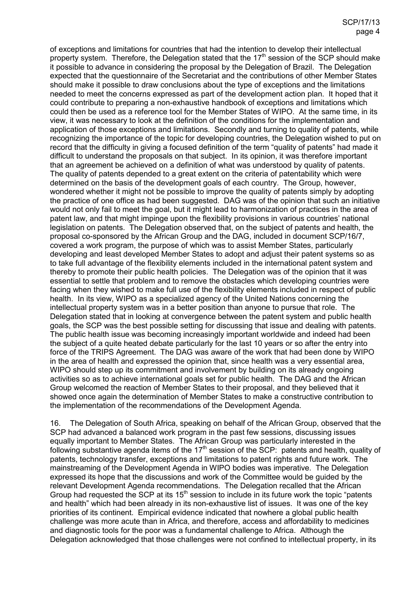of exceptions and limitations for countries that had the intention to develop their intellectual property system. Therefore, the Delegation stated that the  $17<sup>th</sup>$  session of the SCP should make it possible to advance in considering the proposal by the Delegation of Brazil. The Delegation expected that the questionnaire of the Secretariat and the contributions of other Member States should make it possible to draw conclusions about the type of exceptions and the limitations needed to meet the concerns expressed as part of the development action plan. It hoped that it could contribute to preparing a non-exhaustive handbook of exceptions and limitations which could then be used as a reference tool for the Member States of WIPO. At the same time, in its view, it was necessary to look at the definition of the conditions for the implementation and application of those exceptions and limitations. Secondly and turning to quality of patents, while recognizing the importance of the topic for developing countries, the Delegation wished to put on record that the difficulty in giving a focused definition of the term "quality of patents" had made it difficult to understand the proposals on that subject. In its opinion, it was therefore important that an agreement be achieved on a definition of what was understood by quality of patents. The quality of patents depended to a great extent on the criteria of patentability which were determined on the basis of the development goals of each country. The Group, however, wondered whether it might not be possible to improve the quality of patents simply by adopting the practice of one office as had been suggested. DAG was of the opinion that such an initiative would not only fail to meet the goal, but it might lead to harmonization of practices in the area of patent law, and that might impinge upon the flexibility provisions in various countries' national legislation on patents. The Delegation observed that, on the subject of patents and health, the proposal co-sponsored by the African Group and the DAG, included in document SCP/16/7, covered a work program, the purpose of which was to assist Member States, particularly developing and least developed Member States to adopt and adjust their patent systems so as to take full advantage of the flexibility elements included in the international patent system and thereby to promote their public health policies. The Delegation was of the opinion that it was essential to settle that problem and to remove the obstacles which developing countries were facing when they wished to make full use of the flexibility elements included in respect of public health. In its view, WIPO as a specialized agency of the United Nations concerning the intellectual property system was in a better position than anyone to pursue that role. The Delegation stated that in looking at convergence between the patent system and public health goals, the SCP was the best possible setting for discussing that issue and dealing with patents. The public health issue was becoming increasingly important worldwide and indeed had been the subject of a quite heated debate particularly for the last 10 years or so after the entry into force of the TRIPS Agreement. The DAG was aware of the work that had been done by WIPO in the area of health and expressed the opinion that, since health was a very essential area, WIPO should step up its commitment and involvement by building on its already ongoing activities so as to achieve international goals set for public health. The DAG and the African Group welcomed the reaction of Member States to their proposal, and they believed that it showed once again the determination of Member States to make a constructive contribution to the implementation of the recommendations of the Development Agenda.

16. The Delegation of South Africa, speaking on behalf of the African Group, observed that the SCP had advanced a balanced work program in the past few sessions, discussing issues equally important to Member States. The African Group was particularly interested in the following substantive agenda items of the  $17<sup>th</sup>$  session of the SCP: patents and health, quality of patents, technology transfer, exceptions and limitations to patent rights and future work. The mainstreaming of the Development Agenda in WIPO bodies was imperative. The Delegation expressed its hope that the discussions and work of the Committee would be guided by the relevant Development Agenda recommendations. The Delegation recalled that the African Group had requested the SCP at its 15th session to include in its future work the topic "patents and health" which had been already in its non-exhaustive list of issues. It was one of the key priorities of its continent. Empirical evidence indicated that nowhere a global public health challenge was more acute than in Africa, and therefore, access and affordability to medicines and diagnostic tools for the poor was a fundamental challenge to Africa. Although the Delegation acknowledged that those challenges were not confined to intellectual property, in its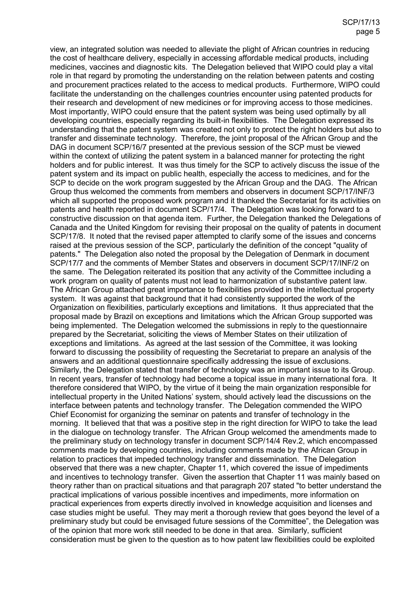view, an integrated solution was needed to alleviate the plight of African countries in reducing the cost of healthcare delivery, especially in accessing affordable medical products, including medicines, vaccines and diagnostic kits. The Delegation believed that WIPO could play a vital role in that regard by promoting the understanding on the relation between patents and costing and procurement practices related to the access to medical products. Furthermore, WIPO could facilitate the understanding on the challenges countries encounter using patented products for their research and development of new medicines or for improving access to those medicines. Most importantly, WIPO could ensure that the patent system was being used optimally by all developing countries, especially regarding its built-in flexibilities. The Delegation expressed its understanding that the patent system was created not only to protect the right holders but also to transfer and disseminate technology. Therefore, the joint proposal of the African Group and the DAG in document SCP/16/7 presented at the previous session of the SCP must be viewed within the context of utilizing the patent system in a balanced manner for protecting the right holders and for public interest. It was thus timely for the SCP to actively discuss the issue of the patent system and its impact on public health, especially the access to medicines, and for the SCP to decide on the work program suggested by the African Group and the DAG. The African Group thus welcomed the comments from members and observers in document SCP/17/INF/3 which all supported the proposed work program and it thanked the Secretariat for its activities on patents and health reported in document SCP/17/4. The Delegation was looking forward to a constructive discussion on that agenda item. Further, the Delegation thanked the Delegations of Canada and the United Kingdom for revising their proposal on the quality of patents in document SCP/17/8. It noted that the revised paper attempted to clarify some of the issues and concerns raised at the previous session of the SCP, particularly the definition of the concept "quality of patents." The Delegation also noted the proposal by the Delegation of Denmark in document SCP/17/7 and the comments of Member States and observers in document SCP/17/INF/2 on the same. The Delegation reiterated its position that any activity of the Committee including a work program on quality of patents must not lead to harmonization of substantive patent law. The African Group attached great importance to flexibilities provided in the intellectual property system. It was against that background that it had consistently supported the work of the Organization on flexibilities, particularly exceptions and limitations. It thus appreciated that the proposal made by Brazil on exceptions and limitations which the African Group supported was being implemented. The Delegation welcomed the submissions in reply to the questionnaire prepared by the Secretariat, soliciting the views of Member States on their utilization of exceptions and limitations. As agreed at the last session of the Committee, it was looking forward to discussing the possibility of requesting the Secretariat to prepare an analysis of the answers and an additional questionnaire specifically addressing the issue of exclusions. Similarly, the Delegation stated that transfer of technology was an important issue to its Group. In recent years, transfer of technology had become a topical issue in many international fora. It therefore considered that WIPO, by the virtue of it being the main organization responsible for intellectual property in the United Nations' system, should actively lead the discussions on the interface between patents and technology transfer. The Delegation commended the WIPO Chief Economist for organizing the seminar on patents and transfer of technology in the morning. It believed that that was a positive step in the right direction for WIPO to take the lead in the dialogue on technology transfer. The African Group welcomed the amendments made to the preliminary study on technology transfer in document SCP/14/4 Rev.2, which encompassed comments made by developing countries, including comments made by the African Group in relation to practices that impeded technology transfer and dissemination. The Delegation observed that there was a new chapter, Chapter 11, which covered the issue of impediments and incentives to technology transfer. Given the assertion that Chapter 11 was mainly based on theory rather than on practical situations and that paragraph 207 stated "to better understand the practical implications of various possible incentives and impediments, more information on practical experiences from experts directly involved in knowledge acquisition and licenses and case studies might be useful. They may merit a thorough review that goes beyond the level of a preliminary study but could be envisaged future sessions of the Committee", the Delegation was of the opinion that more work still needed to be done in that area. Similarly, sufficient consideration must be given to the question as to how patent law flexibilities could be exploited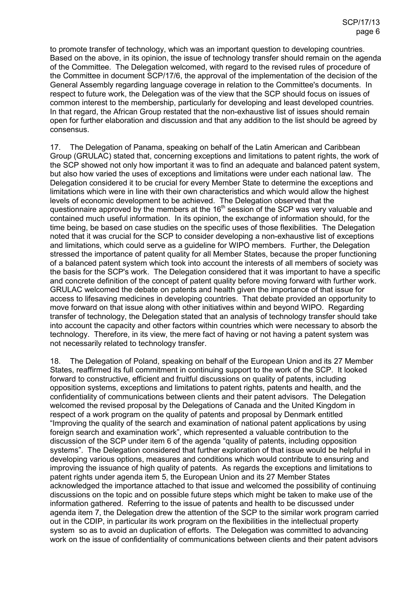to promote transfer of technology, which was an important question to developing countries. Based on the above, in its opinion, the issue of technology transfer should remain on the agenda of the Committee. The Delegation welcomed, with regard to the revised rules of procedure of the Committee in document SCP/17/6, the approval of the implementation of the decision of the General Assembly regarding language coverage in relation to the Committee's documents. In respect to future work, the Delegation was of the view that the SCP should focus on issues of common interest to the membership, particularly for developing and least developed countries. In that regard, the African Group restated that the non-exhaustive list of issues should remain open for further elaboration and discussion and that any addition to the list should be agreed by consensus.

17. The Delegation of Panama, speaking on behalf of the Latin American and Caribbean Group (GRULAC) stated that, concerning exceptions and limitations to patent rights, the work of the SCP showed not only how important it was to find an adequate and balanced patent system, but also how varied the uses of exceptions and limitations were under each national law. The Delegation considered it to be crucial for every Member State to determine the exceptions and limitations which were in line with their own characteristics and which would allow the highest levels of economic development to be achieved. The Delegation observed that the questionnaire approved by the members at the  $16<sup>th</sup>$  session of the SCP was very valuable and contained much useful information. In its opinion, the exchange of information should, for the time being, be based on case studies on the specific uses of those flexibilities. The Delegation noted that it was crucial for the SCP to consider developing a non-exhaustive list of exceptions and limitations, which could serve as a guideline for WIPO members. Further, the Delegation stressed the importance of patent quality for all Member States, because the proper functioning of a balanced patent system which took into account the interests of all members of society was the basis for the SCP's work. The Delegation considered that it was important to have a specific and concrete definition of the concept of patent quality before moving forward with further work. GRULAC welcomed the debate on patents and health given the importance of that issue for access to lifesaving medicines in developing countries. That debate provided an opportunity to move forward on that issue along with other initiatives within and beyond WIPO. Regarding transfer of technology, the Delegation stated that an analysis of technology transfer should take into account the capacity and other factors within countries which were necessary to absorb the technology. Therefore, in its view, the mere fact of having or not having a patent system was not necessarily related to technology transfer.

18. The Delegation of Poland, speaking on behalf of the European Union and its 27 Member States, reaffirmed its full commitment in continuing support to the work of the SCP. It looked forward to constructive, efficient and fruitful discussions on quality of patents, including opposition systems, exceptions and limitations to patent rights, patents and health, and the confidentiality of communications between clients and their patent advisors. The Delegation welcomed the revised proposal by the Delegations of Canada and the United Kingdom in respect of a work program on the quality of patents and proposal by Denmark entitled "Improving the quality of the search and examination of national patent applications by using foreign search and examination work", which represented a valuable contribution to the discussion of the SCP under item 6 of the agenda "quality of patents, including opposition systems". The Delegation considered that further exploration of that issue would be helpful in developing various options, measures and conditions which would contribute to ensuring and improving the issuance of high quality of patents. As regards the exceptions and limitations to patent rights under agenda item 5, the European Union and its 27 Member States acknowledged the importance attached to that issue and welcomed the possibility of continuing discussions on the topic and on possible future steps which might be taken to make use of the information gathered. Referring to the issue of patents and health to be discussed under agenda item 7, the Delegation drew the attention of the SCP to the similar work program carried out in the CDIP, in particular its work program on the flexibilities in the intellectual property system so as to avoid an duplication of efforts. The Delegation was committed to advancing work on the issue of confidentiality of communications between clients and their patent advisors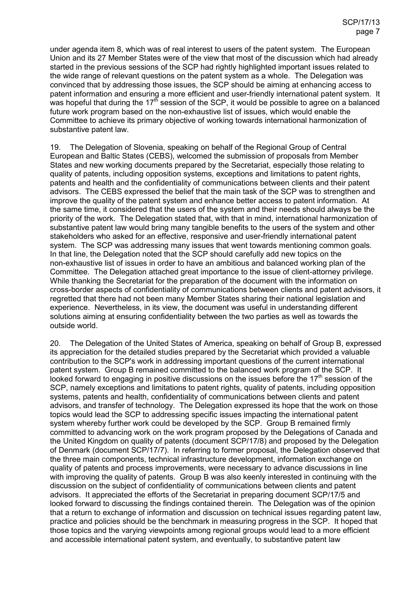under agenda item 8, which was of real interest to users of the patent system. The European Union and its 27 Member States were of the view that most of the discussion which had already started in the previous sessions of the SCP had rightly highlighted important issues related to the wide range of relevant questions on the patent system as a whole. The Delegation was convinced that by addressing those issues, the SCP should be aiming at enhancing access to patent information and ensuring a more efficient and user-friendly international patent system. It was hopeful that during the  $17<sup>th</sup>$  session of the SCP, it would be possible to agree on a balanced future work program based on the non-exhaustive list of issues, which would enable the Committee to achieve its primary objective of working towards international harmonization of substantive patent law.

19. The Delegation of Slovenia, speaking on behalf of the Regional Group of Central European and Baltic States (CEBS), welcomed the submission of proposals from Member States and new working documents prepared by the Secretariat, especially those relating to quality of patents, including opposition systems, exceptions and limitations to patent rights, patents and health and the confidentiality of communications between clients and their patent advisors. The CEBS expressed the belief that the main task of the SCP was to strengthen and improve the quality of the patent system and enhance better access to patent information. At the same time, it considered that the users of the system and their needs should always be the priority of the work. The Delegation stated that, with that in mind, international harmonization of substantive patent law would bring many tangible benefits to the users of the system and other stakeholders who asked for an effective, responsive and user-friendly international patent system. The SCP was addressing many issues that went towards mentioning common goals. In that line, the Delegation noted that the SCP should carefully add new topics on the non-exhaustive list of issues in order to have an ambitious and balanced working plan of the Committee. The Delegation attached great importance to the issue of client-attorney privilege. While thanking the Secretariat for the preparation of the document with the information on cross-border aspects of confidentiality of communications between clients and patent advisors, it regretted that there had not been many Member States sharing their national legislation and experience. Nevertheless, in its view, the document was useful in understanding different solutions aiming at ensuring confidentiality between the two parties as well as towards the outside world.

20. The Delegation of the United States of America, speaking on behalf of Group B, expressed its appreciation for the detailed studies prepared by the Secretariat which provided a valuable contribution to the SCP's work in addressing important questions of the current international patent system. Group B remained committed to the balanced work program of the SCP. It looked forward to engaging in positive discussions on the issues before the  $17<sup>th</sup>$  session of the SCP, namely exceptions and limitations to patent rights, quality of patents, including opposition systems, patents and health, confidentiality of communications between clients and patent advisors, and transfer of technology. The Delegation expressed its hope that the work on those topics would lead the SCP to addressing specific issues impacting the international patent system whereby further work could be developed by the SCP. Group B remained firmly committed to advancing work on the work program proposed by the Delegations of Canada and the United Kingdom on quality of patents (document SCP/17/8) and proposed by the Delegation of Denmark (document SCP/17/7). In referring to former proposal, the Delegation observed that the three main components, technical infrastructure development, information exchange on quality of patents and process improvements, were necessary to advance discussions in line with improving the quality of patents. Group B was also keenly interested in continuing with the discussion on the subject of confidentiality of communications between clients and patent advisors. It appreciated the efforts of the Secretariat in preparing document SCP/17/5 and looked forward to discussing the findings contained therein. The Delegation was of the opinion that a return to exchange of information and discussion on technical issues regarding patent law, practice and policies should be the benchmark in measuring progress in the SCP. It hoped that those topics and the varying viewpoints among regional groups would lead to a more efficient and accessible international patent system, and eventually, to substantive patent law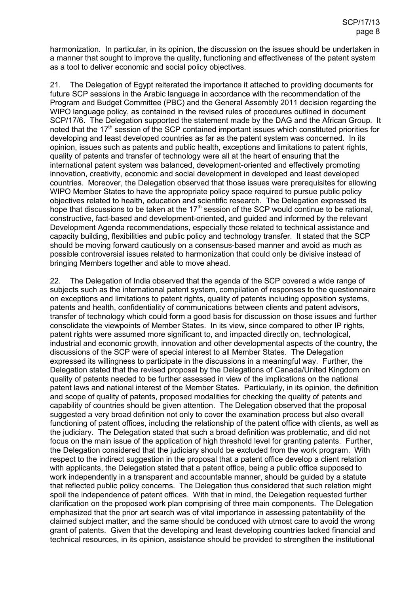harmonization. In particular, in its opinion, the discussion on the issues should be undertaken in a manner that sought to improve the quality, functioning and effectiveness of the patent system as a tool to deliver economic and social policy objectives.

21. The Delegation of Egypt reiterated the importance it attached to providing documents for future SCP sessions in the Arabic language in accordance with the recommendation of the Program and Budget Committee (PBC) and the General Assembly 2011 decision regarding the WIPO language policy, as contained in the revised rules of procedures outlined in document SCP/17/6. The Delegation supported the statement made by the DAG and the African Group. It noted that the 17<sup>th</sup> session of the SCP contained important issues which constituted priorities for developing and least developed countries as far as the patent system was concerned. In its opinion, issues such as patents and public health, exceptions and limitations to patent rights, quality of patents and transfer of technology were all at the heart of ensuring that the international patent system was balanced, development-oriented and effectively promoting innovation, creativity, economic and social development in developed and least developed countries. Moreover, the Delegation observed that those issues were prerequisites for allowing WIPO Member States to have the appropriate policy space required to pursue public policy objectives related to health, education and scientific research. The Delegation expressed its hope that discussions to be taken at the  $17<sup>th</sup>$  session of the SCP would continue to be rational, constructive, fact-based and development-oriented, and guided and informed by the relevant Development Agenda recommendations, especially those related to technical assistance and capacity building, flexibilities and public policy and technology transfer. It stated that the SCP should be moving forward cautiously on a consensus-based manner and avoid as much as possible controversial issues related to harmonization that could only be divisive instead of bringing Members together and able to move ahead.

22. The Delegation of India observed that the agenda of the SCP covered a wide range of subjects such as the international patent system, compilation of responses to the questionnaire on exceptions and limitations to patent rights, quality of patents including opposition systems, patents and health, confidentiality of communications between clients and patent advisors, transfer of technology which could form a good basis for discussion on those issues and further consolidate the viewpoints of Member States. In its view, since compared to other IP rights, patent rights were assumed more significant to, and impacted directly on, technological, industrial and economic growth, innovation and other developmental aspects of the country, the discussions of the SCP were of special interest to all Member States. The Delegation expressed its willingness to participate in the discussions in a meaningful way. Further, the Delegation stated that the revised proposal by the Delegations of Canada/United Kingdom on quality of patents needed to be further assessed in view of the implications on the national patent laws and national interest of the Member States. Particularly, in its opinion, the definition and scope of quality of patents, proposed modalities for checking the quality of patents and capability of countries should be given attention. The Delegation observed that the proposal suggested a very broad definition not only to cover the examination process but also overall functioning of patent offices, including the relationship of the patent office with clients, as well as the judiciary. The Delegation stated that such a broad definition was problematic, and did not focus on the main issue of the application of high threshold level for granting patents. Further, the Delegation considered that the judiciary should be excluded from the work program. With respect to the indirect suggestion in the proposal that a patent office develop a client relation with applicants, the Delegation stated that a patent office, being a public office supposed to work independently in a transparent and accountable manner, should be guided by a statute that reflected public policy concerns. The Delegation thus considered that such relation might spoil the independence of patent offices. With that in mind, the Delegation requested further clarification on the proposed work plan comprising of three main components. The Delegation emphasized that the prior art search was of vital importance in assessing patentability of the claimed subject matter, and the same should be conduced with utmost care to avoid the wrong grant of patents. Given that the developing and least developing countries lacked financial and technical resources, in its opinion, assistance should be provided to strengthen the institutional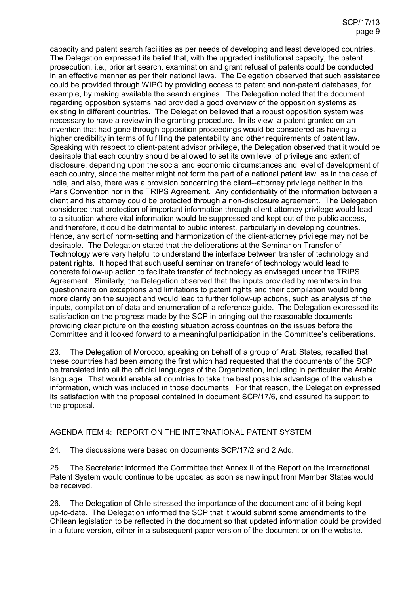capacity and patent search facilities as per needs of developing and least developed countries. The Delegation expressed its belief that, with the upgraded institutional capacity, the patent prosecution, i.e., prior art search, examination and grant refusal of patents could be conducted in an effective manner as per their national laws. The Delegation observed that such assistance could be provided through WIPO by providing access to patent and non-patent databases, for example, by making available the search engines. The Delegation noted that the document regarding opposition systems had provided a good overview of the opposition systems as existing in different countries. The Delegation believed that a robust opposition system was necessary to have a review in the granting procedure. In its view, a patent granted on an invention that had gone through opposition proceedings would be considered as having a higher credibility in terms of fulfilling the patentability and other requirements of patent law. Speaking with respect to client-patent advisor privilege, the Delegation observed that it would be desirable that each country should be allowed to set its own level of privilege and extent of disclosure, depending upon the social and economic circumstances and level of development of each country, since the matter might not form the part of a national patent law, as in the case of India, and also, there was a provision concerning the client--attorney privilege neither in the Paris Convention nor in the TRIPS Agreement. Any confidentiality of the information between a client and his attorney could be protected through a non-disclosure agreement. The Delegation considered that protection of important information through client-attorney privilege would lead to a situation where vital information would be suppressed and kept out of the public access, and therefore, it could be detrimental to public interest, particularly in developing countries. Hence, any sort of norm-setting and harmonization of the client-attorney privilege may not be desirable. The Delegation stated that the deliberations at the Seminar on Transfer of Technology were very helpful to understand the interface between transfer of technology and patent rights. It hoped that such useful seminar on transfer of technology would lead to concrete follow-up action to facilitate transfer of technology as envisaged under the TRIPS Agreement. Similarly, the Delegation observed that the inputs provided by members in the questionnaire on exceptions and limitations to patent rights and their compilation would bring more clarity on the subject and would lead to further follow-up actions, such as analysis of the inputs, compilation of data and enumeration of a reference guide. The Delegation expressed its satisfaction on the progress made by the SCP in bringing out the reasonable documents providing clear picture on the existing situation across countries on the issues before the Committee and it looked forward to a meaningful participation in the Committee's deliberations.

23. The Delegation of Morocco, speaking on behalf of a group of Arab States, recalled that these countries had been among the first which had requested that the documents of the SCP be translated into all the official languages of the Organization, including in particular the Arabic language. That would enable all countries to take the best possible advantage of the valuable information, which was included in those documents. For that reason, the Delegation expressed its satisfaction with the proposal contained in document SCP/17/6, and assured its support to the proposal.

#### AGENDA ITEM 4: REPORT ON THE INTERNATIONAL PATENT SYSTEM

24. The discussions were based on documents SCP/17/2 and 2 Add.

25. The Secretariat informed the Committee that Annex II of the Report on the International Patent System would continue to be updated as soon as new input from Member States would be received.

26. The Delegation of Chile stressed the importance of the document and of it being kept up-to-date. The Delegation informed the SCP that it would submit some amendments to the Chilean legislation to be reflected in the document so that updated information could be provided in a future version, either in a subsequent paper version of the document or on the website.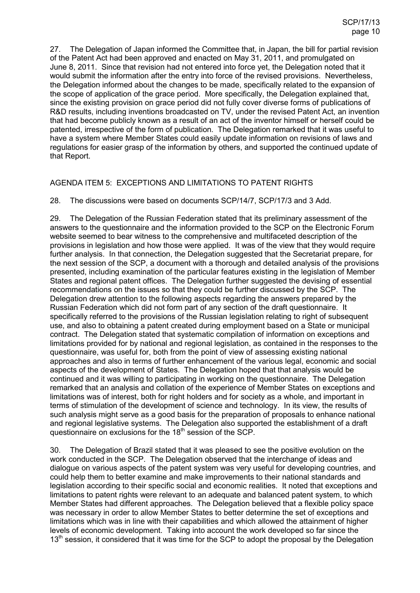27. The Delegation of Japan informed the Committee that, in Japan, the bill for partial revision of the Patent Act had been approved and enacted on May 31, 2011, and promulgated on June 8, 2011. Since that revision had not entered into force yet, the Delegation noted that it would submit the information after the entry into force of the revised provisions. Nevertheless, the Delegation informed about the changes to be made, specifically related to the expansion of the scope of application of the grace period. More specifically, the Delegation explained that, since the existing provision on grace period did not fully cover diverse forms of publications of R&D results, including inventions broadcasted on TV, under the revised Patent Act, an invention that had become publicly known as a result of an act of the inventor himself or herself could be patented, irrespective of the form of publication. The Delegation remarked that it was useful to have a system where Member States could easily update information on revisions of laws and regulations for easier grasp of the information by others, and supported the continued update of that Report.

#### AGENDA ITEM 5: EXCEPTIONS AND LIMITATIONS TO PATENT RIGHTS

28. The discussions were based on documents SCP/14/7, SCP/17/3 and 3 Add.

29. The Delegation of the Russian Federation stated that its preliminary assessment of the answers to the questionnaire and the information provided to the SCP on the Electronic Forum website seemed to bear witness to the comprehensive and multifaceted description of the provisions in legislation and how those were applied. It was of the view that they would require further analysis. In that connection, the Delegation suggested that the Secretariat prepare, for the next session of the SCP, a document with a thorough and detailed analysis of the provisions presented, including examination of the particular features existing in the legislation of Member States and regional patent offices. The Delegation further suggested the devising of essential recommendations on the issues so that they could be further discussed by the SCP. The Delegation drew attention to the following aspects regarding the answers prepared by the Russian Federation which did not form part of any section of the draft questionnaire. It specifically referred to the provisions of the Russian legislation relating to right of subsequent use, and also to obtaining a patent created during employment based on a State or municipal contract. The Delegation stated that systematic compilation of information on exceptions and limitations provided for by national and regional legislation, as contained in the responses to the questionnaire, was useful for, both from the point of view of assessing existing national approaches and also in terms of further enhancement of the various legal, economic and social aspects of the development of States. The Delegation hoped that that analysis would be continued and it was willing to participating in working on the questionnaire. The Delegation remarked that an analysis and collation of the experience of Member States on exceptions and limitations was of interest, both for right holders and for society as a whole, and important in terms of stimulation of the development of science and technology. In its view, the results of such analysis might serve as a good basis for the preparation of proposals to enhance national and regional legislative systems. The Delegation also supported the establishment of a draft questionnaire on exclusions for the 18<sup>th</sup> session of the SCP.

30. The Delegation of Brazil stated that it was pleased to see the positive evolution on the work conducted in the SCP. The Delegation observed that the interchange of ideas and dialogue on various aspects of the patent system was very useful for developing countries, and could help them to better examine and make improvements to their national standards and legislation according to their specific social and economic realities. It noted that exceptions and limitations to patent rights were relevant to an adequate and balanced patent system, to which Member States had different approaches. The Delegation believed that a flexible policy space was necessary in order to allow Member States to better determine the set of exceptions and limitations which was in line with their capabilities and which allowed the attainment of higher levels of economic development. Taking into account the work developed so far since the  $13<sup>th</sup>$  session, it considered that it was time for the SCP to adopt the proposal by the Delegation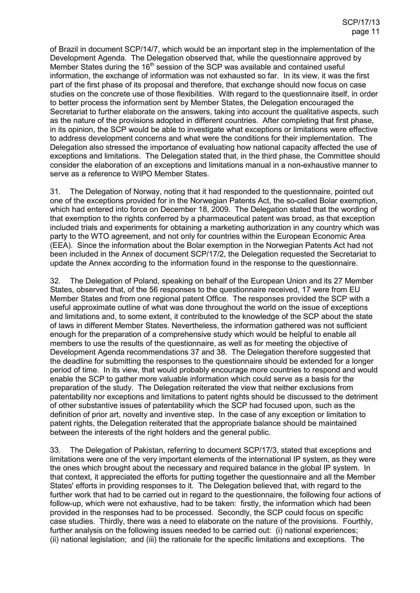of Brazil in document SCP/14/7, which would be an important step in the implementation of the Development Agenda. The Delegation observed that, while the questionnaire approved by Member States during the 16<sup>th</sup> session of the SCP was available and contained useful information, the exchange of information was not exhausted so far. In its view, it was the first part of the first phase of its proposal and therefore, that exchange should now focus on case studies on the concrete use of those flexibilities. With regard to the questionnaire itself, in order to better process the information sent by Member States, the Delegation encouraged the Secretariat to further elaborate on the answers, taking into account the qualitative aspects, such as the nature of the provisions adopted in different countries. After completing that first phase, in its opinion, the SCP would be able to investigate what exceptions or limitations were effective to address development concerns and what were the conditions for their implementation. The Delegation also stressed the importance of evaluating how national capacity affected the use of exceptions and limitations. The Delegation stated that, in the third phase, the Committee should consider the elaboration of an exceptions and limitations manual in a non-exhaustive manner to serve as a reference to WIPO Member States.

31. The Delegation of Norway, noting that it had responded to the questionnaire, pointed out one of the exceptions provided for in the Norwegian Patents Act, the so-called Bolar exemption, which had entered into force on December 18, 2009. The Delegation stated that the wording of that exemption to the rights conferred by a pharmaceutical patent was broad, as that exception included trials and experiments for obtaining a marketing authorization in any country which was party to the WTO agreement, and not only for countries within the European Economic Area (EEA). Since the information about the Bolar exemption in the Norwegian Patents Act had not been included in the Annex of document SCP/17/2, the Delegation requested the Secretariat to update the Annex according to the information found in the response to the questionnaire.

32. The Delegation of Poland, speaking on behalf of the European Union and its 27 Member States, observed that, of the 56 responses to the questionnaire received, 17 were from EU Member States and from one regional patent Office. The responses provided the SCP with a useful approximate outline of what was done throughout the world on the issue of exceptions and limitations and, to some extent, it contributed to the knowledge of the SCP about the state of laws in different Member States. Nevertheless, the information gathered was not sufficient enough for the preparation of a comprehensive study which would be helpful to enable all members to use the results of the questionnaire, as well as for meeting the objective of Development Agenda recommendations 37 and 38. The Delegation therefore suggested that the deadline for submitting the responses to the questionnaire should be extended for a longer period of time. In its view, that would probably encourage more countries to respond and would enable the SCP to gather more valuable information which could serve as a basis for the preparation of the study. The Delegation reiterated the view that neither exclusions from patentability nor exceptions and limitations to patent rights should be discussed to the detriment of other substantive issues of patentability which the SCP had focused upon, such as the definition of prior art, novelty and inventive step. In the case of any exception or limitation to patent rights, the Delegation reiterated that the appropriate balance should be maintained between the interests of the right holders and the general public.

33. The Delegation of Pakistan, referring to document SCP/17/3, stated that exceptions and limitations were one of the very important elements of the international IP system, as they were the ones which brought about the necessary and required balance in the global IP system. In that context, it appreciated the efforts for putting together the questionnaire and all the Member States' efforts in providing responses to it. The Delegation believed that, with regard to the further work that had to be carried out in regard to the questionnaire, the following four actions of follow-up, which were not exhaustive, had to be taken: firstly, the information which had been provided in the responses had to be processed. Secondly, the SCP could focus on specific case studies. Thirdly, there was a need to elaborate on the nature of the provisions. Fourthly, further analysis on the following issues needed to be carried out: (i) national experiences; (ii) national legislation; and (iii) the rationale for the specific limitations and exceptions. The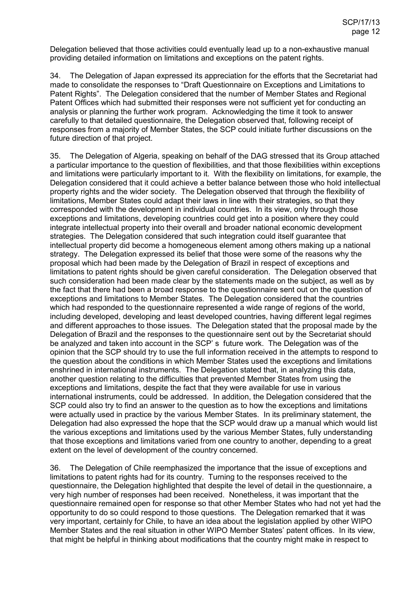Delegation believed that those activities could eventually lead up to a non-exhaustive manual providing detailed information on limitations and exceptions on the patent rights.

34. The Delegation of Japan expressed its appreciation for the efforts that the Secretariat had made to consolidate the responses to "Draft Questionnaire on Exceptions and Limitations to Patent Rights". The Delegation considered that the number of Member States and Regional Patent Offices which had submitted their responses were not sufficient yet for conducting an analysis or planning the further work program. Acknowledging the time it took to answer carefully to that detailed questionnaire, the Delegation observed that, following receipt of responses from a majority of Member States, the SCP could initiate further discussions on the future direction of that project.

35. The Delegation of Algeria, speaking on behalf of the DAG stressed that its Group attached a particular importance to the question of flexibilities, and that those flexibilities within exceptions and limitations were particularly important to it. With the flexibility on limitations, for example, the Delegation considered that it could achieve a better balance between those who hold intellectual property rights and the wider society. The Delegation observed that through the flexibility of limitations, Member States could adapt their laws in line with their strategies, so that they corresponded with the development in individual countries. In its view, only through those exceptions and limitations, developing countries could get into a position where they could integrate intellectual property into their overall and broader national economic development strategies. The Delegation considered that such integration could itself guarantee that intellectual property did become a homogeneous element among others making up a national strategy. The Delegation expressed its belief that those were some of the reasons why the proposal which had been made by the Delegation of Brazil in respect of exceptions and limitations to patent rights should be given careful consideration. The Delegation observed that such consideration had been made clear by the statements made on the subject, as well as by the fact that there had been a broad response to the questionnaire sent out on the question of exceptions and limitations to Member States. The Delegation considered that the countries which had responded to the questionnaire represented a wide range of regions of the world, including developed, developing and least developed countries, having different legal regimes and different approaches to those issues. The Delegation stated that the proposal made by the Delegation of Brazil and the responses to the questionnaire sent out by the Secretariat should be analyzed and taken into account in the SCP' s future work. The Delegation was of the opinion that the SCP should try to use the full information received in the attempts to respond to the question about the conditions in which Member States used the exceptions and limitations enshrined in international instruments. The Delegation stated that, in analyzing this data, another question relating to the difficulties that prevented Member States from using the exceptions and limitations, despite the fact that they were available for use in various international instruments, could be addressed. In addition, the Delegation considered that the SCP could also try to find an answer to the question as to how the exceptions and limitations were actually used in practice by the various Member States. In its preliminary statement, the Delegation had also expressed the hope that the SCP would draw up a manual which would list the various exceptions and limitations used by the various Member States, fully understanding that those exceptions and limitations varied from one country to another, depending to a great extent on the level of development of the country concerned.

36. The Delegation of Chile reemphasized the importance that the issue of exceptions and limitations to patent rights had for its country. Turning to the responses received to the questionnaire, the Delegation highlighted that despite the level of detail in the questionnaire, a very high number of responses had been received. Nonetheless, it was important that the questionnaire remained open for response so that other Member States who had not yet had the opportunity to do so could respond to those questions. The Delegation remarked that it was very important, certainly for Chile, to have an idea about the legislation applied by other WIPO Member States and the real situation in other WIPO Member States' patent offices. In its view, that might be helpful in thinking about modifications that the country might make in respect to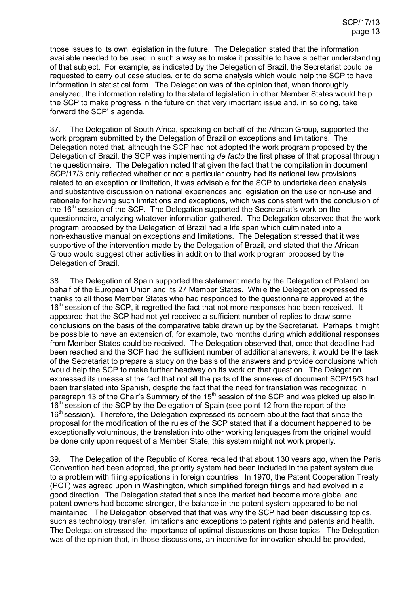those issues to its own legislation in the future. The Delegation stated that the information available needed to be used in such a way as to make it possible to have a better understanding of that subject. For example, as indicated by the Delegation of Brazil, the Secretariat could be requested to carry out case studies, or to do some analysis which would help the SCP to have information in statistical form. The Delegation was of the opinion that, when thoroughly analyzed, the information relating to the state of legislation in other Member States would help the SCP to make progress in the future on that very important issue and, in so doing, take forward the SCP' s agenda.

37. The Delegation of South Africa, speaking on behalf of the African Group, supported the work program submitted by the Delegation of Brazil on exceptions and limitations. The Delegation noted that, although the SCP had not adopted the work program proposed by the Delegation of Brazil, the SCP was implementing *de facto* the first phase of that proposal through the questionnaire. The Delegation noted that given the fact that the compilation in document SCP/17/3 only reflected whether or not a particular country had its national law provisions related to an exception or limitation, it was advisable for the SCP to undertake deep analysis and substantive discussion on national experiences and legislation on the use or non-use and rationale for having such limitations and exceptions, which was consistent with the conclusion of the  $16<sup>th</sup>$  session of the SCP. The Delegation supported the Secretariat's work on the questionnaire, analyzing whatever information gathered. The Delegation observed that the work program proposed by the Delegation of Brazil had a life span which culminated into a non-exhaustive manual on exceptions and limitations. The Delegation stressed that it was supportive of the intervention made by the Delegation of Brazil, and stated that the African Group would suggest other activities in addition to that work program proposed by the Delegation of Brazil.

38. The Delegation of Spain supported the statement made by the Delegation of Poland on behalf of the European Union and its 27 Member States. While the Delegation expressed its thanks to all those Member States who had responded to the questionnaire approved at the 16<sup>th</sup> session of the SCP, it regretted the fact that not more responses had been received. It appeared that the SCP had not yet received a sufficient number of replies to draw some conclusions on the basis of the comparative table drawn up by the Secretariat. Perhaps it might be possible to have an extension of, for example, two months during which additional responses from Member States could be received. The Delegation observed that, once that deadline had been reached and the SCP had the sufficient number of additional answers, it would be the task of the Secretariat to prepare a study on the basis of the answers and provide conclusions which would help the SCP to make further headway on its work on that question. The Delegation expressed its unease at the fact that not all the parts of the annexes of document SCP/15/3 had been translated into Spanish, despite the fact that the need for translation was recognized in paragraph 13 of the Chair's Summary of the 15<sup>th</sup> session of the SCP and was picked up also in 16<sup>th</sup> session of the SCP by the Delegation of Spain (see point 12 from the report of the 16<sup>th</sup> session). Therefore, the Delegation expressed its concern about the fact that since the proposal for the modification of the rules of the SCP stated that if a document happened to be exceptionally voluminous, the translation into other working languages from the original would be done only upon request of a Member State, this system might not work properly.

39. The Delegation of the Republic of Korea recalled that about 130 years ago, when the Paris Convention had been adopted, the priority system had been included in the patent system due to a problem with filing applications in foreign countries. In 1970, the Patent Cooperation Treaty (PCT) was agreed upon in Washington, which simplified foreign filings and had evolved in a good direction. The Delegation stated that since the market had become more global and patent owners had become stronger, the balance in the patent system appeared to be not maintained. The Delegation observed that that was why the SCP had been discussing topics, such as technology transfer, limitations and exceptions to patent rights and patents and health. The Delegation stressed the importance of optimal discussions on those topics. The Delegation was of the opinion that, in those discussions, an incentive for innovation should be provided,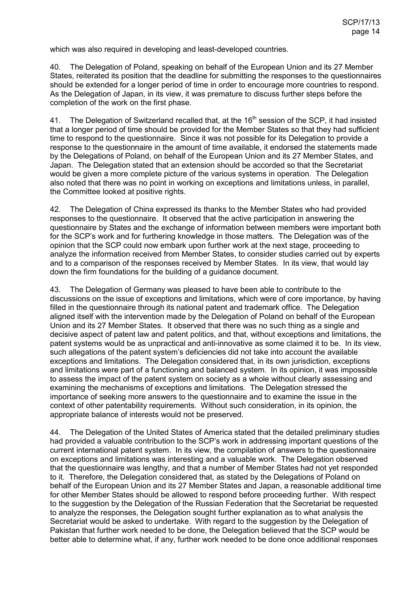which was also required in developing and least-developed countries.

40. The Delegation of Poland, speaking on behalf of the European Union and its 27 Member States, reiterated its position that the deadline for submitting the responses to the questionnaires should be extended for a longer period of time in order to encourage more countries to respond. As the Delegation of Japan, in its view, it was premature to discuss further steps before the completion of the work on the first phase.

41. The Delegation of Switzerland recalled that, at the 16<sup>th</sup> session of the SCP, it had insisted that a longer period of time should be provided for the Member States so that they had sufficient time to respond to the questionnaire. Since it was not possible for its Delegation to provide a response to the questionnaire in the amount of time available, it endorsed the statements made by the Delegations of Poland, on behalf of the European Union and its 27 Member States, and Japan. The Delegation stated that an extension should be accorded so that the Secretariat would be given a more complete picture of the various systems in operation. The Delegation also noted that there was no point in working on exceptions and limitations unless, in parallel, the Committee looked at positive rights.

42. The Delegation of China expressed its thanks to the Member States who had provided responses to the questionnaire. It observed that the active participation in answering the questionnaire by States and the exchange of information between members were important both for the SCP's work and for furthering knowledge in those matters. The Delegation was of the opinion that the SCP could now embark upon further work at the next stage, proceeding to analyze the information received from Member States, to consider studies carried out by experts and to a comparison of the responses received by Member States. In its view, that would lay down the firm foundations for the building of a guidance document.

43. The Delegation of Germany was pleased to have been able to contribute to the discussions on the issue of exceptions and limitations, which were of core importance, by having filled in the questionnaire through its national patent and trademark office. The Delegation aligned itself with the intervention made by the Delegation of Poland on behalf of the European Union and its 27 Member States. It observed that there was no such thing as a single and decisive aspect of patent law and patent politics, and that, without exceptions and limitations, the patent systems would be as unpractical and anti-innovative as some claimed it to be. In its view, such allegations of the patent system's deficiencies did not take into account the available exceptions and limitations. The Delegation considered that, in its own jurisdiction, exceptions and limitations were part of a functioning and balanced system. In its opinion, it was impossible to assess the impact of the patent system on society as a whole without clearly assessing and examining the mechanisms of exceptions and limitations. The Delegation stressed the importance of seeking more answers to the questionnaire and to examine the issue in the context of other patentability requirements. Without such consideration, in its opinion, the appropriate balance of interests would not be preserved.

44. The Delegation of the United States of America stated that the detailed preliminary studies had provided a valuable contribution to the SCP's work in addressing important questions of the current international patent system. In its view, the compilation of answers to the questionnaire on exceptions and limitations was interesting and a valuable work. The Delegation observed that the questionnaire was lengthy, and that a number of Member States had not yet responded to it. Therefore, the Delegation considered that, as stated by the Delegations of Poland on behalf of the European Union and its 27 Member States and Japan, a reasonable additional time for other Member States should be allowed to respond before proceeding further. With respect to the suggestion by the Delegation of the Russian Federation that the Secretariat be requested to analyze the responses, the Delegation sought further explanation as to what analysis the Secretariat would be asked to undertake. With regard to the suggestion by the Delegation of Pakistan that further work needed to be done, the Delegation believed that the SCP would be better able to determine what, if any, further work needed to be done once additional responses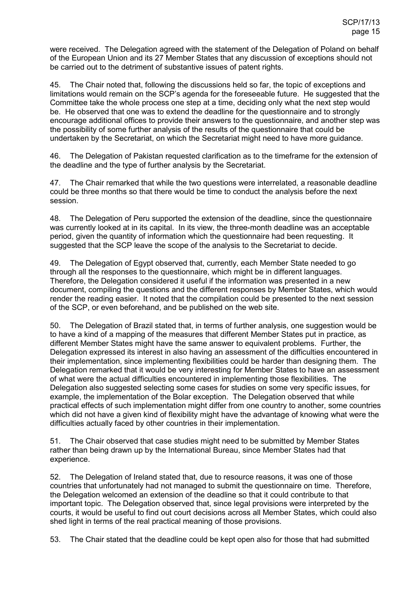were received. The Delegation agreed with the statement of the Delegation of Poland on behalf of the European Union and its 27 Member States that any discussion of exceptions should not be carried out to the detriment of substantive issues of patent rights.

45. The Chair noted that, following the discussions held so far, the topic of exceptions and limitations would remain on the SCP's agenda for the foreseeable future. He suggested that the Committee take the whole process one step at a time, deciding only what the next step would be. He observed that one was to extend the deadline for the questionnaire and to strongly encourage additional offices to provide their answers to the questionnaire, and another step was the possibility of some further analysis of the results of the questionnaire that could be undertaken by the Secretariat, on which the Secretariat might need to have more guidance.

46. The Delegation of Pakistan requested clarification as to the timeframe for the extension of the deadline and the type of further analysis by the Secretariat.

47. The Chair remarked that while the two questions were interrelated, a reasonable deadline could be three months so that there would be time to conduct the analysis before the next session.

48. The Delegation of Peru supported the extension of the deadline, since the questionnaire was currently looked at in its capital. In its view, the three-month deadline was an acceptable period, given the quantity of information which the questionnaire had been requesting. It suggested that the SCP leave the scope of the analysis to the Secretariat to decide.

49. The Delegation of Egypt observed that, currently, each Member State needed to go through all the responses to the questionnaire, which might be in different languages. Therefore, the Delegation considered it useful if the information was presented in a new document, compiling the questions and the different responses by Member States, which would render the reading easier. It noted that the compilation could be presented to the next session of the SCP, or even beforehand, and be published on the web site.

50. The Delegation of Brazil stated that, in terms of further analysis, one suggestion would be to have a kind of a mapping of the measures that different Member States put in practice, as different Member States might have the same answer to equivalent problems. Further, the Delegation expressed its interest in also having an assessment of the difficulties encountered in their implementation, since implementing flexibilities could be harder than designing them. The Delegation remarked that it would be very interesting for Member States to have an assessment of what were the actual difficulties encountered in implementing those flexibilities. The Delegation also suggested selecting some cases for studies on some very specific issues, for example, the implementation of the Bolar exception. The Delegation observed that while practical effects of such implementation might differ from one country to another, some countries which did not have a given kind of flexibility might have the advantage of knowing what were the difficulties actually faced by other countries in their implementation.

51. The Chair observed that case studies might need to be submitted by Member States rather than being drawn up by the International Bureau, since Member States had that experience.

52. The Delegation of Ireland stated that, due to resource reasons, it was one of those countries that unfortunately had not managed to submit the questionnaire on time. Therefore, the Delegation welcomed an extension of the deadline so that it could contribute to that important topic. The Delegation observed that, since legal provisions were interpreted by the courts, it would be useful to find out court decisions across all Member States, which could also shed light in terms of the real practical meaning of those provisions.

53. The Chair stated that the deadline could be kept open also for those that had submitted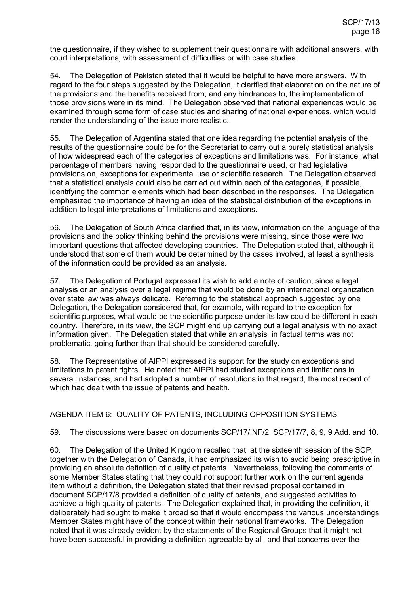the questionnaire, if they wished to supplement their questionnaire with additional answers, with court interpretations, with assessment of difficulties or with case studies.

54. The Delegation of Pakistan stated that it would be helpful to have more answers. With regard to the four steps suggested by the Delegation, it clarified that elaboration on the nature of the provisions and the benefits received from, and any hindrances to, the implementation of those provisions were in its mind. The Delegation observed that national experiences would be examined through some form of case studies and sharing of national experiences, which would render the understanding of the issue more realistic.

55. The Delegation of Argentina stated that one idea regarding the potential analysis of the results of the questionnaire could be for the Secretariat to carry out a purely statistical analysis of how widespread each of the categories of exceptions and limitations was. For instance, what percentage of members having responded to the questionnaire used, or had legislative provisions on, exceptions for experimental use or scientific research. The Delegation observed that a statistical analysis could also be carried out within each of the categories, if possible, identifying the common elements which had been described in the responses. The Delegation emphasized the importance of having an idea of the statistical distribution of the exceptions in addition to legal interpretations of limitations and exceptions.

56. The Delegation of South Africa clarified that, in its view, information on the language of the provisions and the policy thinking behind the provisions were missing, since those were two important questions that affected developing countries. The Delegation stated that, although it understood that some of them would be determined by the cases involved, at least a synthesis of the information could be provided as an analysis.

57. The Delegation of Portugal expressed its wish to add a note of caution, since a legal analysis or an analysis over a legal regime that would be done by an international organization over state law was always delicate. Referring to the statistical approach suggested by one Delegation, the Delegation considered that, for example, with regard to the exception for scientific purposes, what would be the scientific purpose under its law could be different in each country. Therefore, in its view, the SCP might end up carrying out a legal analysis with no exact information given. The Delegation stated that while an analysis in factual terms was not problematic, going further than that should be considered carefully.

58. The Representative of AIPPI expressed its support for the study on exceptions and limitations to patent rights. He noted that AIPPI had studied exceptions and limitations in several instances, and had adopted a number of resolutions in that regard, the most recent of which had dealt with the issue of patents and health.

#### AGENDA ITEM 6: QUALITY OF PATENTS, INCLUDING OPPOSITION SYSTEMS

59. The discussions were based on documents SCP/17/INF/2, SCP/17/7, 8, 9, 9 Add. and 10.

60. The Delegation of the United Kingdom recalled that, at the sixteenth session of the SCP, together with the Delegation of Canada, it had emphasized its wish to avoid being prescriptive in providing an absolute definition of quality of patents. Nevertheless, following the comments of some Member States stating that they could not support further work on the current agenda item without a definition, the Delegation stated that their revised proposal contained in document SCP/17/8 provided a definition of quality of patents, and suggested activities to achieve a high quality of patents. The Delegation explained that, in providing the definition, it deliberately had sought to make it broad so that it would encompass the various understandings Member States might have of the concept within their national frameworks. The Delegation noted that it was already evident by the statements of the Regional Groups that it might not have been successful in providing a definition agreeable by all, and that concerns over the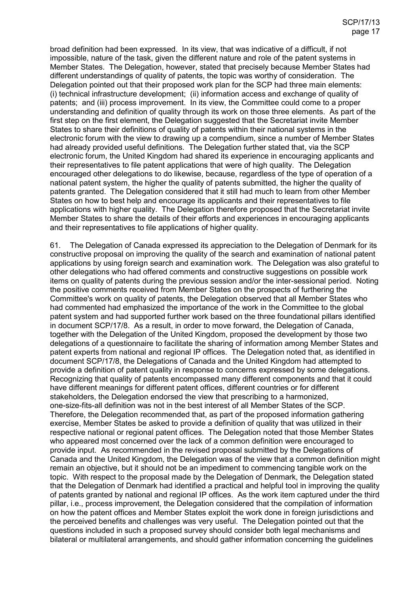broad definition had been expressed. In its view, that was indicative of a difficult, if not impossible, nature of the task, given the different nature and role of the patent systems in Member States. The Delegation, however, stated that precisely because Member States had different understandings of quality of patents, the topic was worthy of consideration. The Delegation pointed out that their proposed work plan for the SCP had three main elements: (i) technical infrastructure development; (ii) information access and exchange of quality of patents; and (iii) process improvement. In its view, the Committee could come to a proper understanding and definition of quality through its work on those three elements. As part of the first step on the first element, the Delegation suggested that the Secretariat invite Member States to share their definitions of quality of patents within their national systems in the electronic forum with the view to drawing up a compendium, since a number of Member States had already provided useful definitions. The Delegation further stated that, via the SCP electronic forum, the United Kingdom had shared its experience in encouraging applicants and their representatives to file patent applications that were of high quality. The Delegation encouraged other delegations to do likewise, because, regardless of the type of operation of a national patent system, the higher the quality of patents submitted, the higher the quality of patents granted. The Delegation considered that it still had much to learn from other Member States on how to best help and encourage its applicants and their representatives to file applications with higher quality. The Delegation therefore proposed that the Secretariat invite Member States to share the details of their efforts and experiences in encouraging applicants and their representatives to file applications of higher quality.

61. The Delegation of Canada expressed its appreciation to the Delegation of Denmark for its constructive proposal on improving the quality of the search and examination of national patent applications by using foreign search and examination work. The Delegation was also grateful to other delegations who had offered comments and constructive suggestions on possible work items on quality of patents during the previous session and/or the inter-sessional period. Noting the positive comments received from Member States on the prospects of furthering the Committee's work on quality of patents, the Delegation observed that all Member States who had commented had emphasized the importance of the work in the Committee to the global patent system and had supported further work based on the three foundational pillars identified in document SCP/17/8. As a result, in order to move forward, the Delegation of Canada, together with the Delegation of the United Kingdom, proposed the development by those two delegations of a questionnaire to facilitate the sharing of information among Member States and patent experts from national and regional IP offices. The Delegation noted that, as identified in document SCP/17/8, the Delegations of Canada and the United Kingdom had attempted to provide a definition of patent quality in response to concerns expressed by some delegations. Recognizing that quality of patents encompassed many different components and that it could have different meanings for different patent offices, different countries or for different stakeholders, the Delegation endorsed the view that prescribing to a harmonized, one-size-fits-all definition was not in the best interest of all Member States of the SCP. Therefore, the Delegation recommended that, as part of the proposed information gathering exercise, Member States be asked to provide a definition of quality that was utilized in their respective national or regional patent offices. The Delegation noted that those Member States who appeared most concerned over the lack of a common definition were encouraged to provide input. As recommended in the revised proposal submitted by the Delegations of Canada and the United Kingdom, the Delegation was of the view that a common definition might remain an objective, but it should not be an impediment to commencing tangible work on the topic. With respect to the proposal made by the Delegation of Denmark, the Delegation stated that the Delegation of Denmark had identified a practical and helpful tool in improving the quality of patents granted by national and regional IP offices. As the work item captured under the third pillar, i.e., process improvement, the Delegation considered that the compilation of information on how the patent offices and Member States exploit the work done in foreign jurisdictions and the perceived benefits and challenges was very useful. The Delegation pointed out that the questions included in such a proposed survey should consider both legal mechanisms and bilateral or multilateral arrangements, and should gather information concerning the guidelines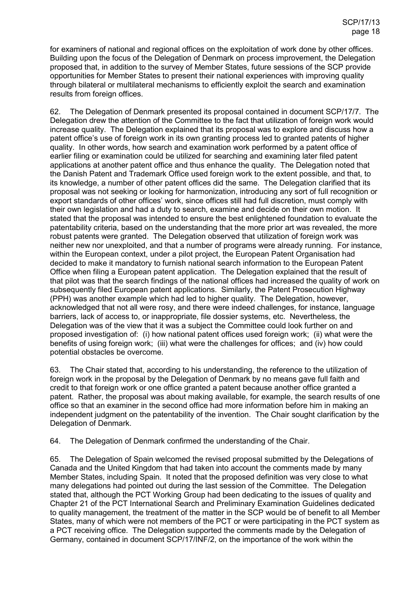for examiners of national and regional offices on the exploitation of work done by other offices. Building upon the focus of the Delegation of Denmark on process improvement, the Delegation proposed that, in addition to the survey of Member States, future sessions of the SCP provide opportunities for Member States to present their national experiences with improving quality through bilateral or multilateral mechanisms to efficiently exploit the search and examination results from foreign offices.

62. The Delegation of Denmark presented its proposal contained in document SCP/17/7. The Delegation drew the attention of the Committee to the fact that utilization of foreign work would increase quality. The Delegation explained that its proposal was to explore and discuss how a patent office's use of foreign work in its own granting process led to granted patents of higher quality. In other words, how search and examination work performed by a patent office of earlier filing or examination could be utilized for searching and examining later filed patent applications at another patent office and thus enhance the quality. The Delegation noted that the Danish Patent and Trademark Office used foreign work to the extent possible, and that, to its knowledge, a number of other patent offices did the same. The Delegation clarified that its proposal was not seeking or looking for harmonization, introducing any sort of full recognition or export standards of other offices' work, since offices still had full discretion, must comply with their own legislation and had a duty to search, examine and decide on their own motion. It stated that the proposal was intended to ensure the best enlightened foundation to evaluate the patentability criteria, based on the understanding that the more prior art was revealed, the more robust patents were granted. The Delegation observed that utilization of foreign work was neither new nor unexploited, and that a number of programs were already running. For instance, within the European context, under a pilot project, the European Patent Organisation had decided to make it mandatory to furnish national search information to the European Patent Office when filing a European patent application. The Delegation explained that the result of that pilot was that the search findings of the national offices had increased the quality of work on subsequently filed European patent applications. Similarly, the Patent Prosecution Highway (PPH) was another example which had led to higher quality. The Delegation, however, acknowledged that not all were rosy, and there were indeed challenges, for instance, language barriers, lack of access to, or inappropriate, file dossier systems, etc. Nevertheless, the Delegation was of the view that it was a subject the Committee could look further on and proposed investigation of: (i) how national patent offices used foreign work; (ii) what were the benefits of using foreign work; (iii) what were the challenges for offices; and (iv) how could potential obstacles be overcome.

63. The Chair stated that, according to his understanding, the reference to the utilization of foreign work in the proposal by the Delegation of Denmark by no means gave full faith and credit to that foreign work or one office granted a patent because another office granted a patent. Rather, the proposal was about making available, for example, the search results of one office so that an examiner in the second office had more information before him in making an independent judgment on the patentability of the invention. The Chair sought clarification by the Delegation of Denmark.

64. The Delegation of Denmark confirmed the understanding of the Chair.

65. The Delegation of Spain welcomed the revised proposal submitted by the Delegations of Canada and the United Kingdom that had taken into account the comments made by many Member States, including Spain. It noted that the proposed definition was very close to what many delegations had pointed out during the last session of the Committee. The Delegation stated that, although the PCT Working Group had been dedicating to the issues of quality and Chapter 21 of the PCT International Search and Preliminary Examination Guidelines dedicated to quality management, the treatment of the matter in the SCP would be of benefit to all Member States, many of which were not members of the PCT or were participating in the PCT system as a PCT receiving office. The Delegation supported the comments made by the Delegation of Germany, contained in document SCP/17/INF/2, on the importance of the work within the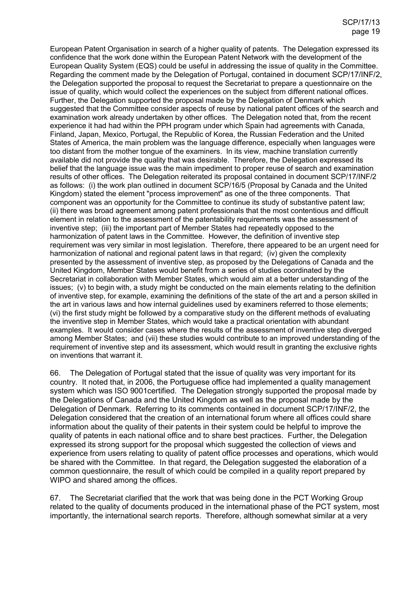European Patent Organisation in search of a higher quality of patents. The Delegation expressed its confidence that the work done within the European Patent Network with the development of the European Quality System (EQS) could be useful in addressing the issue of quality in the Committee. Regarding the comment made by the Delegation of Portugal, contained in document SCP/17/INF/2, the Delegation supported the proposal to request the Secretariat to prepare a questionnaire on the issue of quality, which would collect the experiences on the subject from different national offices. Further, the Delegation supported the proposal made by the Delegation of Denmark which suggested that the Committee consider aspects of reuse by national patent offices of the search and examination work already undertaken by other offices. The Delegation noted that, from the recent experience it had had within the PPH program under which Spain had agreements with Canada, Finland, Japan, Mexico, Portugal, the Republic of Korea, the Russian Federation and the United States of America, the main problem was the language difference, especially when languages were too distant from the mother tongue of the examiners. In its view, machine translation currently available did not provide the quality that was desirable. Therefore, the Delegation expressed its belief that the language issue was the main impediment to proper reuse of search and examination results of other offices. The Delegation reiterated its proposal contained in document SCP/17/INF/2 as follows: (i) the work plan outlined in document SCP/16/5 (Proposal by Canada and the United Kingdom) stated the element "process improvement" as one of the three components. That component was an opportunity for the Committee to continue its study of substantive patent law; (ii) there was broad agreement among patent professionals that the most contentious and difficult element in relation to the assessment of the patentability requirements was the assessment of inventive step; (iii) the important part of Member States had repeatedly opposed to the harmonization of patent laws in the Committee. However, the definition of inventive step requirement was very similar in most legislation. Therefore, there appeared to be an urgent need for harmonization of national and regional patent laws in that regard; (iv) given the complexity presented by the assessment of inventive step, as proposed by the Delegations of Canada and the United Kingdom, Member States would benefit from a series of studies coordinated by the Secretariat in collaboration with Member States, which would aim at a better understanding of the issues; (v) to begin with, a study might be conducted on the main elements relating to the definition of inventive step, for example, examining the definitions of the state of the art and a person skilled in the art in various laws and how internal guidelines used by examiners referred to those elements; (vi) the first study might be followed by a comparative study on the different methods of evaluating the inventive step in Member States, which would take a practical orientation with abundant examples. It would consider cases where the results of the assessment of inventive step diverged among Member States; and (vii) these studies would contribute to an improved understanding of the requirement of inventive step and its assessment, which would result in granting the exclusive rights on inventions that warrant it.

66. The Delegation of Portugal stated that the issue of quality was very important for its country. It noted that, in 2006, the Portuguese office had implemented a quality management system which was ISO 9001certified. The Delegation strongly supported the proposal made by the Delegations of Canada and the United Kingdom as well as the proposal made by the Delegation of Denmark. Referring to its comments contained in document SCP/17/INF/2, the Delegation considered that the creation of an international forum where all offices could share information about the quality of their patents in their system could be helpful to improve the quality of patents in each national office and to share best practices. Further, the Delegation expressed its strong support for the proposal which suggested the collection of views and experience from users relating to quality of patent office processes and operations, which would be shared with the Committee. In that regard, the Delegation suggested the elaboration of a common questionnaire, the result of which could be compiled in a quality report prepared by WIPO and shared among the offices.

67. The Secretariat clarified that the work that was being done in the PCT Working Group related to the quality of documents produced in the international phase of the PCT system, most importantly, the international search reports. Therefore, although somewhat similar at a very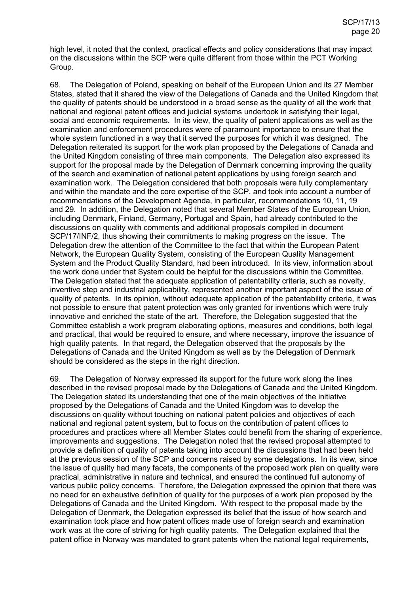high level, it noted that the context, practical effects and policy considerations that may impact on the discussions within the SCP were quite different from those within the PCT Working Group.

68. The Delegation of Poland, speaking on behalf of the European Union and its 27 Member States, stated that it shared the view of the Delegations of Canada and the United Kingdom that the quality of patents should be understood in a broad sense as the quality of all the work that national and regional patent offices and judicial systems undertook in satisfying their legal, social and economic requirements. In its view, the quality of patent applications as well as the examination and enforcement procedures were of paramount importance to ensure that the whole system functioned in a way that it served the purposes for which it was designed. The Delegation reiterated its support for the work plan proposed by the Delegations of Canada and the United Kingdom consisting of three main components. The Delegation also expressed its support for the proposal made by the Delegation of Denmark concerning improving the quality of the search and examination of national patent applications by using foreign search and examination work. The Delegation considered that both proposals were fully complementary and within the mandate and the core expertise of the SCP, and took into account a number of recommendations of the Development Agenda, in particular, recommendations 10, 11, 19 and 29. In addition, the Delegation noted that several Member States of the European Union, including Denmark, Finland, Germany, Portugal and Spain, had already contributed to the discussions on quality with comments and additional proposals compiled in document SCP/17/INF/2, thus showing their commitments to making progress on the issue. The Delegation drew the attention of the Committee to the fact that within the European Patent Network, the European Quality System, consisting of the European Quality Management System and the Product Quality Standard, had been introduced. In its view, information about the work done under that System could be helpful for the discussions within the Committee. The Delegation stated that the adequate application of patentability criteria, such as novelty, inventive step and industrial applicability, represented another important aspect of the issue of quality of patents. In its opinion, without adequate application of the patentability criteria, it was not possible to ensure that patent protection was only granted for inventions which were truly innovative and enriched the state of the art. Therefore, the Delegation suggested that the Committee establish a work program elaborating options, measures and conditions, both legal and practical, that would be required to ensure, and where necessary, improve the issuance of high quality patents. In that regard, the Delegation observed that the proposals by the Delegations of Canada and the United Kingdom as well as by the Delegation of Denmark should be considered as the steps in the right direction.

69. The Delegation of Norway expressed its support for the future work along the lines described in the revised proposal made by the Delegations of Canada and the United Kingdom. The Delegation stated its understanding that one of the main objectives of the initiative proposed by the Delegations of Canada and the United Kingdom was to develop the discussions on quality without touching on national patent policies and objectives of each national and regional patent system, but to focus on the contribution of patent offices to procedures and practices where all Member States could benefit from the sharing of experience, improvements and suggestions. The Delegation noted that the revised proposal attempted to provide a definition of quality of patents taking into account the discussions that had been held at the previous session of the SCP and concerns raised by some delegations. In its view, since the issue of quality had many facets, the components of the proposed work plan on quality were practical, administrative in nature and technical, and ensured the continued full autonomy of various public policy concerns. Therefore, the Delegation expressed the opinion that there was no need for an exhaustive definition of quality for the purposes of a work plan proposed by the Delegations of Canada and the United Kingdom. With respect to the proposal made by the Delegation of Denmark, the Delegation expressed its belief that the issue of how search and examination took place and how patent offices made use of foreign search and examination work was at the core of striving for high quality patents. The Delegation explained that the patent office in Norway was mandated to grant patents when the national legal requirements,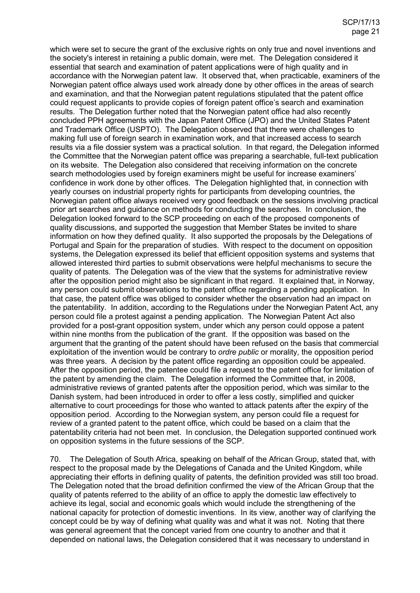which were set to secure the grant of the exclusive rights on only true and novel inventions and the society's interest in retaining a public domain, were met. The Delegation considered it essential that search and examination of patent applications were of high quality and in accordance with the Norwegian patent law. It observed that, when practicable, examiners of the Norwegian patent office always used work already done by other offices in the areas of search and examination, and that the Norwegian patent regulations stipulated that the patent office could request applicants to provide copies of foreign patent office's search and examination results. The Delegation further noted that the Norwegian patent office had also recently concluded PPH agreements with the Japan Patent Office (JPO) and the United States Patent and Trademark Office (USPTO). The Delegation observed that there were challenges to making full use of foreign search in examination work, and that increased access to search results via a file dossier system was a practical solution. In that regard, the Delegation informed the Committee that the Norwegian patent office was preparing a searchable, full-text publication on its website. The Delegation also considered that receiving information on the concrete search methodologies used by foreign examiners might be useful for increase examiners' confidence in work done by other offices. The Delegation highlighted that, in connection with yearly courses on industrial property rights for participants from developing countries, the Norwegian patent office always received very good feedback on the sessions involving practical prior art searches and guidance on methods for conducting the searches. In conclusion, the Delegation looked forward to the SCP proceeding on each of the proposed components of quality discussions, and supported the suggestion that Member States be invited to share information on how they defined quality. It also supported the proposals by the Delegations of Portugal and Spain for the preparation of studies. With respect to the document on opposition systems, the Delegation expressed its belief that efficient opposition systems and systems that allowed interested third parties to submit observations were helpful mechanisms to secure the quality of patents. The Delegation was of the view that the systems for administrative review after the opposition period might also be significant in that regard. It explained that, in Norway, any person could submit observations to the patent office regarding a pending application. In that case, the patent office was obliged to consider whether the observation had an impact on the patentability. In addition, according to the Regulations under the Norwegian Patent Act, any person could file a protest against a pending application. The Norwegian Patent Act also provided for a post-grant opposition system, under which any person could oppose a patent within nine months from the publication of the grant. If the opposition was based on the argument that the granting of the patent should have been refused on the basis that commercial exploitation of the invention would be contrary to *ordre public* or morality, the opposition period was three years. A decision by the patent office regarding an opposition could be appealed. After the opposition period, the patentee could file a request to the patent office for limitation of the patent by amending the claim. The Delegation informed the Committee that, in 2008, administrative reviews of granted patents after the opposition period, which was similar to the Danish system, had been introduced in order to offer a less costly, simplified and quicker alternative to court proceedings for those who wanted to attack patents after the expiry of the opposition period. According to the Norwegian system, any person could file a request for review of a granted patent to the patent office, which could be based on a claim that the patentability criteria had not been met. In conclusion, the Delegation supported continued work on opposition systems in the future sessions of the SCP.

70. The Delegation of South Africa, speaking on behalf of the African Group, stated that, with respect to the proposal made by the Delegations of Canada and the United Kingdom, while appreciating their efforts in defining quality of patents, the definition provided was still too broad. The Delegation noted that the broad definition confirmed the view of the African Group that the quality of patents referred to the ability of an office to apply the domestic law effectively to achieve its legal, social and economic goals which would include the strengthening of the national capacity for protection of domestic inventions. In its view, another way of clarifying the concept could be by way of defining what quality was and what it was not. Noting that there was general agreement that the concept varied from one country to another and that it depended on national laws, the Delegation considered that it was necessary to understand in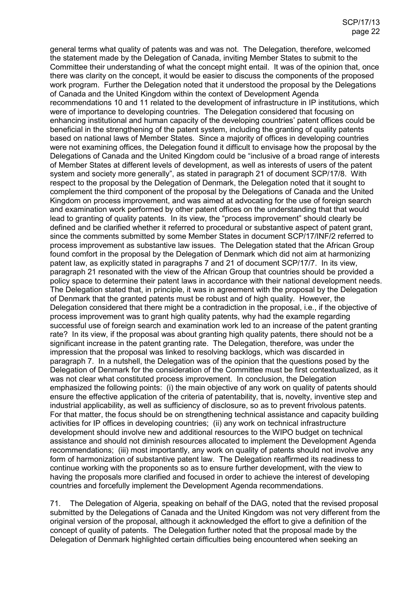general terms what quality of patents was and was not. The Delegation, therefore, welcomed the statement made by the Delegation of Canada, inviting Member States to submit to the Committee their understanding of what the concept might entail. It was of the opinion that, once there was clarity on the concept, it would be easier to discuss the components of the proposed work program. Further the Delegation noted that it understood the proposal by the Delegations of Canada and the United Kingdom within the context of Development Agenda recommendations 10 and 11 related to the development of infrastructure in IP institutions, which were of importance to developing countries. The Delegation considered that focusing on enhancing institutional and human capacity of the developing countries' patent offices could be beneficial in the strengthening of the patent system, including the granting of quality patents based on national laws of Member States. Since a majority of offices in developing countries were not examining offices, the Delegation found it difficult to envisage how the proposal by the Delegations of Canada and the United Kingdom could be "inclusive of a broad range of interests of Member States at different levels of development, as well as interests of users of the patent system and society more generally", as stated in paragraph 21 of document SCP/17/8. With respect to the proposal by the Delegation of Denmark, the Delegation noted that it sought to complement the third component of the proposal by the Delegations of Canada and the United Kingdom on process improvement, and was aimed at advocating for the use of foreign search and examination work performed by other patent offices on the understanding that that would lead to granting of quality patents. In its view, the "process improvement" should clearly be defined and be clarified whether it referred to procedural or substantive aspect of patent grant, since the comments submitted by some Member States in document SCP/17/INF/2 referred to process improvement as substantive law issues. The Delegation stated that the African Group found comfort in the proposal by the Delegation of Denmark which did not aim at harmonizing patent law, as explicitly stated in paragraphs 7 and 21 of document SCP/17/7. In its view, paragraph 21 resonated with the view of the African Group that countries should be provided a policy space to determine their patent laws in accordance with their national development needs. The Delegation stated that, in principle, it was in agreement with the proposal by the Delegation of Denmark that the granted patents must be robust and of high quality. However, the Delegation considered that there might be a contradiction in the proposal, i.e., if the objective of process improvement was to grant high quality patents, why had the example regarding successful use of foreign search and examination work led to an increase of the patent granting rate? In its view, if the proposal was about granting high quality patents, there should not be a significant increase in the patent granting rate. The Delegation, therefore, was under the impression that the proposal was linked to resolving backlogs, which was discarded in paragraph 7. In a nutshell, the Delegation was of the opinion that the questions posed by the Delegation of Denmark for the consideration of the Committee must be first contextualized, as it was not clear what constituted process improvement. In conclusion, the Delegation emphasized the following points: (i) the main objective of any work on quality of patents should ensure the effective application of the criteria of patentability, that is, novelty, inventive step and industrial applicability, as well as sufficiency of disclosure, so as to prevent frivolous patents. For that matter, the focus should be on strengthening technical assistance and capacity building activities for IP offices in developing countries; (ii) any work on technical infrastructure development should involve new and additional resources to the WIPO budget on technical assistance and should not diminish resources allocated to implement the Development Agenda recommendations; (iii) most importantly, any work on quality of patents should not involve any form of harmonization of substantive patent law. The Delegation reaffirmed its readiness to continue working with the proponents so as to ensure further development, with the view to having the proposals more clarified and focused in order to achieve the interest of developing countries and forcefully implement the Development Agenda recommendations.

71. The Delegation of Algeria, speaking on behalf of the DAG, noted that the revised proposal submitted by the Delegations of Canada and the United Kingdom was not very different from the original version of the proposal, although it acknowledged the effort to give a definition of the concept of quality of patents. The Delegation further noted that the proposal made by the Delegation of Denmark highlighted certain difficulties being encountered when seeking an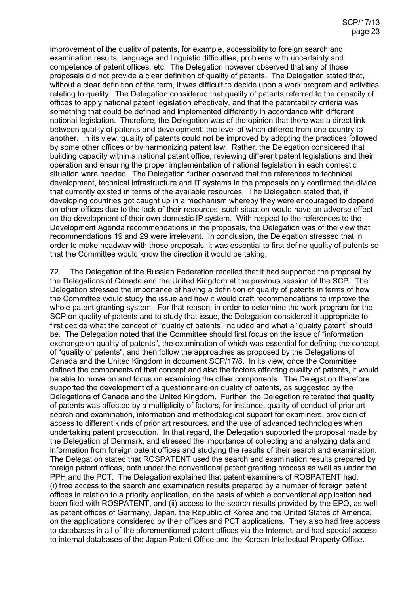improvement of the quality of patents, for example, accessibility to foreign search and examination results, language and linguistic difficulties, problems with uncertainty and competence of patent offices, etc. The Delegation however observed that any of those proposals did not provide a clear definition of quality of patents. The Delegation stated that, without a clear definition of the term, it was difficult to decide upon a work program and activities relating to quality. The Delegation considered that quality of patents referred to the capacity of offices to apply national patent legislation effectively, and that the patentability criteria was something that could be defined and implemented differently in accordance with different national legislation. Therefore, the Delegation was of the opinion that there was a direct link between quality of patents and development, the level of which differed from one country to another. In its view, quality of patents could not be improved by adopting the practices followed by some other offices or by harmonizing patent law. Rather, the Delegation considered that building capacity within a national patent office, reviewing different patent legislations and their operation and ensuring the proper implementation of national legislation in each domestic situation were needed. The Delegation further observed that the references to technical development, technical infrastructure and IT systems in the proposals only confirmed the divide that currently existed in terms of the available resources. The Delegation stated that, if developing countries got caught up in a mechanism whereby they were encouraged to depend on other offices due to the lack of their resources, such situation would have an adverse effect on the development of their own domestic IP system. With respect to the references to the Development Agenda recommendations in the proposals, the Delegation was of the view that recommendations 19 and 29 were irrelevant. In conclusion, the Delegation stressed that in order to make headway with those proposals, it was essential to first define quality of patents so that the Committee would know the direction it would be taking.

72. The Delegation of the Russian Federation recalled that it had supported the proposal by the Delegations of Canada and the United Kingdom at the previous session of the SCP. The Delegation stressed the importance of having a definition of quality of patents in terms of how the Committee would study the issue and how it would craft recommendations to improve the whole patent granting system. For that reason, in order to determine the work program for the SCP on quality of patents and to study that issue, the Delegation considered it appropriate to first decide what the concept of "quality of patents" included and what a "quality patent" should be. The Delegation noted that the Committee should first focus on the issue of "information exchange on quality of patents", the examination of which was essential for defining the concept of "quality of patents", and then follow the approaches as proposed by the Delegations of Canada and the United Kingdom in document SCP/17/8. In its view, once the Committee defined the components of that concept and also the factors affecting quality of patents, it would be able to move on and focus on examining the other components. The Delegation therefore supported the development of a questionnaire on quality of patents, as suggested by the Delegations of Canada and the United Kingdom. Further, the Delegation reiterated that quality of patents was affected by a multiplicity of factors, for instance, quality of conduct of prior art search and examination, information and methodological support for examiners, provision of access to different kinds of prior art resources, and the use of advanced technologies when undertaking patent prosecution. In that regard, the Delegation supported the proposal made by the Delegation of Denmark, and stressed the importance of collecting and analyzing data and information from foreign patent offices and studying the results of their search and examination. The Delegation stated that ROSPATENT used the search and examination results prepared by foreign patent offices, both under the conventional patent granting process as well as under the PPH and the PCT. The Delegation explained that patent examiners of ROSPATENT had, (i) free access to the search and examination results prepared by a number of foreign patent offices in relation to a priority application, on the basis of which a conventional application had been filed with ROSPATENT, and (ii) access to the search results provided by the EPO, as well as patent offices of Germany, Japan, the Republic of Korea and the United States of America, on the applications considered by their offices and PCT applications. They also had free access to databases in all of the aforementioned patent offices via the Internet, and had special access to internal databases of the Japan Patent Office and the Korean Intellectual Property Office.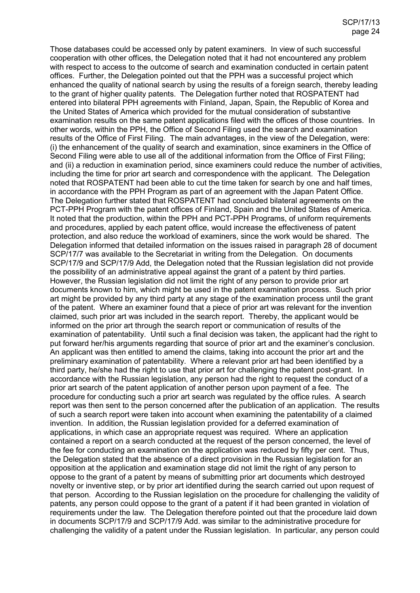Those databases could be accessed only by patent examiners. In view of such successful cooperation with other offices, the Delegation noted that it had not encountered any problem with respect to access to the outcome of search and examination conducted in certain patent offices. Further, the Delegation pointed out that the PPH was a successful project which enhanced the quality of national search by using the results of a foreign search, thereby leading to the grant of higher quality patents. The Delegation further noted that ROSPATENT had entered into bilateral PPH agreements with Finland, Japan, Spain, the Republic of Korea and the United States of America which provided for the mutual consideration of substantive examination results on the same patent applications filed with the offices of those countries. In other words, within the PPH, the Office of Second Filing used the search and examination results of the Office of First Filing. The main advantages, in the view of the Delegation, were: (i) the enhancement of the quality of search and examination, since examiners in the Office of Second Filing were able to use all of the additional information from the Office of First Filing; and (ii) a reduction in examination period, since examiners could reduce the number of activities, including the time for prior art search and correspondence with the applicant. The Delegation noted that ROSPATENT had been able to cut the time taken for search by one and half times, in accordance with the PPH Program as part of an agreement with the Japan Patent Office. The Delegation further stated that ROSPATENT had concluded bilateral agreements on the PCT-PPH Program with the patent offices of Finland, Spain and the United States of America. It noted that the production, within the PPH and PCT-PPH Programs, of uniform requirements and procedures, applied by each patent office, would increase the effectiveness of patent protection, and also reduce the workload of examiners, since the work would be shared. The Delegation informed that detailed information on the issues raised in paragraph 28 of document SCP/17/7 was available to the Secretariat in writing from the Delegation. On documents SCP/17/9 and SCP/17/9 Add, the Delegation noted that the Russian legislation did not provide the possibility of an administrative appeal against the grant of a patent by third parties. However, the Russian legislation did not limit the right of any person to provide prior art documents known to him, which might be used in the patent examination process. Such prior art might be provided by any third party at any stage of the examination process until the grant of the patent. Where an examiner found that a piece of prior art was relevant for the invention claimed, such prior art was included in the search report. Thereby, the applicant would be informed on the prior art through the search report or communication of results of the examination of patentability. Until such a final decision was taken, the applicant had the right to put forward her/his arguments regarding that source of prior art and the examiner's conclusion. An applicant was then entitled to amend the claims, taking into account the prior art and the preliminary examination of patentability. Where a relevant prior art had been identified by a third party, he/she had the right to use that prior art for challenging the patent post-grant. In accordance with the Russian legislation, any person had the right to request the conduct of a prior art search of the patent application of another person upon payment of a fee. The procedure for conducting such a prior art search was regulated by the office rules. A search report was then sent to the person concerned after the publication of an application. The results of such a search report were taken into account when examining the patentability of a claimed invention. In addition, the Russian legislation provided for a deferred examination of applications, in which case an appropriate request was required. Where an application contained a report on a search conducted at the request of the person concerned, the level of the fee for conducting an examination on the application was reduced by fifty per cent. Thus, the Delegation stated that the absence of a direct provision in the Russian legislation for an opposition at the application and examination stage did not limit the right of any person to oppose to the grant of a patent by means of submitting prior art documents which destroyed novelty or inventive step, or by prior art identified during the search carried out upon request of that person. According to the Russian legislation on the procedure for challenging the validity of patents, any person could oppose to the grant of a patent if it had been granted in violation of requirements under the law. The Delegation therefore pointed out that the procedure laid down in documents SCP/17/9 and SCP/17/9 Add. was similar to the administrative procedure for challenging the validity of a patent under the Russian legislation. In particular, any person could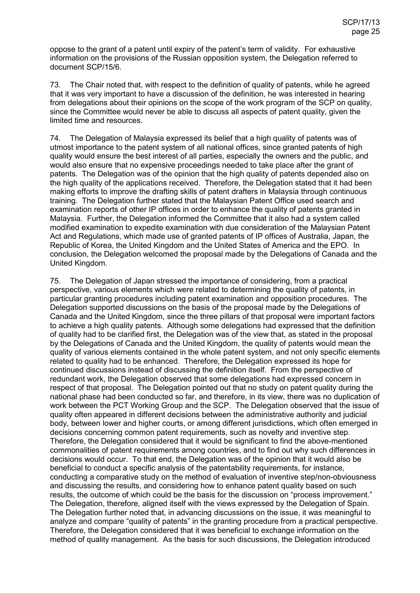oppose to the grant of a patent until expiry of the patent's term of validity. For exhaustive information on the provisions of the Russian opposition system, the Delegation referred to document SCP/15/6.

73. The Chair noted that, with respect to the definition of quality of patents, while he agreed that it was very important to have a discussion of the definition, he was interested in hearing from delegations about their opinions on the scope of the work program of the SCP on quality, since the Committee would never be able to discuss all aspects of patent quality, given the limited time and resources.

74. The Delegation of Malaysia expressed its belief that a high quality of patents was of utmost importance to the patent system of all national offices, since granted patents of high quality would ensure the best interest of all parties, especially the owners and the public, and would also ensure that no expensive proceedings needed to take place after the grant of patents. The Delegation was of the opinion that the high quality of patents depended also on the high quality of the applications received. Therefore, the Delegation stated that it had been making efforts to improve the drafting skills of patent drafters in Malaysia through continuous training. The Delegation further stated that the Malaysian Patent Office used search and examination reports of other IP offices in order to enhance the quality of patents granted in Malaysia. Further, the Delegation informed the Committee that it also had a system called modified examination to expedite examination with due consideration of the Malaysian Patent Act and Regulations, which made use of granted patents of IP offices of Australia, Japan, the Republic of Korea, the United Kingdom and the United States of America and the EPO. In conclusion, the Delegation welcomed the proposal made by the Delegations of Canada and the United Kingdom.

75. The Delegation of Japan stressed the importance of considering, from a practical perspective, various elements which were related to determining the quality of patents, in particular granting procedures including patent examination and opposition procedures. The Delegation supported discussions on the basis of the proposal made by the Delegations of Canada and the United Kingdom, since the three pillars of that proposal were important factors to achieve a high quality patents. Although some delegations had expressed that the definition of quality had to be clarified first, the Delegation was of the view that, as stated in the proposal by the Delegations of Canada and the United Kingdom, the quality of patents would mean the quality of various elements contained in the whole patent system, and not only specific elements related to quality had to be enhanced. Therefore, the Delegation expressed its hope for continued discussions instead of discussing the definition itself. From the perspective of redundant work, the Delegation observed that some delegations had expressed concern in respect of that proposal. The Delegation pointed out that no study on patent quality during the national phase had been conducted so far, and therefore, in its view, there was no duplication of work between the PCT Working Group and the SCP. The Delegation observed that the issue of quality often appeared in different decisions between the administrative authority and judicial body, between lower and higher courts, or among different jurisdictions, which often emerged in decisions concerning common patent requirements, such as novelty and inventive step. Therefore, the Delegation considered that it would be significant to find the above-mentioned commonalities of patent requirements among countries, and to find out why such differences in decisions would occur. To that end, the Delegation was of the opinion that it would also be beneficial to conduct a specific analysis of the patentability requirements, for instance, conducting a comparative study on the method of evaluation of inventive step/non-obviousness and discussing the results, and considering how to enhance patent quality based on such results, the outcome of which could be the basis for the discussion on "process improvement." The Delegation, therefore, aligned itself with the views expressed by the Delegation of Spain. The Delegation further noted that, in advancing discussions on the issue, it was meaningful to analyze and compare "quality of patents" in the granting procedure from a practical perspective. Therefore, the Delegation considered that it was beneficial to exchange information on the method of quality management. As the basis for such discussions, the Delegation introduced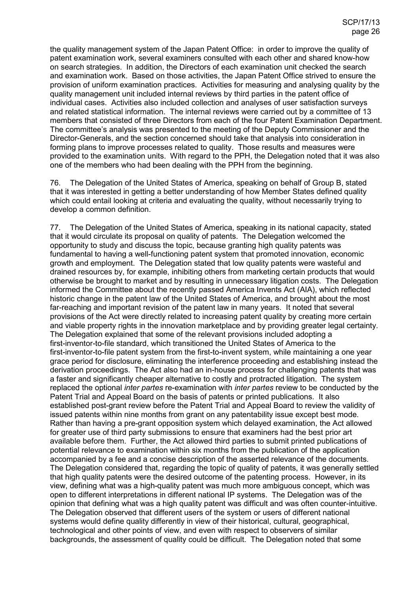the quality management system of the Japan Patent Office: in order to improve the quality of patent examination work, several examiners consulted with each other and shared know-how on search strategies. In addition, the Directors of each examination unit checked the search and examination work. Based on those activities, the Japan Patent Office strived to ensure the provision of uniform examination practices. Activities for measuring and analysing quality by the quality management unit included internal reviews by third parties in the patent office of individual cases. Activities also included collection and analyses of user satisfaction surveys and related statistical information. The internal reviews were carried out by a committee of 13 members that consisted of three Directors from each of the four Patent Examination Department. The committee's analysis was presented to the meeting of the Deputy Commissioner and the Director-Generals, and the section concerned should take that analysis into consideration in forming plans to improve processes related to quality. Those results and measures were provided to the examination units. With regard to the PPH, the Delegation noted that it was also one of the members who had been dealing with the PPH from the beginning.

76. The Delegation of the United States of America, speaking on behalf of Group B, stated that it was interested in getting a better understanding of how Member States defined quality which could entail looking at criteria and evaluating the quality, without necessarily trying to develop a common definition.

77. The Delegation of the United States of America, speaking in its national capacity, stated that it would circulate its proposal on quality of patents. The Delegation welcomed the opportunity to study and discuss the topic, because granting high quality patents was fundamental to having a well-functioning patent system that promoted innovation, economic growth and employment. The Delegation stated that low quality patents were wasteful and drained resources by, for example, inhibiting others from marketing certain products that would otherwise be brought to market and by resulting in unnecessary litigation costs. The Delegation informed the Committee about the recently passed America Invents Act (AIA), which reflected historic change in the patent law of the United States of America, and brought about the most far-reaching and important revision of the patent law in many years. It noted that several provisions of the Act were directly related to increasing patent quality by creating more certain and viable property rights in the innovation marketplace and by providing greater legal certainty. The Delegation explained that some of the relevant provisions included adopting a first-inventor-to-file standard, which transitioned the United States of America to the first-inventor-to-file patent system from the first-to-invent system, while maintaining a one year grace period for disclosure, eliminating the interference proceeding and establishing instead the derivation proceedings. The Act also had an in-house process for challenging patents that was a faster and significantly cheaper alternative to costly and protracted litigation. The system replaced the optional *inter partes* re-examination with *inter partes* review to be conducted by the Patent Trial and Appeal Board on the basis of patents or printed publications. It also established post-grant review before the Patent Trial and Appeal Board to review the validity of issued patents within nine months from grant on any patentability issue except best mode. Rather than having a pre-grant opposition system which delayed examination, the Act allowed for greater use of third party submissions to ensure that examiners had the best prior art available before them. Further, the Act allowed third parties to submit printed publications of potential relevance to examination within six months from the publication of the application accompanied by a fee and a concise description of the asserted relevance of the documents. The Delegation considered that, regarding the topic of quality of patents, it was generally settled that high quality patents were the desired outcome of the patenting process. However, in its view, defining what was a high-quality patent was much more ambiguous concept, which was open to different interpretations in different national IP systems. The Delegation was of the opinion that defining what was a high quality patent was difficult and was often counter-intuitive. The Delegation observed that different users of the system or users of different national systems would define quality differently in view of their historical, cultural, geographical, technological and other points of view, and even with respect to observers of similar backgrounds, the assessment of quality could be difficult. The Delegation noted that some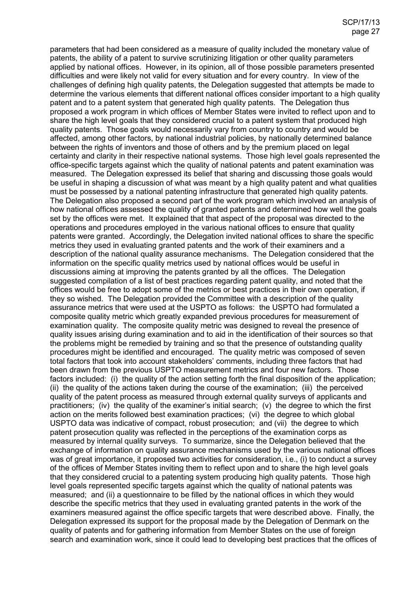parameters that had been considered as a measure of quality included the monetary value of patents, the ability of a patent to survive scrutinizing litigation or other quality parameters applied by national offices. However, in its opinion, all of those possible parameters presented difficulties and were likely not valid for every situation and for every country. In view of the challenges of defining high quality patents, the Delegation suggested that attempts be made to determine the various elements that different national offices consider important to a high quality patent and to a patent system that generated high quality patents. The Delegation thus proposed a work program in which offices of Member States were invited to reflect upon and to share the high level goals that they considered crucial to a patent system that produced high quality patents. Those goals would necessarily vary from country to country and would be affected, among other factors, by national industrial policies, by nationally determined balance between the rights of inventors and those of others and by the premium placed on legal certainty and clarity in their respective national systems. Those high level goals represented the office-specific targets against which the quality of national patents and patent examination was measured. The Delegation expressed its belief that sharing and discussing those goals would be useful in shaping a discussion of what was meant by a high quality patent and what qualities must be possessed by a national patenting infrastructure that generated high quality patents. The Delegation also proposed a second part of the work program which involved an analysis of how national offices assessed the quality of granted patents and determined how well the goals set by the offices were met. It explained that that aspect of the proposal was directed to the operations and procedures employed in the various national offices to ensure that quality patents were granted. Accordingly, the Delegation invited national offices to share the specific metrics they used in evaluating granted patents and the work of their examiners and a description of the national quality assurance mechanisms. The Delegation considered that the information on the specific quality metrics used by national offices would be useful in discussions aiming at improving the patents granted by all the offices. The Delegation suggested compilation of a list of best practices regarding patent quality, and noted that the offices would be free to adopt some of the metrics or best practices in their own operation, if they so wished. The Delegation provided the Committee with a description of the quality assurance metrics that were used at the USPTO as follows: the USPTO had formulated a composite quality metric which greatly expanded previous procedures for measurement of examination quality. The composite quality metric was designed to reveal the presence of quality issues arising during examination and to aid in the identification of their sources so that the problems might be remedied by training and so that the presence of outstanding quality procedures might be identified and encouraged. The quality metric was composed of seven total factors that took into account stakeholders' comments, including three factors that had been drawn from the previous USPTO measurement metrics and four new factors. Those factors included: (i) the quality of the action setting forth the final disposition of the application; (ii) the quality of the actions taken during the course of the examination; (iii) the perceived quality of the patent process as measured through external quality surveys of applicants and practitioners; (iv) the quality of the examiner's initial search; (v) the degree to which the first action on the merits followed best examination practices; (vi) the degree to which global USPTO data was indicative of compact, robust prosecution; and (vii) the degree to which patent prosecution quality was reflected in the perceptions of the examination corps as measured by internal quality surveys. To summarize, since the Delegation believed that the exchange of information on quality assurance mechanisms used by the various national offices was of great importance, it proposed two activities for consideration, i.e., (i) to conduct a survey of the offices of Member States inviting them to reflect upon and to share the high level goals that they considered crucial to a patenting system producing high quality patents. Those high level goals represented specific targets against which the quality of national patents was measured; and (ii) a questionnaire to be filled by the national offices in which they would describe the specific metrics that they used in evaluating granted patents in the work of the examiners measured against the office specific targets that were described above. Finally, the Delegation expressed its support for the proposal made by the Delegation of Denmark on the quality of patents and for gathering information from Member States on the use of foreign search and examination work, since it could lead to developing best practices that the offices of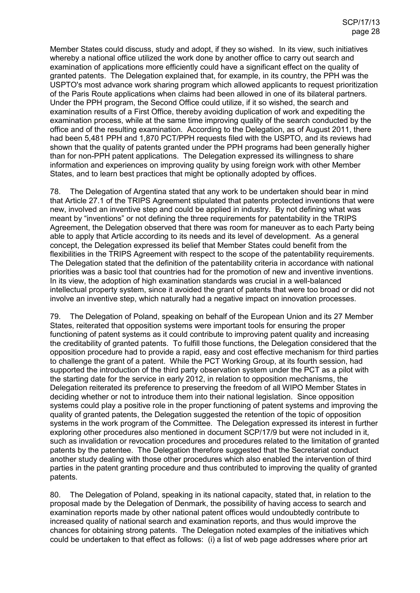Member States could discuss, study and adopt, if they so wished. In its view, such initiatives whereby a national office utilized the work done by another office to carry out search and examination of applications more efficiently could have a significant effect on the quality of granted patents. The Delegation explained that, for example, in its country, the PPH was the USPTO's most advance work sharing program which allowed applicants to request prioritization of the Paris Route applications when claims had been allowed in one of its bilateral partners. Under the PPH program, the Second Office could utilize, if it so wished, the search and examination results of a First Office, thereby avoiding duplication of work and expediting the examination process, while at the same time improving quality of the search conducted by the office and of the resulting examination. According to the Delegation, as of August 2011, there had been 5,481 PPH and 1,870 PCT/PPH requests filed with the USPTO, and its reviews had shown that the quality of patents granted under the PPH programs had been generally higher than for non-PPH patent applications. The Delegation expressed its willingness to share information and experiences on improving quality by using foreign work with other Member States, and to learn best practices that might be optionally adopted by offices.

78. The Delegation of Argentina stated that any work to be undertaken should bear in mind that Article 27.1 of the TRIPS Agreement stipulated that patents protected inventions that were new, involved an inventive step and could be applied in industry. By not defining what was meant by "inventions" or not defining the three requirements for patentability in the TRIPS Agreement, the Delegation observed that there was room for maneuver as to each Party being able to apply that Article according to its needs and its level of development. As a general concept, the Delegation expressed its belief that Member States could benefit from the flexibilities in the TRIPS Agreement with respect to the scope of the patentability requirements. The Delegation stated that the definition of the patentability criteria in accordance with national priorities was a basic tool that countries had for the promotion of new and inventive inventions. In its view, the adoption of high examination standards was crucial in a well-balanced intellectual property system, since it avoided the grant of patents that were too broad or did not involve an inventive step, which naturally had a negative impact on innovation processes.

79. The Delegation of Poland, speaking on behalf of the European Union and its 27 Member States, reiterated that opposition systems were important tools for ensuring the proper functioning of patent systems as it could contribute to improving patent quality and increasing the creditability of granted patents. To fulfill those functions, the Delegation considered that the opposition procedure had to provide a rapid, easy and cost effective mechanism for third parties to challenge the grant of a patent. While the PCT Working Group, at its fourth session, had supported the introduction of the third party observation system under the PCT as a pilot with the starting date for the service in early 2012, in relation to opposition mechanisms, the Delegation reiterated its preference to preserving the freedom of all WIPO Member States in deciding whether or not to introduce them into their national legislation. Since opposition systems could play a positive role in the proper functioning of patent systems and improving the quality of granted patents, the Delegation suggested the retention of the topic of opposition systems in the work program of the Committee. The Delegation expressed its interest in further exploring other procedures also mentioned in document SCP/17/9 but were not included in it, such as invalidation or revocation procedures and procedures related to the limitation of granted patents by the patentee. The Delegation therefore suggested that the Secretariat conduct another study dealing with those other procedures which also enabled the intervention of third parties in the patent granting procedure and thus contributed to improving the quality of granted patents.

80. The Delegation of Poland, speaking in its national capacity, stated that, in relation to the proposal made by the Delegation of Denmark, the possibility of having access to search and examination reports made by other national patent offices would undoubtedly contribute to increased quality of national search and examination reports, and thus would improve the chances for obtaining strong patents. The Delegation noted examples of the initiatives which could be undertaken to that effect as follows: (i) a list of web page addresses where prior art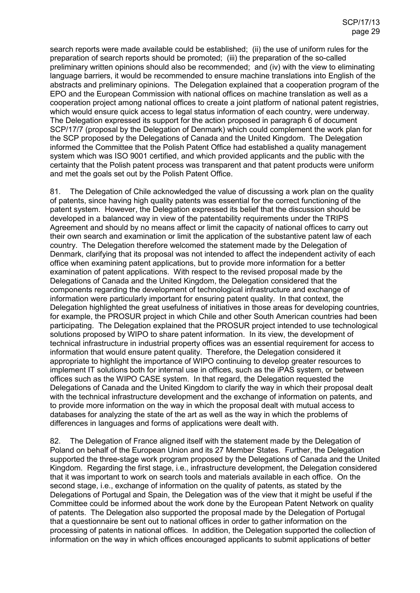search reports were made available could be established; (ii) the use of uniform rules for the preparation of search reports should be promoted; (iii) the preparation of the so-called preliminary written opinions should also be recommended; and (iv) with the view to eliminating language barriers, it would be recommended to ensure machine translations into English of the abstracts and preliminary opinions. The Delegation explained that a cooperation program of the EPO and the European Commission with national offices on machine translation as well as a cooperation project among national offices to create a joint platform of national patent registries, which would ensure quick access to legal status information of each country, were underway. The Delegation expressed its support for the action proposed in paragraph 6 of document SCP/17/7 (proposal by the Delegation of Denmark) which could complement the work plan for the SCP proposed by the Delegations of Canada and the United Kingdom. The Delegation informed the Committee that the Polish Patent Office had established a quality management system which was ISO 9001 certified, and which provided applicants and the public with the certainty that the Polish patent process was transparent and that patent products were uniform and met the goals set out by the Polish Patent Office.

81. The Delegation of Chile acknowledged the value of discussing a work plan on the quality of patents, since having high quality patents was essential for the correct functioning of the patent system. However, the Delegation expressed its belief that the discussion should be developed in a balanced way in view of the patentability requirements under the TRIPS Agreement and should by no means affect or limit the capacity of national offices to carry out their own search and examination or limit the application of the substantive patent law of each country. The Delegation therefore welcomed the statement made by the Delegation of Denmark, clarifying that its proposal was not intended to affect the independent activity of each office when examining patent applications, but to provide more information for a better examination of patent applications. With respect to the revised proposal made by the Delegations of Canada and the United Kingdom, the Delegation considered that the components regarding the development of technological infrastructure and exchange of information were particularly important for ensuring patent quality. In that context, the Delegation highlighted the great usefulness of initiatives in those areas for developing countries, for example, the PROSUR project in which Chile and other South American countries had been participating. The Delegation explained that the PROSUR project intended to use technological solutions proposed by WIPO to share patent information. In its view, the development of technical infrastructure in industrial property offices was an essential requirement for access to information that would ensure patent quality. Therefore, the Delegation considered it appropriate to highlight the importance of WIPO continuing to develop greater resources to implement IT solutions both for internal use in offices, such as the iPAS system, or between offices such as the WIPO CASE system. In that regard, the Delegation requested the Delegations of Canada and the United Kingdom to clarify the way in which their proposal dealt with the technical infrastructure development and the exchange of information on patents, and to provide more information on the way in which the proposal dealt with mutual access to databases for analyzing the state of the art as well as the way in which the problems of differences in languages and forms of applications were dealt with.

82. The Delegation of France aligned itself with the statement made by the Delegation of Poland on behalf of the European Union and its 27 Member States. Further, the Delegation supported the three-stage work program proposed by the Delegations of Canada and the United Kingdom. Regarding the first stage, i.e., infrastructure development, the Delegation considered that it was important to work on search tools and materials available in each office. On the second stage, i.e., exchange of information on the quality of patents, as stated by the Delegations of Portugal and Spain, the Delegation was of the view that it might be useful if the Committee could be informed about the work done by the European Patent Network on quality of patents. The Delegation also supported the proposal made by the Delegation of Portugal that a questionnaire be sent out to national offices in order to gather information on the processing of patents in national offices. In addition, the Delegation supported the collection of information on the way in which offices encouraged applicants to submit applications of better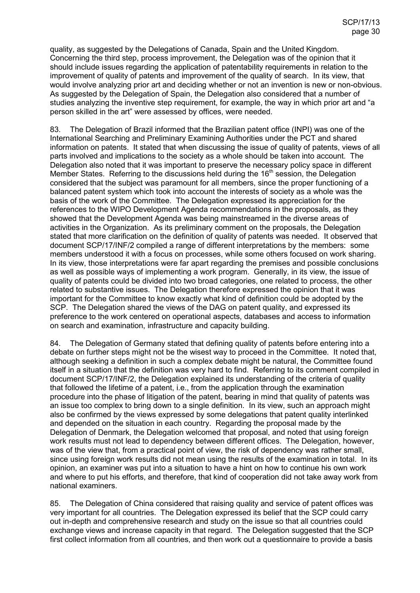quality, as suggested by the Delegations of Canada, Spain and the United Kingdom. Concerning the third step, process improvement, the Delegation was of the opinion that it should include issues regarding the application of patentability requirements in relation to the improvement of quality of patents and improvement of the quality of search. In its view, that would involve analyzing prior art and deciding whether or not an invention is new or non-obvious. As suggested by the Delegation of Spain, the Delegation also considered that a number of studies analyzing the inventive step requirement, for example, the way in which prior art and "a person skilled in the art" were assessed by offices, were needed.

83. The Delegation of Brazil informed that the Brazilian patent office (INPI) was one of the International Searching and Preliminary Examining Authorities under the PCT and shared information on patents. It stated that when discussing the issue of quality of patents, views of all parts involved and implications to the society as a whole should be taken into account. The Delegation also noted that it was important to preserve the necessary policy space in different Member States. Referring to the discussions held during the 16<sup>th</sup> session, the Delegation considered that the subject was paramount for all members, since the proper functioning of a balanced patent system which took into account the interests of society as a whole was the basis of the work of the Committee. The Delegation expressed its appreciation for the references to the WIPO Development Agenda recommendations in the proposals, as they showed that the Development Agenda was being mainstreamed in the diverse areas of activities in the Organization. As its preliminary comment on the proposals, the Delegation stated that more clarification on the definition of quality of patents was needed. It observed that document SCP/17/INF/2 compiled a range of different interpretations by the members: some members understood it with a focus on processes, while some others focused on work sharing. In its view, those interpretations were far apart regarding the premises and possible conclusions as well as possible ways of implementing a work program. Generally, in its view, the issue of quality of patents could be divided into two broad categories, one related to process, the other related to substantive issues. The Delegation therefore expressed the opinion that it was important for the Committee to know exactly what kind of definition could be adopted by the SCP. The Delegation shared the views of the DAG on patent quality, and expressed its preference to the work centered on operational aspects, databases and access to information on search and examination, infrastructure and capacity building.

84. The Delegation of Germany stated that defining quality of patents before entering into a debate on further steps might not be the wisest way to proceed in the Committee. It noted that, although seeking a definition in such a complex debate might be natural, the Committee found itself in a situation that the definition was very hard to find. Referring to its comment compiled in document SCP/17/INF/2, the Delegation explained its understanding of the criteria of quality that followed the lifetime of a patent, i.e., from the application through the examination procedure into the phase of litigation of the patent, bearing in mind that quality of patents was an issue too complex to bring down to a single definition. In its view, such an approach might also be confirmed by the views expressed by some delegations that patent quality interlinked and depended on the situation in each country. Regarding the proposal made by the Delegation of Denmark, the Delegation welcomed that proposal, and noted that using foreign work results must not lead to dependency between different offices. The Delegation, however, was of the view that, from a practical point of view, the risk of dependency was rather small, since using foreign work results did not mean using the results of the examination in total. In its opinion, an examiner was put into a situation to have a hint on how to continue his own work and where to put his efforts, and therefore, that kind of cooperation did not take away work from national examiners.

85. The Delegation of China considered that raising quality and service of patent offices was very important for all countries. The Delegation expressed its belief that the SCP could carry out in-depth and comprehensive research and study on the issue so that all countries could exchange views and increase capacity in that regard. The Delegation suggested that the SCP first collect information from all countries, and then work out a questionnaire to provide a basis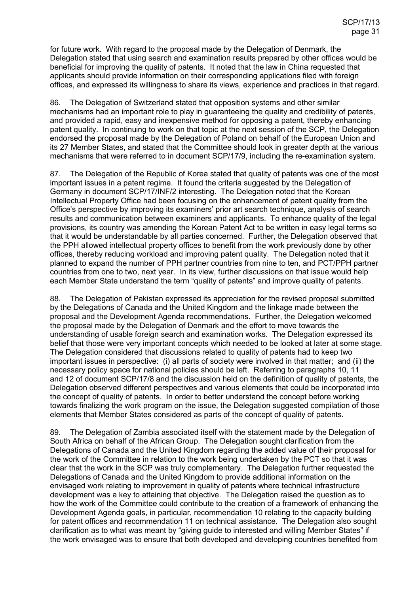for future work. With regard to the proposal made by the Delegation of Denmark, the Delegation stated that using search and examination results prepared by other offices would be beneficial for improving the quality of patents. It noted that the law in China requested that applicants should provide information on their corresponding applications filed with foreign offices, and expressed its willingness to share its views, experience and practices in that regard.

86. The Delegation of Switzerland stated that opposition systems and other similar mechanisms had an important role to play in guaranteeing the quality and credibility of patents, and provided a rapid, easy and inexpensive method for opposing a patent, thereby enhancing patent quality. In continuing to work on that topic at the next session of the SCP, the Delegation endorsed the proposal made by the Delegation of Poland on behalf of the European Union and its 27 Member States, and stated that the Committee should look in greater depth at the various mechanisms that were referred to in document SCP/17/9, including the re-examination system.

87. The Delegation of the Republic of Korea stated that quality of patents was one of the most important issues in a patent regime. It found the criteria suggested by the Delegation of Germany in document SCP/17/INF/2 interesting. The Delegation noted that the Korean Intellectual Property Office had been focusing on the enhancement of patent quality from the Office's perspective by improving its examiners' prior art search technique, analysis of search results and communication between examiners and applicants. To enhance quality of the legal provisions, its country was amending the Korean Patent Act to be written in easy legal terms so that it would be understandable by all parties concerned. Further, the Delegation observed that the PPH allowed intellectual property offices to benefit from the work previously done by other offices, thereby reducing workload and improving patent quality. The Delegation noted that it planned to expand the number of PPH partner countries from nine to ten, and PCT/PPH partner countries from one to two, next year. In its view, further discussions on that issue would help each Member State understand the term "quality of patents" and improve quality of patents.

88. The Delegation of Pakistan expressed its appreciation for the revised proposal submitted by the Delegations of Canada and the United Kingdom and the linkage made between the proposal and the Development Agenda recommendations. Further, the Delegation welcomed the proposal made by the Delegation of Denmark and the effort to move towards the understanding of usable foreign search and examination works. The Delegation expressed its belief that those were very important concepts which needed to be looked at later at some stage. The Delegation considered that discussions related to quality of patents had to keep two important issues in perspective: (i) all parts of society were involved in that matter; and (ii) the necessary policy space for national policies should be left. Referring to paragraphs 10, 11 and 12 of document SCP/17/8 and the discussion held on the definition of quality of patents, the Delegation observed different perspectives and various elements that could be incorporated into the concept of quality of patents. In order to better understand the concept before working towards finalizing the work program on the issue, the Delegation suggested compilation of those elements that Member States considered as parts of the concept of quality of patents.

89. The Delegation of Zambia associated itself with the statement made by the Delegation of South Africa on behalf of the African Group. The Delegation sought clarification from the Delegations of Canada and the United Kingdom regarding the added value of their proposal for the work of the Committee in relation to the work being undertaken by the PCT so that it was clear that the work in the SCP was truly complementary. The Delegation further requested the Delegations of Canada and the United Kingdom to provide additional information on the envisaged work relating to improvement in quality of patents where technical infrastructure development was a key to attaining that objective. The Delegation raised the question as to how the work of the Committee could contribute to the creation of a framework of enhancing the Development Agenda goals, in particular, recommendation 10 relating to the capacity building for patent offices and recommendation 11 on technical assistance. The Delegation also sought clarification as to what was meant by "giving guide to interested and willing Member States" if the work envisaged was to ensure that both developed and developing countries benefited from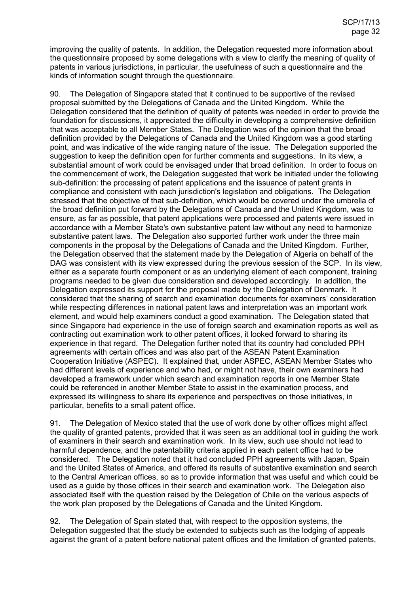improving the quality of patents. In addition, the Delegation requested more information about the questionnaire proposed by some delegations with a view to clarify the meaning of quality of patents in various jurisdictions, in particular, the usefulness of such a questionnaire and the kinds of information sought through the questionnaire.

90. The Delegation of Singapore stated that it continued to be supportive of the revised proposal submitted by the Delegations of Canada and the United Kingdom. While the Delegation considered that the definition of quality of patents was needed in order to provide the foundation for discussions, it appreciated the difficulty in developing a comprehensive definition that was acceptable to all Member States. The Delegation was of the opinion that the broad definition provided by the Delegations of Canada and the United Kingdom was a good starting point, and was indicative of the wide ranging nature of the issue. The Delegation supported the suggestion to keep the definition open for further comments and suggestions. In its view, a substantial amount of work could be envisaged under that broad definition. In order to focus on the commencement of work, the Delegation suggested that work be initiated under the following sub-definition: the processing of patent applications and the issuance of patent grants in compliance and consistent with each jurisdiction's legislation and obligations. The Delegation stressed that the objective of that sub-definition, which would be covered under the umbrella of the broad definition put forward by the Delegations of Canada and the United Kingdom, was to ensure, as far as possible, that patent applications were processed and patents were issued in accordance with a Member State's own substantive patent law without any need to harmonize substantive patent laws. The Delegation also supported further work under the three main components in the proposal by the Delegations of Canada and the United Kingdom. Further, the Delegation observed that the statement made by the Delegation of Algeria on behalf of the DAG was consistent with its view expressed during the previous session of the SCP. In its view, either as a separate fourth component or as an underlying element of each component, training programs needed to be given due consideration and developed accordingly. In addition, the Delegation expressed its support for the proposal made by the Delegation of Denmark. It considered that the sharing of search and examination documents for examiners' consideration while respecting differences in national patent laws and interpretation was an important work element, and would help examiners conduct a good examination. The Delegation stated that since Singapore had experience in the use of foreign search and examination reports as well as contracting out examination work to other patent offices, it looked forward to sharing its experience in that regard. The Delegation further noted that its country had concluded PPH agreements with certain offices and was also part of the ASEAN Patent Examination Cooperation Initiative (ASPEC). It explained that, under ASPEC, ASEAN Member States who had different levels of experience and who had, or might not have, their own examiners had developed a framework under which search and examination reports in one Member State could be referenced in another Member State to assist in the examination process, and expressed its willingness to share its experience and perspectives on those initiatives, in particular, benefits to a small patent office.

91. The Delegation of Mexico stated that the use of work done by other offices might affect the quality of granted patents, provided that it was seen as an additional tool in guiding the work of examiners in their search and examination work. In its view, such use should not lead to harmful dependence, and the patentability criteria applied in each patent office had to be considered. The Delegation noted that it had concluded PPH agreements with Japan, Spain and the United States of America, and offered its results of substantive examination and search to the Central American offices, so as to provide information that was useful and which could be used as a guide by those offices in their search and examination work. The Delegation also associated itself with the question raised by the Delegation of Chile on the various aspects of the work plan proposed by the Delegations of Canada and the United Kingdom.

92. The Delegation of Spain stated that, with respect to the opposition systems, the Delegation suggested that the study be extended to subjects such as the lodging of appeals against the grant of a patent before national patent offices and the limitation of granted patents,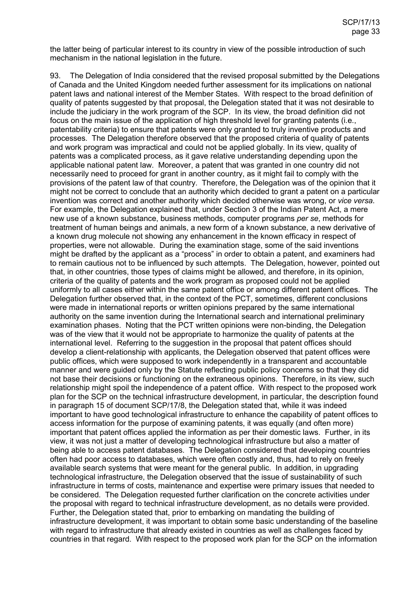the latter being of particular interest to its country in view of the possible introduction of such mechanism in the national legislation in the future.

93. The Delegation of India considered that the revised proposal submitted by the Delegations of Canada and the United Kingdom needed further assessment for its implications on national patent laws and national interest of the Member States. With respect to the broad definition of quality of patents suggested by that proposal, the Delegation stated that it was not desirable to include the judiciary in the work program of the SCP. In its view, the broad definition did not focus on the main issue of the application of high threshold level for granting patents (i.e., patentability criteria) to ensure that patents were only granted to truly inventive products and processes. The Delegation therefore observed that the proposed criteria of quality of patents and work program was impractical and could not be applied globally. In its view, quality of patents was a complicated process, as it gave relative understanding depending upon the applicable national patent law. Moreover, a patent that was granted in one country did not necessarily need to proceed for grant in another country, as it might fail to comply with the provisions of the patent law of that country. Therefore, the Delegation was of the opinion that it might not be correct to conclude that an authority which decided to grant a patent on a particular invention was correct and another authority which decided otherwise was wrong, or *vice versa*. For example, the Delegation explained that, under Section 3 of the Indian Patent Act, a mere new use of a known substance, business methods, computer programs *per se*, methods for treatment of human beings and animals, a new form of a known substance, a new derivative of a known drug molecule not showing any enhancement in the known efficacy in respect of properties, were not allowable. During the examination stage, some of the said inventions might be drafted by the applicant as a "process" in order to obtain a patent, and examiners had to remain cautious not to be influenced by such attempts. The Delegation, however, pointed out that, in other countries, those types of claims might be allowed, and therefore, in its opinion, criteria of the quality of patents and the work program as proposed could not be applied uniformly to all cases either within the same patent office or among different patent offices. The Delegation further observed that, in the context of the PCT, sometimes, different conclusions were made in international reports or written opinions prepared by the same international authority on the same invention during the International search and international preliminary examination phases. Noting that the PCT written opinions were non-binding, the Delegation was of the view that it would not be appropriate to harmonize the quality of patents at the international level. Referring to the suggestion in the proposal that patent offices should develop a client-relationship with applicants, the Delegation observed that patent offices were public offices, which were supposed to work independently in a transparent and accountable manner and were guided only by the Statute reflecting public policy concerns so that they did not base their decisions or functioning on the extraneous opinions. Therefore, in its view, such relationship might spoil the independence of a patent office. With respect to the proposed work plan for the SCP on the technical infrastructure development, in particular, the description found in paragraph 15 of document SCP/17/8, the Delegation stated that, while it was indeed important to have good technological infrastructure to enhance the capability of patent offices to access information for the purpose of examining patents, it was equally (and often more) important that patent offices applied the information as per their domestic laws. Further, in its view, it was not just a matter of developing technological infrastructure but also a matter of being able to access patent databases. The Delegation considered that developing countries often had poor access to databases, which were often costly and, thus, had to rely on freely available search systems that were meant for the general public. In addition, in upgrading technological infrastructure, the Delegation observed that the issue of sustainability of such infrastructure in terms of costs, maintenance and expertise were primary issues that needed to be considered. The Delegation requested further clarification on the concrete activities under the proposal with regard to technical infrastructure development, as no details were provided. Further, the Delegation stated that, prior to embarking on mandating the building of infrastructure development, it was important to obtain some basic understanding of the baseline with regard to infrastructure that already existed in countries as well as challenges faced by countries in that regard. With respect to the proposed work plan for the SCP on the information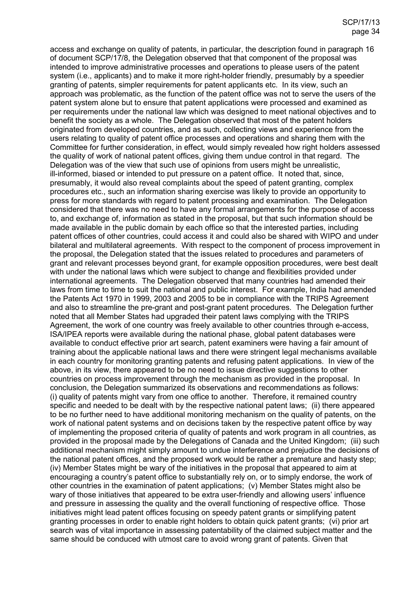access and exchange on quality of patents, in particular, the description found in paragraph 16 of document SCP/17/8, the Delegation observed that that component of the proposal was intended to improve administrative processes and operations to please users of the patent system (i.e., applicants) and to make it more right-holder friendly, presumably by a speedier granting of patents, simpler requirements for patent applicants etc. In its view, such an approach was problematic, as the function of the patent office was not to serve the users of the patent system alone but to ensure that patent applications were processed and examined as per requirements under the national law which was designed to meet national objectives and to benefit the society as a whole. The Delegation observed that most of the patent holders originated from developed countries, and as such, collecting views and experience from the users relating to quality of patent office processes and operations and sharing them with the Committee for further consideration, in effect*,* would simply revealed how right holders assessed the quality of work of national patent offices, giving them undue control in that regard. The Delegation was of the view that such use of opinions from users might be unrealistic, ill-informed, biased or intended to put pressure on a patent office. It noted that, since, presumably, it would also reveal complaints about the speed of patent granting, complex procedures etc., such an information sharing exercise was likely to provide an opportunity to press for more standards with regard to patent processing and examination. The Delegation considered that there was no need to have any formal arrangements for the purpose of access to, and exchange of, information as stated in the proposal, but that such information should be made available in the public domain by each office so that the interested parties, including patent offices of other countries, could access it and could also be shared with WIPO and under bilateral and multilateral agreements. With respect to the component of process improvement in the proposal, the Delegation stated that the issues related to procedures and parameters of grant and relevant processes beyond grant, for example opposition procedures, were best dealt with under the national laws which were subject to change and flexibilities provided under international agreements. The Delegation observed that many countries had amended their laws from time to time to suit the national and public interest. For example, India had amended the Patents Act 1970 in 1999, 2003 and 2005 to be in compliance with the TRIPS Agreement and also to streamline the pre-grant and post-grant patent procedures. The Delegation further noted that all Member States had upgraded their patent laws complying with the TRIPS Agreement, the work of one country was freely available to other countries through e-access, ISA/IPEA reports were available during the national phase, global patent databases were available to conduct effective prior art search, patent examiners were having a fair amount of training about the applicable national laws and there were stringent legal mechanisms available in each country for monitoring granting patents and refusing patent applications. In view of the above, in its view, there appeared to be no need to issue directive suggestions to other countries on process improvement through the mechanism as provided in the proposal. In conclusion, the Delegation summarized its observations and recommendations as follows: (i) quality of patents might vary from one office to another. Therefore, it remained country specific and needed to be dealt with by the respective national patent laws; (ii) there appeared to be no further need to have additional monitoring mechanism on the quality of patents, on the work of national patent systems and on decisions taken by the respective patent office by way of implementing the proposed criteria of quality of patents and work program in all countries, as provided in the proposal made by the Delegations of Canada and the United Kingdom; (iii) such additional mechanism might simply amount to undue interference and prejudice the decisions of the national patent offices, and the proposed work would be rather a premature and hasty step; (iv) Member States might be wary of the initiatives in the proposal that appeared to aim at encouraging a country's patent office to substantially rely on, or to simply endorse, the work of other countries in the examination of patent applications; (v) Member States might also be wary of those initiatives that appeared to be extra user-friendly and allowing users' influence and pressure in assessing the quality and the overall functioning of respective office. Those initiatives might lead patent offices focusing on speedy patent grants or simplifying patent granting processes in order to enable right holders to obtain quick patent grants; (vi) prior art search was of vital importance in assessing patentability of the claimed subject matter and the same should be conduced with utmost care to avoid wrong grant of patents. Given that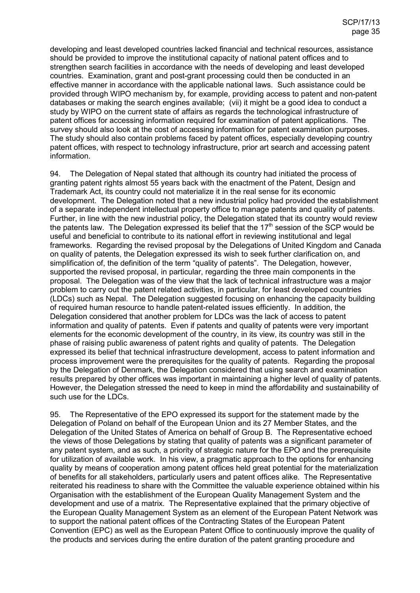developing and least developed countries lacked financial and technical resources, assistance should be provided to improve the institutional capacity of national patent offices and to strengthen search facilities in accordance with the needs of developing and least developed countries. Examination, grant and post-grant processing could then be conducted in an effective manner in accordance with the applicable national laws. Such assistance could be provided through WIPO mechanism by, for example, providing access to patent and non-patent databases or making the search engines available; (vii) it might be a good idea to conduct a study by WIPO on the current state of affairs as regards the technological infrastructure of patent offices for accessing information required for examination of patent applications. The survey should also look at the cost of accessing information for patent examination purposes. The study should also contain problems faced by patent offices, especially developing country patent offices, with respect to technology infrastructure, prior art search and accessing patent information.

94. The Delegation of Nepal stated that although its country had initiated the process of granting patent rights almost 55 years back with the enactment of the Patent, Design and Trademark Act, its country could not materialize it in the real sense for its economic development. The Delegation noted that a new industrial policy had provided the establishment of a separate independent intellectual property office to manage patents and quality of patents. Further, in line with the new industrial policy, the Delegation stated that its country would review the patents law. The Delegation expressed its belief that the  $17<sup>th</sup>$  session of the SCP would be useful and beneficial to contribute to its national effort in reviewing institutional and legal frameworks. Regarding the revised proposal by the Delegations of United Kingdom and Canada on quality of patents, the Delegation expressed its wish to seek further clarification on, and simplification of, the definition of the term "quality of patents". The Delegation, however, supported the revised proposal, in particular, regarding the three main components in the proposal. The Delegation was of the view that the lack of technical infrastructure was a major problem to carry out the patent related activities, in particular, for least developed countries (LDCs) such as Nepal. The Delegation suggested focusing on enhancing the capacity building of required human resource to handle patent-related issues efficiently. In addition, the Delegation considered that another problem for LDCs was the lack of access to patent information and quality of patents. Even if patents and quality of patents were very important elements for the economic development of the country, in its view, its country was still in the phase of raising public awareness of patent rights and quality of patents. The Delegation expressed its belief that technical infrastructure development, access to patent information and process improvement were the prerequisites for the quality of patents. Regarding the proposal by the Delegation of Denmark, the Delegation considered that using search and examination results prepared by other offices was important in maintaining a higher level of quality of patents. However, the Delegation stressed the need to keep in mind the affordability and sustainability of such use for the LDCs.

95. The Representative of the EPO expressed its support for the statement made by the Delegation of Poland on behalf of the European Union and its 27 Member States, and the Delegation of the United States of America on behalf of Group B. The Representative echoed the views of those Delegations by stating that quality of patents was a significant parameter of any patent system, and as such, a priority of strategic nature for the EPO and the prerequisite for utilization of available work. In his view, a pragmatic approach to the options for enhancing quality by means of cooperation among patent offices held great potential for the materialization of benefits for all stakeholders, particularly users and patent offices alike. The Representative reiterated his readiness to share with the Committee the valuable experience obtained within his Organisation with the establishment of the European Quality Management System and the development and use of a matrix. The Representative explained that the primary objective of the European Quality Management System as an element of the European Patent Network was to support the national patent offices of the Contracting States of the European Patent Convention (EPC) as well as the European Patent Office to continuously improve the quality of the products and services during the entire duration of the patent granting procedure and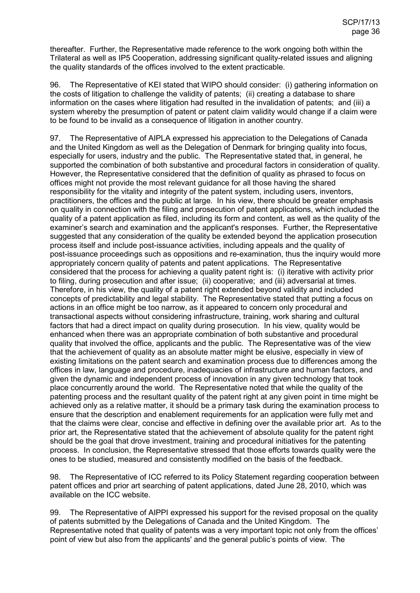thereafter. Further, the Representative made reference to the work ongoing both within the Trilateral as well as IP5 Cooperation, addressing significant quality-related issues and aligning the quality standards of the offices involved to the extent practicable.

96. The Representative of KEI stated that WIPO should consider: (i) gathering information on the costs of litigation to challenge the validity of patents; (ii) creating a database to share information on the cases where litigation had resulted in the invalidation of patents; and (iii) a system whereby the presumption of patent or patent claim validity would change if a claim were to be found to be invalid as a consequence of litigation in another country.

97. The Representative of AIPLA expressed his appreciation to the Delegations of Canada and the United Kingdom as well as the Delegation of Denmark for bringing quality into focus, especially for users, industry and the public. The Representative stated that, in general, he supported the combination of both substantive and procedural factors in consideration of quality. However, the Representative considered that the definition of quality as phrased to focus on offices might not provide the most relevant guidance for all those having the shared responsibility for the vitality and integrity of the patent system, including users, inventors, practitioners, the offices and the public at large. In his view, there should be greater emphasis on quality in connection with the filing and prosecution of patent applications, which included the quality of a patent application as filed, including its form and content, as well as the quality of the examiner's search and examination and the applicant's responses. Further, the Representative suggested that any consideration of the quality be extended beyond the application prosecution process itself and include post-issuance activities, including appeals and the quality of post-issuance proceedings such as oppositions and re-examination, thus the inquiry would more appropriately concern quality of patents and patent applications. The Representative considered that the process for achieving a quality patent right is: (i) iterative with activity prior to filing, during prosecution and after issue; (ii) cooperative; and (iii) adversarial at times. Therefore, in his view, the quality of a patent right extended beyond validity and included concepts of predictability and legal stability. The Representative stated that putting a focus on actions in an office might be too narrow, as it appeared to concern only procedural and transactional aspects without considering infrastructure, training, work sharing and cultural factors that had a direct impact on quality during prosecution. In his view, quality would be enhanced when there was an appropriate combination of both substantive and procedural quality that involved the office, applicants and the public. The Representative was of the view that the achievement of quality as an absolute matter might be elusive, especially in view of existing limitations on the patent search and examination process due to differences among the offices in law, language and procedure, inadequacies of infrastructure and human factors, and given the dynamic and independent process of innovation in any given technology that took place concurrently around the world. The Representative noted that while the quality of the patenting process and the resultant quality of the patent right at any given point in time might be achieved only as a relative matter, it should be a primary task during the examination process to ensure that the description and enablement requirements for an application were fully met and that the claims were clear, concise and effective in defining over the available prior art. As to the prior art, the Representative stated that the achievement of absolute quality for the patent right should be the goal that drove investment, training and procedural initiatives for the patenting process. In conclusion, the Representative stressed that those efforts towards quality were the ones to be studied, measured and consistently modified on the basis of the feedback.

98. The Representative of ICC referred to its Policy Statement regarding cooperation between patent offices and prior art searching of patent applications, dated June 28, 2010, which was available on the ICC website.

99. The Representative of AIPPI expressed his support for the revised proposal on the quality of patents submitted by the Delegations of Canada and the United Kingdom. The Representative noted that quality of patents was a very important topic not only from the offices' point of view but also from the applicants' and the general public's points of view. The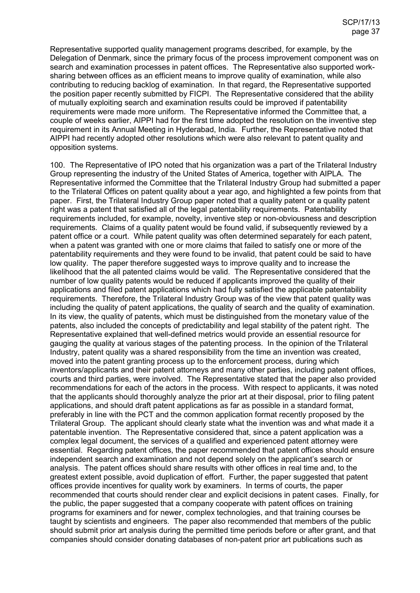Representative supported quality management programs described, for example, by the Delegation of Denmark, since the primary focus of the process improvement component was on search and examination processes in patent offices. The Representative also supported worksharing between offices as an efficient means to improve quality of examination, while also contributing to reducing backlog of examination. In that regard, the Representative supported the position paper recently submitted by FICPI. The Representative considered that the ability of mutually exploiting search and examination results could be improved if patentability requirements were made more uniform. The Representative informed the Committee that, a couple of weeks earlier, AIPPI had for the first time adopted the resolution on the inventive step requirement in its Annual Meeting in Hyderabad, India. Further, the Representative noted that AIPPI had recently adopted other resolutions which were also relevant to patent quality and opposition systems.

100. The Representative of IPO noted that his organization was a part of the Trilateral Industry Group representing the industry of the United States of America, together with AIPLA. The Representative informed the Committee that the Trilateral Industry Group had submitted a paper to the Trilateral Offices on patent quality about a year ago, and highlighted a few points from that paper. First, the Trilateral Industry Group paper noted that a quality patent or a quality patent right was a patent that satisfied all of the legal patentability requirements. Patentability requirements included, for example, novelty, inventive step or non-obviousness and description requirements. Claims of a quality patent would be found valid, if subsequently reviewed by a patent office or a court. While patent quality was often determined separately for each patent, when a patent was granted with one or more claims that failed to satisfy one or more of the patentability requirements and they were found to be invalid, that patent could be said to have low quality. The paper therefore suggested ways to improve quality and to increase the likelihood that the all patented claims would be valid. The Representative considered that the number of low quality patents would be reduced if applicants improved the quality of their applications and filed patent applications which had fully satisfied the applicable patentability requirements. Therefore, the Trilateral Industry Group was of the view that patent quality was including the quality of patent applications, the quality of search and the quality of examination. In its view, the quality of patents, which must be distinguished from the monetary value of the patents, also included the concepts of predictability and legal stability of the patent right. The Representative explained that well-defined metrics would provide an essential resource for gauging the quality at various stages of the patenting process. In the opinion of the Trilateral Industry, patent quality was a shared responsibility from the time an invention was created, moved into the patent granting process up to the enforcement process, during which inventors/applicants and their patent attorneys and many other parties, including patent offices, courts and third parties, were involved. The Representative stated that the paper also provided recommendations for each of the actors in the process. With respect to applicants, it was noted that the applicants should thoroughly analyze the prior art at their disposal, prior to filing patent applications, and should draft patent applications as far as possible in a standard format, preferably in line with the PCT and the common application format recently proposed by the Trilateral Group. The applicant should clearly state what the invention was and what made it a patentable invention. The Representative considered that, since a patent application was a complex legal document, the services of a qualified and experienced patent attorney were essential. Regarding patent offices, the paper recommended that patent offices should ensure independent search and examination and not depend solely on the applicant's search or analysis. The patent offices should share results with other offices in real time and, to the greatest extent possible, avoid duplication of effort. Further, the paper suggested that patent offices provide incentives for quality work by examiners. In terms of courts, the paper recommended that courts should render clear and explicit decisions in patent cases. Finally, for the public, the paper suggested that a company cooperate with patent offices on training programs for examiners and for newer, complex technologies, and that training courses be taught by scientists and engineers. The paper also recommended that members of the public should submit prior art analysis during the permitted time periods before or after grant, and that companies should consider donating databases of non-patent prior art publications such as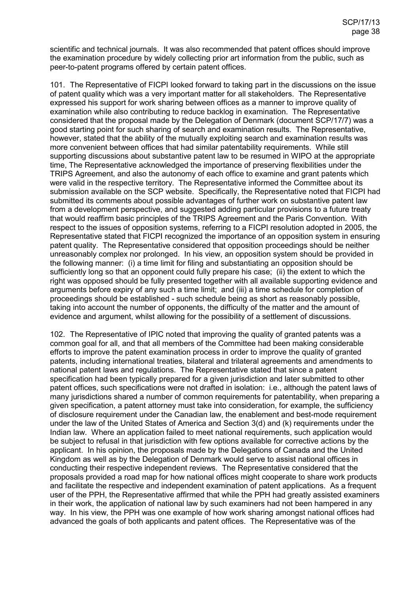scientific and technical journals. It was also recommended that patent offices should improve the examination procedure by widely collecting prior art information from the public, such as peer-to-patent programs offered by certain patent offices.

101. The Representative of FICPI looked forward to taking part in the discussions on the issue of patent quality which was a very important matter for all stakeholders. The Representative expressed his support for work sharing between offices as a manner to improve quality of examination while also contributing to reduce backlog in examination. The Representative considered that the proposal made by the Delegation of Denmark (document SCP/17/7) was a good starting point for such sharing of search and examination results. The Representative, however, stated that the ability of the mutually exploiting search and examination results was more convenient between offices that had similar patentability requirements. While still supporting discussions about substantive patent law to be resumed in WIPO at the appropriate time, The Representative acknowledged the importance of preserving flexibilities under the TRIPS Agreement, and also the autonomy of each office to examine and grant patents which were valid in the respective territory. The Representative informed the Committee about its submission available on the SCP website. Specifically, the Representative noted that FICPI had submitted its comments about possible advantages of further work on substantive patent law from a development perspective, and suggested adding particular provisions to a future treaty that would reaffirm basic principles of the TRIPS Agreement and the Paris Convention. With respect to the issues of opposition systems, referring to a FICPI resolution adopted in 2005, the Representative stated that FICPI recognized the importance of an opposition system in ensuring patent quality. The Representative considered that opposition proceedings should be neither unreasonably complex nor prolonged. In his view, an opposition system should be provided in the following manner: (i) a time limit for filing and substantiating an opposition should be sufficiently long so that an opponent could fully prepare his case; (ii) the extent to which the right was opposed should be fully presented together with all available supporting evidence and arguments before expiry of any such a time limit; and (iii) a time schedule for completion of proceedings should be established - such schedule being as short as reasonably possible, taking into account the number of opponents, the difficulty of the matter and the amount of evidence and argument, whilst allowing for the possibility of a settlement of discussions.

102. The Representative of IPIC noted that improving the quality of granted patents was a common goal for all, and that all members of the Committee had been making considerable efforts to improve the patent examination process in order to improve the quality of granted patents, including international treaties, bilateral and trilateral agreements and amendments to national patent laws and regulations. The Representative stated that since a patent specification had been typically prepared for a given jurisdiction and later submitted to other patent offices, such specifications were not drafted in isolation: i.e., although the patent laws of many jurisdictions shared a number of common requirements for patentability, when preparing a given specification, a patent attorney must take into consideration, for example, the sufficiency of disclosure requirement under the Canadian law, the enablement and best-mode requirement under the law of the United States of America and Section 3(d) and (k) requirements under the Indian law. Where an application failed to meet national requirements, such application would be subject to refusal in that jurisdiction with few options available for corrective actions by the applicant. In his opinion, the proposals made by the Delegations of Canada and the United Kingdom as well as by the Delegation of Denmark would serve to assist national offices in conducting their respective independent reviews. The Representative considered that the proposals provided a road map for how national offices might cooperate to share work products and facilitate the respective and independent examination of patent applications. As a frequent user of the PPH, the Representative affirmed that while the PPH had greatly assisted examiners in their work, the application of national law by such examiners had not been hampered in any way. In his view, the PPH was one example of how work sharing amongst national offices had advanced the goals of both applicants and patent offices. The Representative was of the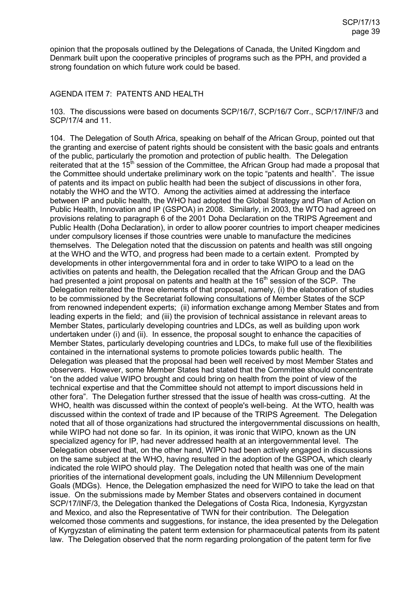opinion that the proposals outlined by the Delegations of Canada, the United Kingdom and Denmark built upon the cooperative principles of programs such as the PPH, and provided a strong foundation on which future work could be based.

## AGENDA ITEM 7: PATENTS AND HEALTH

103. The discussions were based on documents SCP/16/7, SCP/16/7 Corr., SCP/17/INF/3 and SCP/17/4 and 11.

104. The Delegation of South Africa, speaking on behalf of the African Group, pointed out that the granting and exercise of patent rights should be consistent with the basic goals and entrants of the public, particularly the promotion and protection of public health. The Delegation reiterated that at the  $15<sup>th</sup>$  session of the Committee, the African Group had made a proposal that the Committee should undertake preliminary work on the topic "patents and health". The issue of patents and its impact on public health had been the subject of discussions in other fora, notably the WHO and the WTO. Among the activities aimed at addressing the interface between IP and public health, the WHO had adopted the Global Strategy and Plan of Action on Public Health, Innovation and IP (GSPOA) in 2008. Similarly, in 2003, the WTO had agreed on provisions relating to paragraph 6 of the 2001 Doha Declaration on the TRIPS Agreement and Public Health (Doha Declaration), in order to allow poorer countries to import cheaper medicines under compulsory licenses if those countries were unable to manufacture the medicines themselves. The Delegation noted that the discussion on patents and health was still ongoing at the WHO and the WTO, and progress had been made to a certain extent. Prompted by developments in other intergovernmental fora and in order to take WIPO to a lead on the activities on patents and health, the Delegation recalled that the African Group and the DAG had presented a joint proposal on patents and health at the  $16<sup>th</sup>$  session of the SCP. The Delegation reiterated the three elements of that proposal, namely, (i) the elaboration of studies to be commissioned by the Secretariat following consultations of Member States of the SCP from renowned independent experts; (ii) information exchange among Member States and from leading experts in the field; and (iii) the provision of technical assistance in relevant areas to Member States, particularly developing countries and LDCs, as well as building upon work undertaken under (i) and (ii). In essence, the proposal sought to enhance the capacities of Member States, particularly developing countries and LDCs, to make full use of the flexibilities contained in the international systems to promote policies towards public health. The Delegation was pleased that the proposal had been well received by most Member States and observers. However, some Member States had stated that the Committee should concentrate "on the added value WIPO brought and could bring on health from the point of view of the technical expertise and that the Committee should not attempt to import discussions held in other fora". The Delegation further stressed that the issue of health was cross-cutting. At the WHO, health was discussed within the context of people's well-being. At the WTO, health was discussed within the context of trade and IP because of the TRIPS Agreement. The Delegation noted that all of those organizations had structured the intergovernmental discussions on health, while WIPO had not done so far. In its opinion, it was ironic that WIPO, known as the UN specialized agency for IP, had never addressed health at an intergovernmental level. The Delegation observed that, on the other hand, WIPO had been actively engaged in discussions on the same subject at the WHO, having resulted in the adoption of the GSPOA, which clearly indicated the role WIPO should play. The Delegation noted that health was one of the main priorities of the international development goals, including the UN Millennium Development Goals (MDGs). Hence, the Delegation emphasized the need for WIPO to take the lead on that issue. On the submissions made by Member States and observers contained in document SCP/17/INF/3, the Delegation thanked the Delegations of Costa Rica, Indonesia, Kyrgyzstan and Mexico, and also the Representative of TWN for their contribution. The Delegation welcomed those comments and suggestions, for instance, the idea presented by the Delegation of Kyrgyzstan of eliminating the patent term extension for pharmaceutical patents from its patent law. The Delegation observed that the norm regarding prolongation of the patent term for five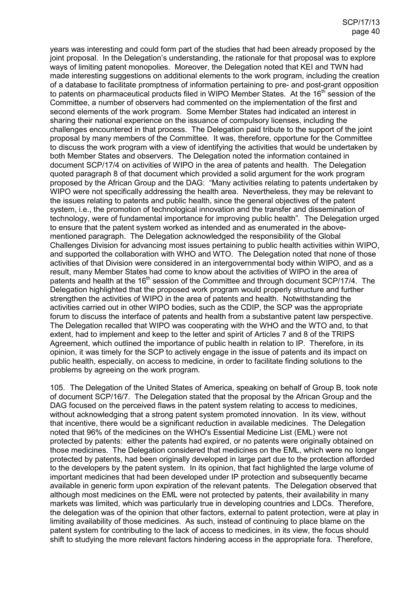years was interesting and could form part of the studies that had been already proposed by the joint proposal. In the Delegation's understanding, the rationale for that proposal was to explore ways of limiting patent monopolies. Moreover, the Delegation noted that KEI and TWN had made interesting suggestions on additional elements to the work program, including the creation of a database to facilitate promptness of information pertaining to pre- and post-grant opposition to patents on pharmaceutical products filed in WIPO Member States. At the 16<sup>th</sup> session of the Committee, a number of observers had commented on the implementation of the first and second elements of the work program. Some Member States had indicated an interest in sharing their national experience on the issuance of compulsory licenses, including the challenges encountered in that process. The Delegation paid tribute to the support of the joint proposal by many members of the Committee. It was, therefore, opportune for the Committee to discuss the work program with a view of identifying the activities that would be undertaken by both Member States and observers. The Delegation noted the information contained in document SCP/17/4 on activities of WIPO in the area of patents and health. The Delegation quoted paragraph 8 of that document which provided a solid argument for the work program proposed by the African Group and the DAG: "Many activities relating to patents undertaken by WIPO were not specifically addressing the health area. Nevertheless, they may be relevant to the issues relating to patents and public health, since the general objectives of the patent system, i.e., the promotion of technological innovation and the transfer and dissemination of technology, were of fundamental importance for improving public health". The Delegation urged to ensure that the patent system worked as intended and as enumerated in the abovementioned paragraph. The Delegation acknowledged the responsibility of the Global Challenges Division for advancing most issues pertaining to public health activities within WIPO, and supported the collaboration with WHO and WTO. The Delegation noted that none of those activities of that Division were considered in an intergovernmental body within WIPO, and as a result, many Member States had come to know about the activities of WIPO in the area of patents and health at the 16<sup>th</sup> session of the Committee and through document SCP/17/4. The Delegation highlighted that the proposed work program would properly structure and further strengthen the activities of WIPO in the area of patents and health. Notwithstanding the activities carried out in other WIPO bodies, such as the CDIP, the SCP was the appropriate forum to discuss the interface of patents and health from a substantive patent law perspective. The Delegation recalled that WIPO was cooperating with the WHO and the WTO and, to that extent, had to implement and keep to the letter and spirit of Articles 7 and 8 of the TRIPS Agreement, which outlined the importance of public health in relation to IP. Therefore, in its opinion, it was timely for the SCP to actively engage in the issue of patents and its impact on public health, especially, on access to medicine, in order to facilitate finding solutions to the problems by agreeing on the work program.

105. The Delegation of the United States of America, speaking on behalf of Group B, took note of document SCP/16/7. The Delegation stated that the proposal by the African Group and the DAG focused on the perceived flaws in the patent system relating to access to medicines, without acknowledging that a strong patent system promoted innovation. In its view, without that incentive, there would be a significant reduction in available medicines. The Delegation noted that 96% of the medicines on the WHO's Essential Medicine List (EML) were not protected by patents: either the patents had expired, or no patents were originally obtained on those medicines. The Delegation considered that medicines on the EML, which were no longer protected by patents, had been originally developed in large part due to the protection afforded to the developers by the patent system. In its opinion, that fact highlighted the large volume of important medicines that had been developed under IP protection and subsequently became available in generic form upon expiration of the relevant patents. The Delegation observed that although most medicines on the EML were not protected by patents, their availability in many markets was limited, which was particularly true in developing countries and LDCs. Therefore, the delegation was of the opinion that other factors, external to patent protection, were at play in limiting availability of those medicines. As such, instead of continuing to place blame on the patent system for contributing to the lack of access to medicines, in its view, the focus should shift to studying the more relevant factors hindering access in the appropriate fora. Therefore,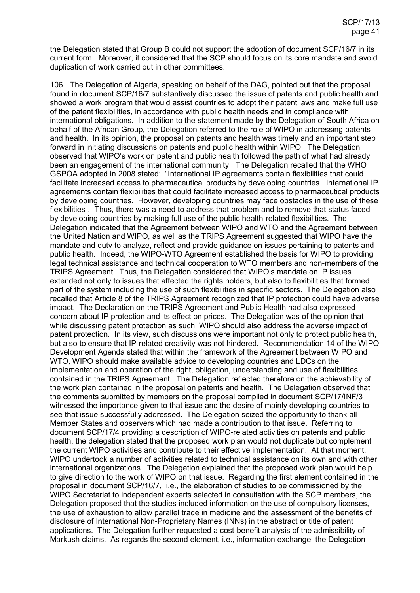the Delegation stated that Group B could not support the adoption of document SCP/16/7 in its current form. Moreover, it considered that the SCP should focus on its core mandate and avoid duplication of work carried out in other committees.

106. The Delegation of Algeria, speaking on behalf of the DAG, pointed out that the proposal found in document SCP/16/7 substantively discussed the issue of patents and public health and showed a work program that would assist countries to adopt their patent laws and make full use of the patent flexibilities, in accordance with public health needs and in compliance with international obligations. In addition to the statement made by the Delegation of South Africa on behalf of the African Group, the Delegation referred to the role of WIPO in addressing patents and health. In its opinion, the proposal on patents and health was timely and an important step forward in initiating discussions on patents and public health within WIPO. The Delegation observed that WIPO's work on patent and public health followed the path of what had already been an engagement of the international community. The Delegation recalled that the WHO GSPOA adopted in 2008 stated: "International IP agreements contain flexibilities that could facilitate increased access to pharmaceutical products by developing countries. International IP agreements contain flexibilities that could facilitate increased access to pharmaceutical products by developing countries. However, developing countries may face obstacles in the use of these flexibilities". Thus, there was a need to address that problem and to remove that status faced by developing countries by making full use of the public health-related flexibilities. The Delegation indicated that the Agreement between WIPO and WTO and the Agreement between the United Nation and WIPO, as well as the TRIPS Agreement suggested that WIPO have the mandate and duty to analyze, reflect and provide guidance on issues pertaining to patents and public health. Indeed, the WIPO-WTO Agreement established the basis for WIPO to providing legal technical assistance and technical cooperation to WTO members and non-members of the TRIPS Agreement. Thus, the Delegation considered that WIPO's mandate on IP issues extended not only to issues that affected the rights holders, but also to flexibilities that formed part of the system including the use of such flexibilities in specific sectors. The Delegation also recalled that Article 8 of the TRIPS Agreement recognized that IP protection could have adverse impact. The Declaration on the TRIPS Agreement and Public Health had also expressed concern about IP protection and its effect on prices. The Delegation was of the opinion that while discussing patent protection as such, WIPO should also address the adverse impact of patent protection. In its view, such discussions were important not only to protect public health, but also to ensure that IP-related creativity was not hindered. Recommendation 14 of the WIPO Development Agenda stated that within the framework of the Agreement between WIPO and WTO, WIPO should make available advice to developing countries and LDCs on the implementation and operation of the right, obligation, understanding and use of flexibilities contained in the TRIPS Agreement. The Delegation reflected therefore on the achievability of the work plan contained in the proposal on patents and health. The Delegation observed that the comments submitted by members on the proposal compiled in document SCP/17/INF/3 witnessed the importance given to that issue and the desire of mainly developing countries to see that issue successfully addressed. The Delegation seized the opportunity to thank all Member States and observers which had made a contribution to that issue. Referring to document SCP/17/4 providing a description of WIPO-related activities on patents and public health, the delegation stated that the proposed work plan would not duplicate but complement the current WIPO activities and contribute to their effective implementation. At that moment, WIPO undertook a number of activities related to technical assistance on its own and with other international organizations. The Delegation explained that the proposed work plan would help to give direction to the work of WIPO on that issue. Regarding the first element contained in the proposal in document SCP/16/7, i.e., the elaboration of studies to be commissioned by the WIPO Secretariat to independent experts selected in consultation with the SCP members, the Delegation proposed that the studies included information on the use of compulsory licenses, the use of exhaustion to allow parallel trade in medicine and the assessment of the benefits of disclosure of International Non-Proprietary Names (INNs) in the abstract or title of patent applications. The Delegation further requested a cost-benefit analysis of the admissibility of Markush claims. As regards the second element, i.e., information exchange, the Delegation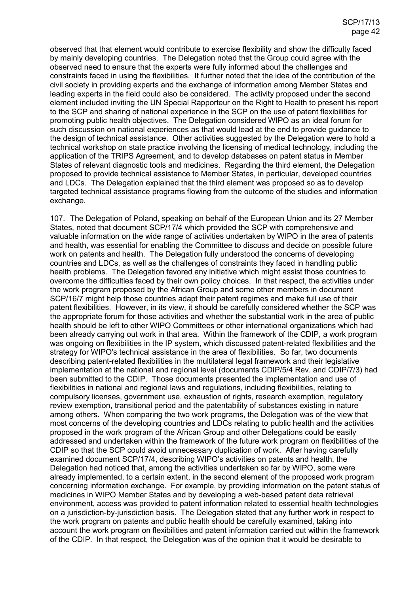observed that that element would contribute to exercise flexibility and show the difficulty faced by mainly developing countries. The Delegation noted that the Group could agree with the observed need to ensure that the experts were fully informed about the challenges and constraints faced in using the flexibilities. It further noted that the idea of the contribution of the civil society in providing experts and the exchange of information among Member States and leading experts in the field could also be considered. The activity proposed under the second element included inviting the UN Special Rapporteur on the Right to Health to present his report to the SCP and sharing of national experience in the SCP on the use of patent flexibilities for promoting public health objectives. The Delegation considered WIPO as an ideal forum for such discussion on national experiences as that would lead at the end to provide guidance to the design of technical assistance. Other activities suggested by the Delegation were to hold a technical workshop on state practice involving the licensing of medical technology, including the application of the TRIPS Agreement, and to develop databases on patent status in Member States of relevant diagnostic tools and medicines. Regarding the third element, the Delegation proposed to provide technical assistance to Member States, in particular, developed countries and LDCs. The Delegation explained that the third element was proposed so as to develop targeted technical assistance programs flowing from the outcome of the studies and information exchange.

107. The Delegation of Poland, speaking on behalf of the European Union and its 27 Member States, noted that document SCP/17/4 which provided the SCP with comprehensive and valuable information on the wide range of activities undertaken by WIPO in the area of patents and health, was essential for enabling the Committee to discuss and decide on possible future work on patents and health. The Delegation fully understood the concerns of developing countries and LDCs, as well as the challenges of constraints they faced in handling public health problems. The Delegation favored any initiative which might assist those countries to overcome the difficulties faced by their own policy choices. In that respect, the activities under the work program proposed by the African Group and some other members in document SCP/16/7 might help those countries adapt their patent regimes and make full use of their patent flexibilities. However, in its view, it should be carefully considered whether the SCP was the appropriate forum for those activities and whether the substantial work in the area of public health should be left to other WIPO Committees or other international organizations which had been already carrying out work in that area. Within the framework of the CDIP, a work program was ongoing on flexibilities in the IP system, which discussed patent-related flexibilities and the strategy for WIPO's technical assistance in the area of flexibilities. So far, two documents describing patent-related flexibilities in the multilateral legal framework and their legislative implementation at the national and regional level (documents CDIP/5/4 Rev. and CDIP/7/3) had been submitted to the CDIP. Those documents presented the implementation and use of flexibilities in national and regional laws and regulations, including flexibilities, relating to compulsory licenses, government use, exhaustion of rights, research exemption, regulatory review exemption, transitional period and the patentability of substances existing in nature among others. When comparing the two work programs, the Delegation was of the view that most concerns of the developing countries and LDCs relating to public health and the activities proposed in the work program of the African Group and other Delegations could be easily addressed and undertaken within the framework of the future work program on flexibilities of the CDIP so that the SCP could avoid unnecessary duplication of work. After having carefully examined document SCP/17/4, describing WIPO's activities on patents and health, the Delegation had noticed that, among the activities undertaken so far by WIPO, some were already implemented, to a certain extent, in the second element of the proposed work program concerning information exchange. For example, by providing information on the patent status of medicines in WIPO Member States and by developing a web-based patent data retrieval environment, access was provided to patent information related to essential health technologies on a jurisdiction-by-jurisdiction basis. The Delegation stated that any further work in respect to the work program on patents and public health should be carefully examined, taking into account the work program on flexibilities and patent information carried out within the framework of the CDIP. In that respect, the Delegation was of the opinion that it would be desirable to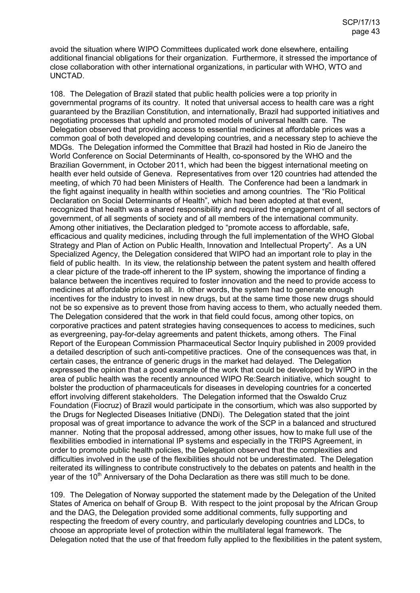avoid the situation where WIPO Committees duplicated work done elsewhere, entailing additional financial obligations for their organization. Furthermore, it stressed the importance of close collaboration with other international organizations, in particular with WHO, WTO and UNCTAD.

108. The Delegation of Brazil stated that public health policies were a top priority in governmental programs of its country. It noted that universal access to health care was a right guaranteed by the Brazilian Constitution, and internationally, Brazil had supported initiatives and negotiating processes that upheld and promoted models of universal health care. The Delegation observed that providing access to essential medicines at affordable prices was a common goal of both developed and developing countries, and a necessary step to achieve the MDGs. The Delegation informed the Committee that Brazil had hosted in Rio de Janeiro the World Conference on Social Determinants of Health, co-sponsored by the WHO and the Brazilian Government, in October 2011, which had been the biggest international meeting on health ever held outside of Geneva. Representatives from over 120 countries had attended the meeting, of which 70 had been Ministers of Health. The Conference had been a landmark in the fight against inequality in health within societies and among countries. The "Rio Political Declaration on Social Determinants of Health", which had been adopted at that event, recognized that health was a shared responsibility and required the engagement of all sectors of government, of all segments of society and of all members of the international community. Among other initiatives, the Declaration pledged to "promote access to affordable, safe, efficacious and quality medicines, including through the full implementation of the WHO Global Strategy and Plan of Action on Public Health, Innovation and Intellectual Property". As a UN Specialized Agency, the Delegation considered that WIPO had an important role to play in the field of public health. In its view, the relationship between the patent system and health offered a clear picture of the trade-off inherent to the IP system, showing the importance of finding a balance between the incentives required to foster innovation and the need to provide access to medicines at affordable prices to all. In other words, the system had to generate enough incentives for the industry to invest in new drugs, but at the same time those new drugs should not be so expensive as to prevent those from having access to them, who actually needed them. The Delegation considered that the work in that field could focus, among other topics, on corporative practices and patent strategies having consequences to access to medicines, such as evergreening, pay-for-delay agreements and patent thickets, among others. The Final Report of the European Commission Pharmaceutical Sector Inquiry published in 2009 provided a detailed description of such anti-competitive practices. One of the consequences was that, in certain cases, the entrance of generic drugs in the market had delayed. The Delegation expressed the opinion that a good example of the work that could be developed by WIPO in the area of public health was the recently announced WIPO Re:Search initiative, which sought to bolster the production of pharmaceuticals for diseases in developing countries for a concerted effort involving different stakeholders. The Delegation informed that the Oswaldo Cruz Foundation (Fiocruz) of Brazil would participate in the consortium, which was also supported by the Drugs for Neglected Diseases Initiative (DNDi). The Delegation stated that the joint proposal was of great importance to advance the work of the SCP in a balanced and structured manner. Noting that the proposal addressed, among other issues, how to make full use of the flexibilities embodied in international IP systems and especially in the TRIPS Agreement, in order to promote public health policies, the Delegation observed that the complexities and difficulties involved in the use of the flexibilities should not be underestimated. The Delegation reiterated its willingness to contribute constructively to the debates on patents and health in the year of the  $10<sup>th</sup>$  Anniversary of the Doha Declaration as there was still much to be done.

109. The Delegation of Norway supported the statement made by the Delegation of the United States of America on behalf of Group B. With respect to the joint proposal by the African Group and the DAG, the Delegation provided some additional comments, fully supporting and respecting the freedom of every country, and particularly developing countries and LDCs, to choose an appropriate level of protection within the multilateral legal framework. The Delegation noted that the use of that freedom fully applied to the flexibilities in the patent system,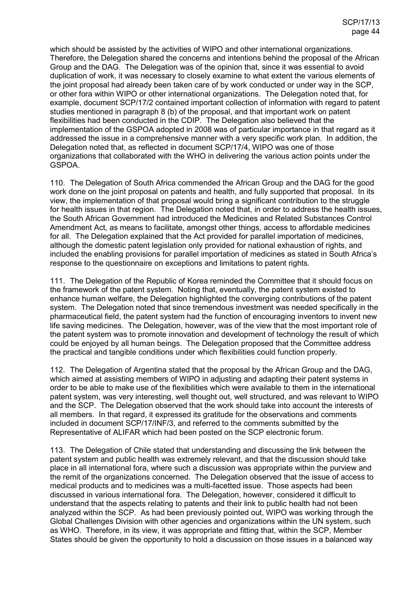which should be assisted by the activities of WIPO and other international organizations. Therefore, the Delegation shared the concerns and intentions behind the proposal of the African Group and the DAG. The Delegation was of the opinion that, since it was essential to avoid duplication of work, it was necessary to closely examine to what extent the various elements of the joint proposal had already been taken care of by work conducted or under way in the SCP, or other fora within WIPO or other international organizations. The Delegation noted that, for example, document SCP/17/2 contained important collection of information with regard to patent studies mentioned in paragraph 8 (b) of the proposal, and that important work on patent flexibilities had been conducted in the CDIP. The Delegation also believed that the implementation of the GSPOA adopted in 2008 was of particular importance in that regard as it addressed the issue in a comprehensive manner with a very specific work plan. In addition, the Delegation noted that, as reflected in document SCP/17/4, WIPO was one of those organizations that collaborated with the WHO in delivering the various action points under the GSPOA.

110. The Delegation of South Africa commended the African Group and the DAG for the good work done on the joint proposal on patents and health, and fully supported that proposal. In its view, the implementation of that proposal would bring a significant contribution to the struggle for health issues in that region. The Delegation noted that, in order to address the health issues, the South African Government had introduced the Medicines and Related Substances Control Amendment Act, as means to facilitate, amongst other things, access to affordable medicines for all. The Delegation explained that the Act provided for parallel importation of medicines, although the domestic patent legislation only provided for national exhaustion of rights, and included the enabling provisions for parallel importation of medicines as stated in South Africa's response to the questionnaire on exceptions and limitations to patent rights.

111. The Delegation of the Republic of Korea reminded the Committee that it should focus on the framework of the patent system. Noting that, eventually, the patent system existed to enhance human welfare, the Delegation highlighted the converging contributions of the patent system. The Delegation noted that since tremendous investment was needed specifically in the pharmaceutical field, the patent system had the function of encouraging inventors to invent new life saving medicines. The Delegation, however, was of the view that the most important role of the patent system was to promote innovation and development of technology the result of which could be enjoyed by all human beings. The Delegation proposed that the Committee address the practical and tangible conditions under which flexibilities could function properly.

112. The Delegation of Argentina stated that the proposal by the African Group and the DAG, which aimed at assisting members of WIPO in adjusting and adapting their patent systems in order to be able to make use of the flexibilities which were available to them in the international patent system, was very interesting, well thought out, well structured, and was relevant to WIPO and the SCP. The Delegation observed that the work should take into account the interests of all members. In that regard, it expressed its gratitude for the observations and comments included in document SCP/17/INF/3, and referred to the comments submitted by the Representative of ALIFAR which had been posted on the SCP electronic forum.

113. The Delegation of Chile stated that understanding and discussing the link between the patent system and public health was extremely relevant, and that the discussion should take place in all international fora, where such a discussion was appropriate within the purview and the remit of the organizations concerned. The Delegation observed that the issue of access to medical products and to medicines was a multi-facetted issue. Those aspects had been discussed in various international fora. The Delegation, however, considered it difficult to understand that the aspects relating to patents and their link to public health had not been analyzed within the SCP. As had been previously pointed out, WIPO was working through the Global Challenges Division with other agencies and organizations within the UN system, such as WHO. Therefore, in its view, it was appropriate and fitting that, within the SCP, Member States should be given the opportunity to hold a discussion on those issues in a balanced way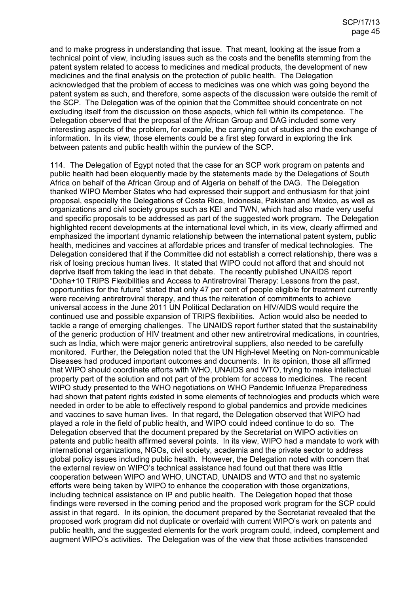and to make progress in understanding that issue. That meant, looking at the issue from a technical point of view, including issues such as the costs and the benefits stemming from the patent system related to access to medicines and medical products, the development of new medicines and the final analysis on the protection of public health. The Delegation acknowledged that the problem of access to medicines was one which was going beyond the patent system as such, and therefore, some aspects of the discussion were outside the remit of the SCP. The Delegation was of the opinion that the Committee should concentrate on not excluding itself from the discussion on those aspects, which fell within its competence. The Delegation observed that the proposal of the African Group and DAG included some very interesting aspects of the problem, for example, the carrying out of studies and the exchange of information. In its view, those elements could be a first step forward in exploring the link between patents and public health within the purview of the SCP.

114. The Delegation of Egypt noted that the case for an SCP work program on patents and public health had been eloquently made by the statements made by the Delegations of South Africa on behalf of the African Group and of Algeria on behalf of the DAG. The Delegation thanked WIPO Member States who had expressed their support and enthusiasm for that joint proposal, especially the Delegations of Costa Rica, Indonesia, Pakistan and Mexico, as well as organizations and civil society groups such as KEI and TWN, which had also made very useful and specific proposals to be addressed as part of the suggested work program. The Delegation highlighted recent developments at the international level which, in its view, clearly affirmed and emphasized the important dynamic relationship between the international patent system, public health, medicines and vaccines at affordable prices and transfer of medical technologies. The Delegation considered that if the Committee did not establish a correct relationship, there was a risk of losing precious human lives. It stated that WIPO could not afford that and should not deprive itself from taking the lead in that debate. The recently published UNAIDS report "Doha+10 TRIPS Flexibilities and Access to Antiretroviral Therapy: Lessons from the past, opportunities for the future" stated that only 47 per cent of people eligible for treatment currently were receiving antiretroviral therapy, and thus the reiteration of commitments to achieve universal access in the June 2011 UN Political Declaration on HIV/AIDS would require the continued use and possible expansion of TRIPS flexibilities. Action would also be needed to tackle a range of emerging challenges. The UNAIDS report further stated that the sustainability of the generic production of HIV treatment and other new antiretroviral medications, in countries, such as India, which were major generic antiretroviral suppliers, also needed to be carefully monitored. Further, the Delegation noted that the UN High-level Meeting on Non-communicable Diseases had produced important outcomes and documents. In its opinion, those all affirmed that WIPO should coordinate efforts with WHO, UNAIDS and WTO, trying to make intellectual property part of the solution and not part of the problem for access to medicines. The recent WIPO study presented to the WHO negotiations on WHO Pandemic Influenza Preparedness had shown that patent rights existed in some elements of technologies and products which were needed in order to be able to effectively respond to global pandemics and provide medicines and vaccines to save human lives. In that regard, the Delegation observed that WIPO had played a role in the field of public health, and WIPO could indeed continue to do so. The Delegation observed that the document prepared by the Secretariat on WIPO activities on patents and public health affirmed several points. In its view, WIPO had a mandate to work with international organizations, NGOs, civil society, academia and the private sector to address global policy issues including public health. However, the Delegation noted with concern that the external review on WIPO's technical assistance had found out that there was little cooperation between WIPO and WHO, UNCTAD, UNAIDS and WTO and that no systemic efforts were being taken by WIPO to enhance the cooperation with those organizations, including technical assistance on IP and public health. The Delegation hoped that those findings were reversed in the coming period and the proposed work program for the SCP could assist in that regard. In its opinion, the document prepared by the Secretariat revealed that the proposed work program did not duplicate or overlaid with current WIPO's work on patents and public health, and the suggested elements for the work program could, indeed, complement and augment WIPO's activities. The Delegation was of the view that those activities transcended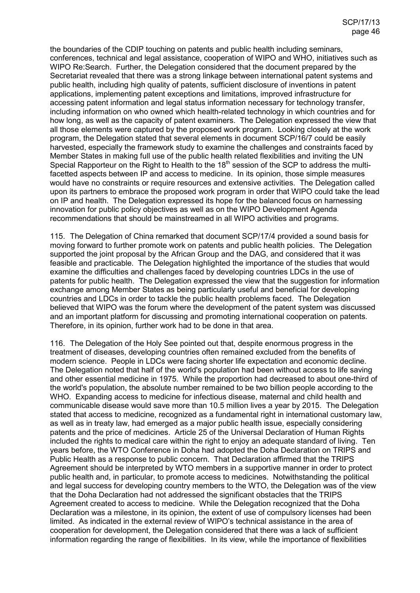the boundaries of the CDIP touching on patents and public health including seminars, conferences, technical and legal assistance, cooperation of WIPO and WHO, initiatives such as WIPO Re:Search. Further, the Delegation considered that the document prepared by the Secretariat revealed that there was a strong linkage between international patent systems and public health, including high quality of patents, sufficient disclosure of inventions in patent applications, implementing patent exceptions and limitations, improved infrastructure for accessing patent information and legal status information necessary for technology transfer, including information on who owned which health-related technology in which countries and for how long, as well as the capacity of patent examiners. The Delegation expressed the view that all those elements were captured by the proposed work program. Looking closely at the work program, the Delegation stated that several elements in document SCP/16/7 could be easily harvested, especially the framework study to examine the challenges and constraints faced by Member States in making full use of the public health related flexibilities and inviting the UN Special Rapporteur on the Right to Health to the 18<sup>th</sup> session of the SCP to address the multifacetted aspects between IP and access to medicine. In its opinion, those simple measures would have no constraints or require resources and extensive activities. The Delegation called upon its partners to embrace the proposed work program in order that WIPO could take the lead on IP and health. The Delegation expressed its hope for the balanced focus on harnessing innovation for public policy objectives as well as on the WIPO Development Agenda recommendations that should be mainstreamed in all WIPO activities and programs.

115. The Delegation of China remarked that document SCP/17/4 provided a sound basis for moving forward to further promote work on patents and public health policies. The Delegation supported the joint proposal by the African Group and the DAG, and considered that it was feasible and practicable. The Delegation highlighted the importance of the studies that would examine the difficulties and challenges faced by developing countries LDCs in the use of patents for public health. The Delegation expressed the view that the suggestion for information exchange among Member States as being particularly useful and beneficial for developing countries and LDCs in order to tackle the public health problems faced. The Delegation believed that WIPO was the forum where the development of the patent system was discussed and an important platform for discussing and promoting international cooperation on patents. Therefore, in its opinion, further work had to be done in that area.

116. The Delegation of the Holy See pointed out that, despite enormous progress in the treatment of diseases, developing countries often remained excluded from the benefits of modern science. People in LDCs were facing shorter life expectation and economic decline. The Delegation noted that half of the world's population had been without access to life saving and other essential medicine in 1975. While the proportion had decreased to about one-third of the world's population, the absolute number remained to be two billion people according to the WHO. Expanding access to medicine for infectious disease, maternal and child health and communicable disease would save more than 10.5 million lives a year by 2015. The Delegation stated that access to medicine, recognized as a fundamental right in international customary law, as well as in treaty law, had emerged as a major public health issue, especially considering patents and the price of medicines. Article 25 of the Universal Declaration of Human Rights included the rights to medical care within the right to enjoy an adequate standard of living. Ten years before, the WTO Conference in Doha had adopted the Doha Declaration on TRIPS and Public Health as a response to public concern. That Declaration affirmed that the TRIPS Agreement should be interpreted by WTO members in a supportive manner in order to protect public health and, in particular, to promote access to medicines. Notwithstanding the political and legal success for developing country members to the WTO, the Delegation was of the view that the Doha Declaration had not addressed the significant obstacles that the TRIPS Agreement created to access to medicine. While the Delegation recognized that the Doha Declaration was a milestone, in its opinion, the extent of use of compulsory licenses had been limited. As indicated in the external review of WIPO's technical assistance in the area of cooperation for development, the Delegation considered that there was a lack of sufficient information regarding the range of flexibilities. In its view, while the importance of flexibilities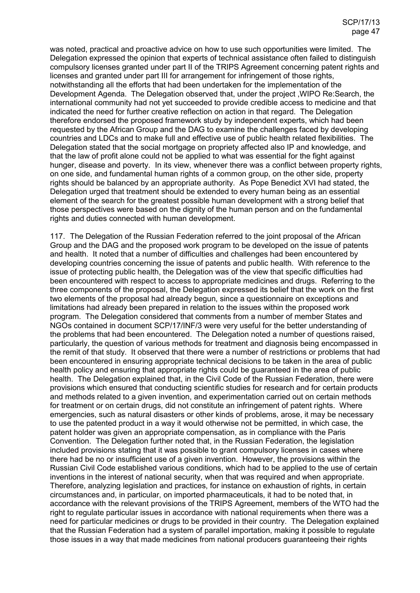was noted, practical and proactive advice on how to use such opportunities were limited. The Delegation expressed the opinion that experts of technical assistance often failed to distinguish compulsory licenses granted under part II of the TRIPS Agreement concerning patent rights and licenses and granted under part III for arrangement for infringement of those rights, notwithstanding all the efforts that had been undertaken for the implementation of the Development Agenda. The Delegation observed that, under the project ,WIPO Re:Search, the international community had not yet succeeded to provide credible access to medicine and that indicated the need for further creative reflection on action in that regard. The Delegation therefore endorsed the proposed framework study by independent experts, which had been requested by the African Group and the DAG to examine the challenges faced by developing countries and LDCs and to make full and effective use of public health related flexibilities. The Delegation stated that the social mortgage on propriety affected also IP and knowledge, and that the law of profit alone could not be applied to what was essential for the fight against hunger, disease and poverty. In its view, whenever there was a conflict between property rights, on one side, and fundamental human rights of a common group, on the other side, property rights should be balanced by an appropriate authority. As Pope Benedict XVI had stated, the Delegation urged that treatment should be extended to every human being as an essential element of the search for the greatest possible human development with a strong belief that those perspectives were based on the dignity of the human person and on the fundamental rights and duties connected with human development.

117. The Delegation of the Russian Federation referred to the joint proposal of the African Group and the DAG and the proposed work program to be developed on the issue of patents and health. It noted that a number of difficulties and challenges had been encountered by developing countries concerning the issue of patents and public health. With reference to the issue of protecting public health, the Delegation was of the view that specific difficulties had been encountered with respect to access to appropriate medicines and drugs. Referring to the three components of the proposal, the Delegation expressed its belief that the work on the first two elements of the proposal had already begun, since a questionnaire on exceptions and limitations had already been prepared in relation to the issues within the proposed work program. The Delegation considered that comments from a number of member States and NGOs contained in document SCP/17/INF/3 were very useful for the better understanding of the problems that had been encountered. The Delegation noted a number of questions raised, particularly, the question of various methods for treatment and diagnosis being encompassed in the remit of that study. It observed that there were a number of restrictions or problems that had been encountered in ensuring appropriate technical decisions to be taken in the area of public health policy and ensuring that appropriate rights could be guaranteed in the area of public health. The Delegation explained that, in the Civil Code of the Russian Federation, there were provisions which ensured that conducting scientific studies for research and for certain products and methods related to a given invention, and experimentation carried out on certain methods for treatment or on certain drugs, did not constitute an infringement of patent rights. Where emergencies, such as natural disasters or other kinds of problems, arose, it may be necessary to use the patented product in a way it would otherwise not be permitted, in which case, the patent holder was given an appropriate compensation, as in compliance with the Paris Convention. The Delegation further noted that, in the Russian Federation, the legislation included provisions stating that it was possible to grant compulsory licenses in cases where there had be no or insufficient use of a given invention. However, the provisions within the Russian Civil Code established various conditions, which had to be applied to the use of certain inventions in the interest of national security, when that was required and when appropriate. Therefore, analyzing legislation and practices, for instance on exhaustion of rights, in certain circumstances and, in particular, on imported pharmaceuticals, it had to be noted that, in accordance with the relevant provisions of the TRIPS Agreement, members of the WTO had the right to regulate particular issues in accordance with national requirements when there was a need for particular medicines or drugs to be provided in their country. The Delegation explained that the Russian Federation had a system of parallel importation, making it possible to regulate those issues in a way that made medicines from national producers guaranteeing their rights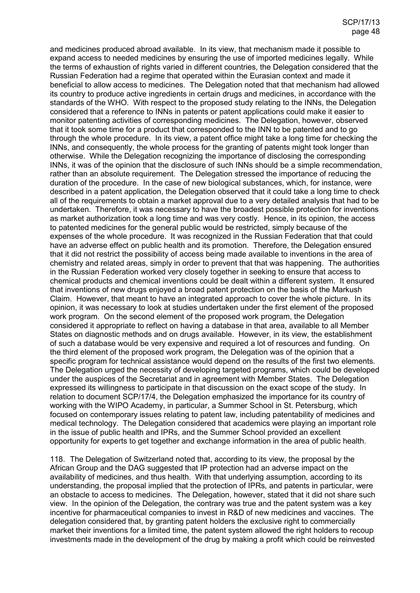and medicines produced abroad available. In its view, that mechanism made it possible to expand access to needed medicines by ensuring the use of imported medicines legally. While the terms of exhaustion of rights varied in different countries, the Delegation considered that the Russian Federation had a regime that operated within the Eurasian context and made it beneficial to allow access to medicines. The Delegation noted that that mechanism had allowed its country to produce active ingredients in certain drugs and medicines, in accordance with the standards of the WHO. With respect to the proposed study relating to the INNs, the Delegation considered that a reference to INNs in patents or patent applications could make it easier to monitor patenting activities of corresponding medicines. The Delegation, however, observed that it took some time for a product that corresponded to the INN to be patented and to go through the whole procedure. In its view, a patent office might take a long time for checking the INNs, and consequently, the whole process for the granting of patents might took longer than otherwise. While the Delegation recognizing the importance of disclosing the corresponding INNs, it was of the opinion that the disclosure of such INNs should be a simple recommendation, rather than an absolute requirement. The Delegation stressed the importance of reducing the duration of the procedure. In the case of new biological substances, which, for instance, were described in a patent application, the Delegation observed that it could take a long time to check all of the requirements to obtain a market approval due to a very detailed analysis that had to be undertaken. Therefore, it was necessary to have the broadest possible protection for inventions as market authorization took a long time and was very costly. Hence, in its opinion, the access to patented medicines for the general public would be restricted, simply because of the expenses of the whole procedure. It was recognized in the Russian Federation that that could have an adverse effect on public health and its promotion. Therefore, the Delegation ensured that it did not restrict the possibility of access being made available to inventions in the area of chemistry and related areas, simply in order to prevent that that was happening. The authorities in the Russian Federation worked very closely together in seeking to ensure that access to chemical products and chemical inventions could be dealt within a different system. It ensured that inventions of new drugs enjoyed a broad patent protection on the basis of the Markush Claim. However, that meant to have an integrated approach to cover the whole picture. In its opinion, it was necessary to look at studies undertaken under the first element of the proposed work program. On the second element of the proposed work program, the Delegation considered it appropriate to reflect on having a database in that area, available to all Member States on diagnostic methods and on drugs available. However, in its view, the establishment of such a database would be very expensive and required a lot of resources and funding. On the third element of the proposed work program, the Delegation was of the opinion that a specific program for technical assistance would depend on the results of the first two elements. The Delegation urged the necessity of developing targeted programs, which could be developed under the auspices of the Secretariat and in agreement with Member States. The Delegation expressed its willingness to participate in that discussion on the exact scope of the study. In relation to document SCP/17/4, the Delegation emphasized the importance for its country of working with the WIPO Academy, in particular, a Summer School in St. Petersburg, which focused on contemporary issues relating to patent law, including patentability of medicines and medical technology. The Delegation considered that academics were playing an important role in the issue of public health and IPRs, and the Summer School provided an excellent opportunity for experts to get together and exchange information in the area of public health.

118. The Delegation of Switzerland noted that, according to its view, the proposal by the African Group and the DAG suggested that IP protection had an adverse impact on the availability of medicines, and thus health. With that underlying assumption, according to its understanding, the proposal implied that the protection of IPRs, and patents in particular, were an obstacle to access to medicines. The Delegation, however, stated that it did not share such view. In the opinion of the Delegation, the contrary was true and the patent system was a key incentive for pharmaceutical companies to invest in R&D of new medicines and vaccines. The delegation considered that, by granting patent holders the exclusive right to commercially market their inventions for a limited time, the patent system allowed the right holders to recoup investments made in the development of the drug by making a profit which could be reinvested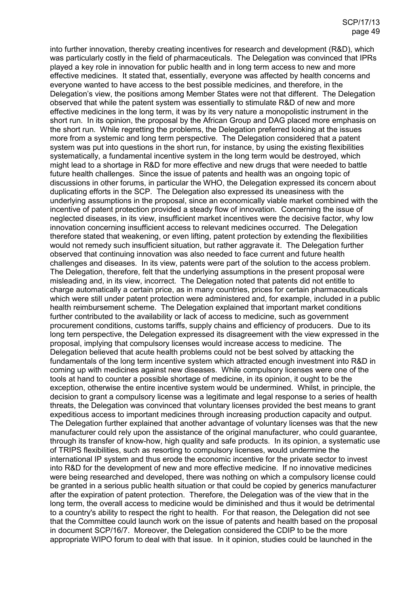into further innovation, thereby creating incentives for research and development (R&D), which was particularly costly in the field of pharmaceuticals. The Delegation was convinced that IPRs played a key role in innovation for public health and in long term access to new and more effective medicines. It stated that, essentially, everyone was affected by health concerns and everyone wanted to have access to the best possible medicines, and therefore, in the Delegation's view, the positions among Member States were not that different. The Delegation observed that while the patent system was essentially to stimulate R&D of new and more effective medicines in the long term, it was by its very nature a monopolistic instrument in the short run. In its opinion, the proposal by the African Group and DAG placed more emphasis on the short run. While regretting the problems, the Delegation preferred looking at the issues more from a systemic and long term perspective. The Delegation considered that a patent system was put into questions in the short run, for instance, by using the existing flexibilities systematically, a fundamental incentive system in the long term would be destroyed, which might lead to a shortage in R&D for more effective and new drugs that were needed to battle future health challenges. Since the issue of patents and health was an ongoing topic of discussions in other forums, in particular the WHO, the Delegation expressed its concern about duplicating efforts in the SCP. The Delegation also expressed its uneasiness with the underlying assumptions in the proposal, since an economically viable market combined with the incentive of patent protection provided a steady flow of innovation. Concerning the issue of neglected diseases, in its view, insufficient market incentives were the decisive factor, why low innovation concerning insufficient access to relevant medicines occurred. The Delegation therefore stated that weakening, or even lifting, patent protection by extending the flexibilities would not remedy such insufficient situation, but rather aggravate it. The Delegation further observed that continuing innovation was also needed to face current and future health challenges and diseases. In its view, patents were part of the solution to the access problem. The Delegation, therefore, felt that the underlying assumptions in the present proposal were misleading and, in its view, incorrect. The Delegation noted that patents did not entitle to charge automatically a certain price, as in many countries, prices for certain pharmaceuticals which were still under patent protection were administered and, for example, included in a public health reimbursement scheme. The Delegation explained that important market conditions further contributed to the availability or lack of access to medicine, such as government procurement conditions, customs tariffs, supply chains and efficiency of producers. Due to its long tern perspective, the Delegation expressed its disagreement with the view expressed in the proposal, implying that compulsory licenses would increase access to medicine. The Delegation believed that acute health problems could not be best solved by attacking the fundamentals of the long term incentive system which attracted enough investment into R&D in coming up with medicines against new diseases. While compulsory licenses were one of the tools at hand to counter a possible shortage of medicine, in its opinion, it ought to be the exception, otherwise the entire incentive system would be undermined. Whilst, in principle, the decision to grant a compulsory license was a legitimate and legal response to a series of health threats, the Delegation was convinced that voluntary licenses provided the best means to grant expeditious access to important medicines through increasing production capacity and output. The Delegation further explained that another advantage of voluntary licenses was that the new manufacturer could rely upon the assistance of the original manufacturer, who could guarantee, through its transfer of know-how, high quality and safe products. In its opinion, a systematic use of TRIPS flexibilities, such as resorting to compulsory licenses, would undermine the international IP system and thus erode the economic incentive for the private sector to invest into R&D for the development of new and more effective medicine. If no innovative medicines were being researched and developed, there was nothing on which a compulsory license could be granted in a serious public health situation or that could be copied by generics manufacturer after the expiration of patent protection. Therefore, the Delegation was of the view that in the long term, the overall access to medicine would be diminished and thus it would be detrimental to a country's ability to respect the right to health. For that reason, the Delegation did not see that the Committee could launch work on the issue of patents and health based on the proposal in document SCP/16/7. Moreover, the Delegation considered the CDIP to be the more appropriate WIPO forum to deal with that issue. In it opinion, studies could be launched in the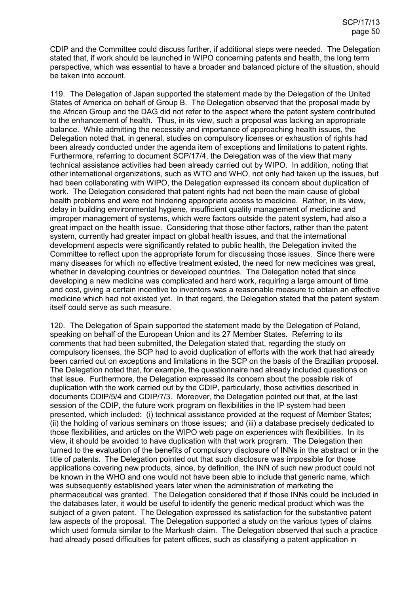CDIP and the Committee could discuss further, if additional steps were needed. The Delegation stated that, if work should be launched in WIPO concerning patents and health, the long term perspective, which was essential to have a broader and balanced picture of the situation, should be taken into account.

119. The Delegation of Japan supported the statement made by the Delegation of the United States of America on behalf of Group B. The Delegation observed that the proposal made by the African Group and the DAG did not refer to the aspect where the patent system contributed to the enhancement of health. Thus, in its view, such a proposal was lacking an appropriate balance. While admitting the necessity and importance of approaching health issues, the Delegation noted that, in general, studies on compulsory licenses or exhaustion of rights had been already conducted under the agenda item of exceptions and limitations to patent rights. Furthermore, referring to document SCP/17/4, the Delegation was of the view that many technical assistance activities had been already carried out by WIPO. In addition, noting that other international organizations, such as WTO and WHO, not only had taken up the issues, but had been collaborating with WIPO, the Delegation expressed its concern about duplication of work. The Delegation considered that patent rights had not been the main cause of global health problems and were not hindering appropriate access to medicine. Rather, in its view, delay in building environmental hygiene, insufficient quality management of medicine and improper management of systems, which were factors outside the patent system, had also a great impact on the health issue. Considering that those other factors, rather than the patent system, currently had greater impact on global health issues, and that the international development aspects were significantly related to public health, the Delegation invited the Committee to reflect upon the appropriate forum for discussing those issues. Since there were many diseases for which no effective treatment existed, the need for new medicines was great, whether in developing countries or developed countries. The Delegation noted that since developing a new medicine was complicated and hard work, requiring a large amount of time and cost, giving a certain incentive to inventors was a reasonable measure to obtain an effective medicine which had not existed yet. In that regard, the Delegation stated that the patent system itself could serve as such measure.

120. The Delegation of Spain supported the statement made by the Delegation of Poland, speaking on behalf of the European Union and its 27 Member States. Referring to its comments that had been submitted, the Delegation stated that, regarding the study on compulsory licenses, the SCP had to avoid duplication of efforts with the work that had already been carried out on exceptions and limitations in the SCP on the basis of the Brazilian proposal. The Delegation noted that, for example, the questionnaire had already included questions on that issue. Furthermore, the Delegation expressed its concern about the possible risk of duplication with the work carried out by the CDIP, particularly, those activities described in documents CDIP/5/4 and CDIP/7/3. Moreover, the Delegation pointed out that, at the last session of the CDIP, the future work program on flexibilities in the IP system had been presented, which included: (i) technical assistance provided at the request of Member States; (ii) the holding of various seminars on those issues; and (iii) a database precisely dedicated to those flexibilities, and articles on the WIPO web page on experiences with flexibilities. In its view, it should be avoided to have duplication with that work program. The Delegation then turned to the evaluation of the benefits of compulsory disclosure of INNs in the abstract or in the title of patents. The Delegation pointed out that such disclosure was impossible for those applications covering new products, since, by definition, the INN of such new product could not be known in the WHO and one would not have been able to include that generic name, which was subsequently established years later when the administration of marketing the pharmaceutical was granted. The Delegation considered that if those INNs could be included in the databases later, it would be useful to identify the generic medical product which was the subject of a given patent. The Delegation expressed its satisfaction for the substantive patent law aspects of the proposal. The Delegation supported a study on the various types of claims which used formula similar to the Markush claim. The Delegation observed that such a practice had already posed difficulties for patent offices, such as classifying a patent application in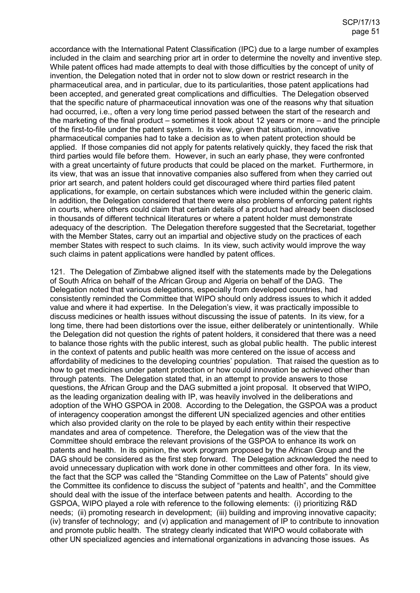accordance with the International Patent Classification (IPC) due to a large number of examples included in the claim and searching prior art in order to determine the novelty and inventive step. While patent offices had made attempts to deal with those difficulties by the concept of unity of invention, the Delegation noted that in order not to slow down or restrict research in the pharmaceutical area, and in particular, due to its particularities, those patent applications had been accepted, and generated great complications and difficulties. The Delegation observed that the specific nature of pharmaceutical innovation was one of the reasons why that situation had occurred, i.e., often a very long time period passed between the start of the research and the marketing of the final product – sometimes it took about 12 years or more – and the principle of the first-to-file under the patent system. In its view, given that situation, innovative pharmaceutical companies had to take a decision as to when patent protection should be applied. If those companies did not apply for patents relatively quickly, they faced the risk that third parties would file before them. However, in such an early phase, they were confronted with a great uncertainty of future products that could be placed on the market. Furthermore, in its view, that was an issue that innovative companies also suffered from when they carried out prior art search, and patent holders could get discouraged where third parties filed patent applications, for example, on certain substances which were included within the generic claim. In addition, the Delegation considered that there were also problems of enforcing patent rights in courts, where others could claim that certain details of a product had already been disclosed in thousands of different technical literatures or where a patent holder must demonstrate adequacy of the description. The Delegation therefore suggested that the Secretariat, together with the Member States, carry out an impartial and objective study on the practices of each member States with respect to such claims. In its view, such activity would improve the way such claims in patent applications were handled by patent offices.

121. The Delegation of Zimbabwe aligned itself with the statements made by the Delegations of South Africa on behalf of the African Group and Algeria on behalf of the DAG. The Delegation noted that various delegations, especially from developed countries, had consistently reminded the Committee that WIPO should only address issues to which it added value and where it had expertise. In the Delegation's view, it was practically impossible to discuss medicines or health issues without discussing the issue of patents. In its view, for a long time, there had been distortions over the issue, either deliberately or unintentionally. While the Delegation did not question the rights of patent holders, it considered that there was a need to balance those rights with the public interest, such as global public health. The public interest in the context of patents and public health was more centered on the issue of access and affordability of medicines to the developing countries' population. That raised the question as to how to get medicines under patent protection or how could innovation be achieved other than through patents. The Delegation stated that, in an attempt to provide answers to those questions, the African Group and the DAG submitted a joint proposal. It observed that WIPO, as the leading organization dealing with IP, was heavily involved in the deliberations and adoption of the WHO GSPOA in 2008. According to the Delegation, the GSPOA was a product of interagency cooperation amongst the different UN specialized agencies and other entities which also provided clarity on the role to be played by each entity within their respective mandates and area of competence. Therefore, the Delegation was of the view that the Committee should embrace the relevant provisions of the GSPOA to enhance its work on patents and health. In its opinion, the work program proposed by the African Group and the DAG should be considered as the first step forward. The Delegation acknowledged the need to avoid unnecessary duplication with work done in other committees and other fora. In its view, the fact that the SCP was called the "Standing Committee on the Law of Patents" should give the Committee its confidence to discuss the subject of "patents and health", and the Committee should deal with the issue of the interface between patents and health. According to the GSPOA, WIPO played a role with reference to the following elements: (i) prioritizing R&D needs; (ii) promoting research in development; (iii) building and improving innovative capacity; (iv) transfer of technology; and (v) application and management of IP to contribute to innovation and promote public health. The strategy clearly indicated that WIPO would collaborate with other UN specialized agencies and international organizations in advancing those issues. As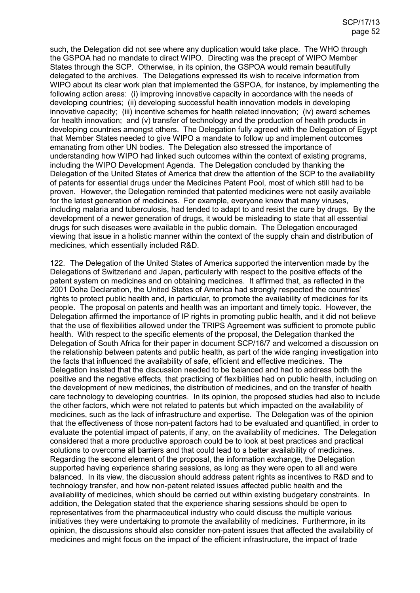such, the Delegation did not see where any duplication would take place. The WHO through the GSPOA had no mandate to direct WIPO. Directing was the precept of WIPO Member States through the SCP. Otherwise, in its opinion, the GSPOA would remain beautifully delegated to the archives. The Delegations expressed its wish to receive information from WIPO about its clear work plan that implemented the GSPOA, for instance, by implementing the following action areas: (i) improving innovative capacity in accordance with the needs of developing countries; (ii) developing successful health innovation models in developing innovative capacity; (iii) incentive schemes for health related innovation; (iv) award schemes for health innovation; and (v) transfer of technology and the production of health products in developing countries amongst others. The Delegation fully agreed with the Delegation of Egypt that Member States needed to give WIPO a mandate to follow up and implement outcomes emanating from other UN bodies. The Delegation also stressed the importance of understanding how WIPO had linked such outcomes within the context of existing programs, including the WIPO Development Agenda. The Delegation concluded by thanking the Delegation of the United States of America that drew the attention of the SCP to the availability of patents for essential drugs under the Medicines Patent Pool, most of which still had to be proven. However, the Delegation reminded that patented medicines were not easily available for the latest generation of medicines. For example, everyone knew that many viruses, including malaria and tuberculosis, had tended to adapt to and resist the cure by drugs. By the development of a newer generation of drugs, it would be misleading to state that all essential drugs for such diseases were available in the public domain. The Delegation encouraged viewing that issue in a holistic manner within the context of the supply chain and distribution of medicines, which essentially included R&D.

122. The Delegation of the United States of America supported the intervention made by the Delegations of Switzerland and Japan, particularly with respect to the positive effects of the patent system on medicines and on obtaining medicines. It affirmed that, as reflected in the 2001 Doha Declaration, the United States of America had strongly respected the countries' rights to protect public health and, in particular, to promote the availability of medicines for its people. The proposal on patents and health was an important and timely topic. However, the Delegation affirmed the importance of IP rights in promoting public health, and it did not believe that the use of flexibilities allowed under the TRIPS Agreement was sufficient to promote public health. With respect to the specific elements of the proposal, the Delegation thanked the Delegation of South Africa for their paper in document SCP/16/7 and welcomed a discussion on the relationship between patents and public health, as part of the wide ranging investigation into the facts that influenced the availability of safe, efficient and effective medicines. The Delegation insisted that the discussion needed to be balanced and had to address both the positive and the negative effects, that practicing of flexibilities had on public health, including on the development of new medicines, the distribution of medicines, and on the transfer of health care technology to developing countries. In its opinion, the proposed studies had also to include the other factors, which were not related to patents but which impacted on the availability of medicines, such as the lack of infrastructure and expertise. The Delegation was of the opinion that the effectiveness of those non-patent factors had to be evaluated and quantified, in order to evaluate the potential impact of patents, if any, on the availability of medicines. The Delegation considered that a more productive approach could be to look at best practices and practical solutions to overcome all barriers and that could lead to a better availability of medicines. Regarding the second element of the proposal, the information exchange, the Delegation supported having experience sharing sessions, as long as they were open to all and were balanced. In its view, the discussion should address patent rights as incentives to R&D and to technology transfer, and how non-patent related issues affected public health and the availability of medicines, which should be carried out within existing budgetary constraints. In addition, the Delegation stated that the experience sharing sessions should be open to representatives from the pharmaceutical industry who could discuss the multiple various initiatives they were undertaking to promote the availability of medicines. Furthermore, in its opinion, the discussions should also consider non-patent issues that affected the availability of medicines and might focus on the impact of the efficient infrastructure, the impact of trade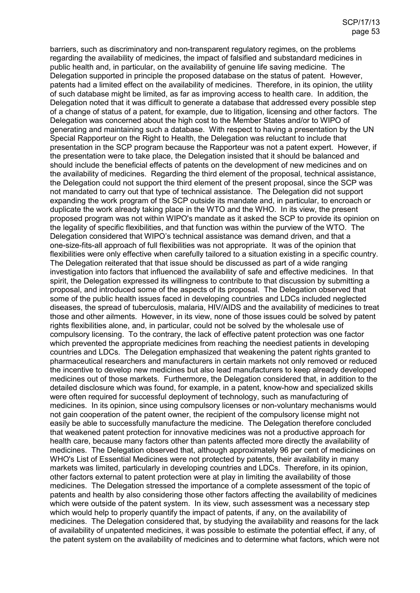barriers, such as discriminatory and non-transparent regulatory regimes, on the problems regarding the availability of medicines, the impact of falsified and substandard medicines in public health and, in particular, on the availability of genuine life saving medicine. The Delegation supported in principle the proposed database on the status of patent. However, patents had a limited effect on the availability of medicines. Therefore, in its opinion, the utility of such database might be limited, as far as improving access to health care. In addition, the Delegation noted that it was difficult to generate a database that addressed every possible step of a change of status of a patent, for example, due to litigation, licensing and other factors. The Delegation was concerned about the high cost to the Member States and/or to WIPO of generating and maintaining such a database. With respect to having a presentation by the UN Special Rapporteur on the Right to Health, the Delegation was reluctant to include that presentation in the SCP program because the Rapporteur was not a patent expert. However, if the presentation were to take place, the Delegation insisted that it should be balanced and should include the beneficial effects of patents on the development of new medicines and on the availability of medicines. Regarding the third element of the proposal, technical assistance, the Delegation could not support the third element of the present proposal, since the SCP was not mandated to carry out that type of technical assistance. The Delegation did not support expanding the work program of the SCP outside its mandate and, in particular, to encroach or duplicate the work already taking place in the WTO and the WHO. In its view, the present proposed program was not within WIPO's mandate as it asked the SCP to provide its opinion on the legality of specific flexibilities, and that function was within the purview of the WTO. The Delegation considered that WIPO's technical assistance was demand driven, and that a one-size-fits-all approach of full flexibilities was not appropriate. It was of the opinion that flexibilities were only effective when carefully tailored to a situation existing in a specific country. The Delegation reiterated that that issue should be discussed as part of a wide ranging investigation into factors that influenced the availability of safe and effective medicines. In that spirit, the Delegation expressed its willingness to contribute to that discussion by submitting a proposal, and introduced some of the aspects of its proposal. The Delegation observed that some of the public health issues faced in developing countries and LDCs included neglected diseases, the spread of tuberculosis, malaria, HIV/AIDS and the availability of medicines to treat those and other ailments. However, in its view, none of those issues could be solved by patent rights flexibilities alone, and, in particular, could not be solved by the wholesale use of compulsory licensing. To the contrary, the lack of effective patent protection was one factor which prevented the appropriate medicines from reaching the neediest patients in developing countries and LDCs. The Delegation emphasized that weakening the patent rights granted to pharmaceutical researchers and manufacturers in certain markets not only removed or reduced the incentive to develop new medicines but also lead manufacturers to keep already developed medicines out of those markets. Furthermore, the Delegation considered that, in addition to the detailed disclosure which was found, for example, in a patent, know-how and specialized skills were often required for successful deployment of technology, such as manufacturing of medicines. In its opinion, since using compulsory licenses or non-voluntary mechanisms would not gain cooperation of the patent owner, the recipient of the compulsory license might not easily be able to successfully manufacture the medicine. The Delegation therefore concluded that weakened patent protection for innovative medicines was not a productive approach for health care, because many factors other than patents affected more directly the availability of medicines. The Delegation observed that, although approximately 96 per cent of medicines on WHO's List of Essential Medicines were not protected by patents, their availability in many markets was limited, particularly in developing countries and LDCs. Therefore, in its opinion, other factors external to patent protection were at play in limiting the availability of those medicines. The Delegation stressed the importance of a complete assessment of the topic of patents and health by also considering those other factors affecting the availability of medicines which were outside of the patent system. In its view, such assessment was a necessary step which would help to properly quantify the impact of patents, if any, on the availability of medicines. The Delegation considered that, by studying the availability and reasons for the lack of availability of unpatented medicines, it was possible to estimate the potential effect, if any, of the patent system on the availability of medicines and to determine what factors, which were not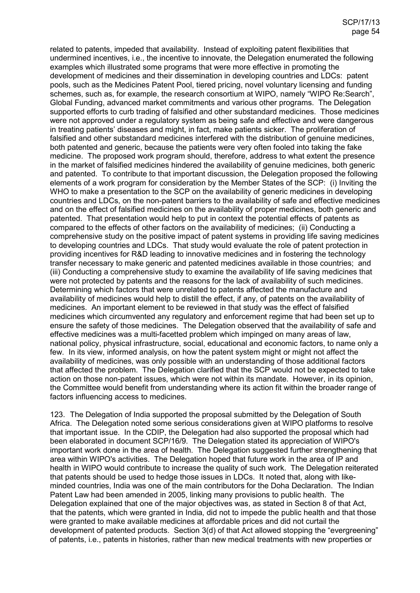related to patents, impeded that availability. Instead of exploiting patent flexibilities that undermined incentives, i.e., the incentive to innovate, the Delegation enumerated the following examples which illustrated some programs that were more effective in promoting the development of medicines and their dissemination in developing countries and LDCs: patent pools, such as the Medicines Patent Pool, tiered pricing, novel voluntary licensing and funding schemes, such as, for example, the research consortium at WIPO, namely "WIPO Re:Search", Global Funding, advanced market commitments and various other programs. The Delegation supported efforts to curb trading of falsified and other substandard medicines. Those medicines were not approved under a regulatory system as being safe and effective and were dangerous in treating patients' diseases and might, in fact, make patients sicker. The proliferation of falsified and other substandard medicines interfered with the distribution of genuine medicines, both patented and generic, because the patients were very often fooled into taking the fake medicine. The proposed work program should, therefore, address to what extent the presence in the market of falsified medicines hindered the availability of genuine medicines, both generic and patented. To contribute to that important discussion, the Delegation proposed the following elements of a work program for consideration by the Member States of the SCP: (i) Inviting the WHO to make a presentation to the SCP on the availability of generic medicines in developing countries and LDCs, on the non-patent barriers to the availability of safe and effective medicines and on the effect of falsified medicines on the availability of proper medicines, both generic and patented. That presentation would help to put in context the potential effects of patents as compared to the effects of other factors on the availability of medicines; (ii) Conducting a comprehensive study on the positive impact of patent systems in providing life saving medicines to developing countries and LDCs. That study would evaluate the role of patent protection in providing incentives for R&D leading to innovative medicines and in fostering the technology transfer necessary to make generic and patented medicines available in those countries; and (iii) Conducting a comprehensive study to examine the availability of life saving medicines that were not protected by patents and the reasons for the lack of availability of such medicines. Determining which factors that were unrelated to patents affected the manufacture and availability of medicines would help to distill the effect, if any, of patents on the availability of medicines. An important element to be reviewed in that study was the effect of falsified medicines which circumvented any regulatory and enforcement regime that had been set up to ensure the safety of those medicines. The Delegation observed that the availability of safe and effective medicines was a multi-facetted problem which impinged on many areas of law, national policy, physical infrastructure, social, educational and economic factors, to name only a few. In its view, informed analysis, on how the patent system might or might not affect the availability of medicines, was only possible with an understanding of those additional factors that affected the problem. The Delegation clarified that the SCP would not be expected to take action on those non-patent issues, which were not within its mandate. However, in its opinion, the Committee would benefit from understanding where its action fit within the broader range of factors influencing access to medicines.

123. The Delegation of India supported the proposal submitted by the Delegation of South Africa. The Delegation noted some serious considerations given at WIPO platforms to resolve that important issue. In the CDIP, the Delegation had also supported the proposal which had been elaborated in document SCP/16/9. The Delegation stated its appreciation of WIPO's important work done in the area of health. The Delegation suggested further strengthening that area within WIPO's activities. The Delegation hoped that future work in the area of IP and health in WIPO would contribute to increase the quality of such work. The Delegation reiterated that patents should be used to hedge those issues in LDCs. It noted that, along with likeminded countries, India was one of the main contributors for the Doha Declaration. The Indian Patent Law had been amended in 2005, linking many provisions to public health. The Delegation explained that one of the major objectives was, as stated in Section 8 of that Act, that the patents, which were granted in India, did not to impede the public health and that those were granted to make available medicines at affordable prices and did not curtail the development of patented products. Section 3(d) of that Act allowed stopping the "evergreening" of patents, i.e., patents in histories, rather than new medical treatments with new properties or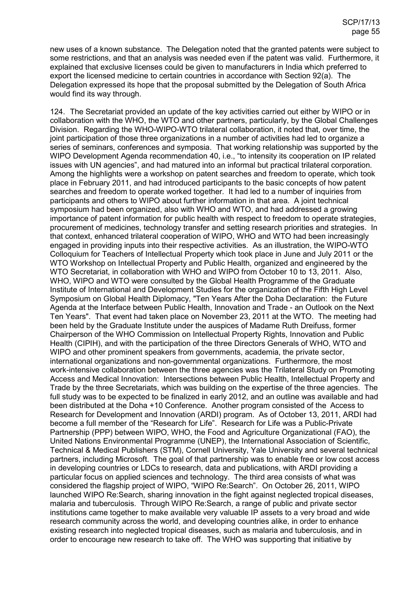new uses of a known substance. The Delegation noted that the granted patents were subject to some restrictions, and that an analysis was needed even if the patent was valid. Furthermore, it explained that exclusive licenses could be given to manufacturers in India which preferred to export the licensed medicine to certain countries in accordance with Section 92(a). The Delegation expressed its hope that the proposal submitted by the Delegation of South Africa would find its way through.

124. The Secretariat provided an update of the key activities carried out either by WIPO or in collaboration with the WHO, the WTO and other partners, particularly, by the Global Challenges Division. Regarding the WHO-WIPO-WTO trilateral collaboration, it noted that, over time, the joint participation of those three organizations in a number of activities had led to organize a series of seminars, conferences and symposia. That working relationship was supported by the WIPO Development Agenda recommendation 40, i.e., "to intensity its cooperation on IP related issues with UN agencies", and had matured into an informal but practical trilateral corporation. Among the highlights were a workshop on patent searches and freedom to operate, which took place in February 2011, and had introduced participants to the basic concepts of how patent searches and freedom to operate worked together. It had led to a number of inquiries from participants and others to WIPO about further information in that area. A joint technical symposium had been organized, also with WHO and WTO, and had addressed a growing importance of patent information for public health with respect to freedom to operate strategies, procurement of medicines, technology transfer and setting research priorities and strategies. In that context, enhanced trilateral cooperation of WIPO, WHO and WTO had been increasingly engaged in providing inputs into their respective activities. As an illustration, the WIPO-WTO Colloquium for Teachers of Intellectual Property which took place in June and July 2011 or the WTO Workshop on Intellectual Property and Public Health, organized and engineered by the WTO Secretariat, in collaboration with WHO and WIPO from October 10 to 13, 2011. Also, WHO, WIPO and WTO were consulted by the Global Health Programme of the Graduate Institute of International and Development Studies for the organization of the Fifth High Level Symposium on Global Health Diplomacy, "Ten Years After the Doha Declaration: the Future Agenda at the Interface between Public Health, Innovation and Trade - an Outlook on the Next Ten Years". That event had taken place on November 23, 2011 at the WTO. The meeting had been held by the Graduate Institute under the auspices of Madame Ruth Dreifuss, former Chairperson of the WHO Commission on Intellectual Property Rights, Innovation and Public Health (CIPIH), and with the participation of the three Directors Generals of WHO, WTO and WIPO and other prominent speakers from governments, academia, the private sector, international organizations and non-governmental organizations. Furthermore, the most work-intensive collaboration between the three agencies was the Trilateral Study on Promoting Access and Medical Innovation: Intersections between Public Health, Intellectual Property and Trade by the three Secretariats, which was building on the expertise of the three agencies. The full study was to be expected to be finalized in early 2012, and an outline was available and had been distributed at the Doha +10 Conference. Another program consisted of the Access to Research for Development and Innovation (ARDI) program. As of October 13, 2011, ARDI had become a full member of the "Research for Life". Research for Life was a Public-Private Partnership (PPP) between WIPO, WHO, the Food and Agriculture Organizational (FAO), the United Nations Environmental Programme (UNEP), the International Association of Scientific, Technical & Medical Publishers (STM), Cornell University, Yale University and several technical partners, including Microsoft. The goal of that partnership was to enable free or low cost access in developing countries or LDCs to research, data and publications, with ARDI providing a particular focus on applied sciences and technology. The third area consists of what was considered the flagship project of WIPO, "WIPO Re:Search". On October 26, 2011, WIPO launched WIPO Re:Search, sharing innovation in the fight against neglected tropical diseases, malaria and tuberculosis. Through WIPO Re:Search, a range of public and private sector institutions came together to make available very valuable IP assets to a very broad and wide research community across the world, and developing countries alike, in order to enhance existing research into neglected tropical diseases, such as malaria and tuberculosis, and in order to encourage new research to take off. The WHO was supporting that initiative by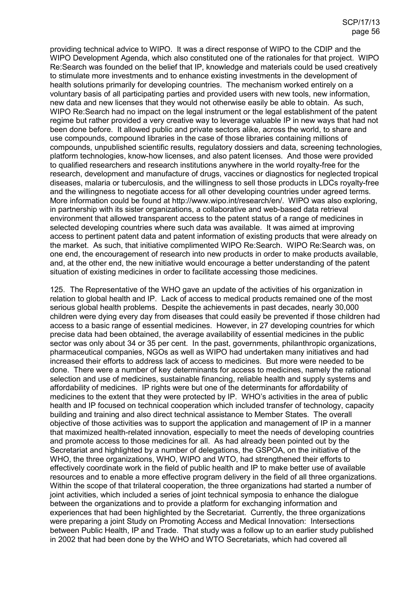providing technical advice to WIPO. It was a direct response of WIPO to the CDIP and the WIPO Development Agenda, which also constituted one of the rationales for that project. WIPO Re:Search was founded on the belief that IP, knowledge and materials could be used creatively to stimulate more investments and to enhance existing investments in the development of health solutions primarily for developing countries. The mechanism worked entirely on a voluntary basis of all participating parties and provided users with new tools, new information, new data and new licenses that they would not otherwise easily be able to obtain. As such, WIPO Re:Search had no impact on the legal instrument or the legal establishment of the patent regime but rather provided a very creative way to leverage valuable IP in new ways that had not been done before. It allowed public and private sectors alike, across the world, to share and use compounds, compound libraries in the case of those libraries containing millions of compounds, unpublished scientific results, regulatory dossiers and data, screening technologies, platform technologies, know-how licenses, and also patent licenses. And those were provided to qualified researchers and research institutions anywhere in the world royalty-free for the research, development and manufacture of drugs, vaccines or diagnostics for neglected tropical diseases, malaria or tuberculosis, and the willingness to sell those products in LDCs royalty-free and the willingness to negotiate access for all other developing countries under agreed terms. More information could be found at http://www.wipo.int/research/en/. WIPO was also exploring, in partnership with its sister organizations, a collaborative and web-based data retrieval environment that allowed transparent access to the patent status of a range of medicines in selected developing countries where such data was available. It was aimed at improving access to pertinent patent data and patent information of existing products that were already on the market. As such, that initiative complimented WIPO Re:Search. WIPO Re:Search was, on one end, the encouragement of research into new products in order to make products available, and, at the other end, the new initiative would encourage a better understanding of the patent situation of existing medicines in order to facilitate accessing those medicines.

125. The Representative of the WHO gave an update of the activities of his organization in relation to global health and IP. Lack of access to medical products remained one of the most serious global health problems. Despite the achievements in past decades, nearly 30,000 children were dying every day from diseases that could easily be prevented if those children had access to a basic range of essential medicines. However, in 27 developing countries for which precise data had been obtained, the average availability of essential medicines in the public sector was only about 34 or 35 per cent. In the past, governments, philanthropic organizations, pharmaceutical companies, NGOs as well as WIPO had undertaken many initiatives and had increased their efforts to address lack of access to medicines. But more were needed to be done. There were a number of key determinants for access to medicines, namely the rational selection and use of medicines, sustainable financing, reliable health and supply systems and affordability of medicines. IP rights were but one of the determinants for affordability of medicines to the extent that they were protected by IP. WHO's activities in the area of public health and IP focused on technical cooperation which included transfer of technology, capacity building and training and also direct technical assistance to Member States. The overall objective of those activities was to support the application and management of IP in a manner that maximized health-related innovation, especially to meet the needs of developing countries and promote access to those medicines for all. As had already been pointed out by the Secretariat and highlighted by a number of delegations, the GSPOA, on the initiative of the WHO, the three organizations, WHO, WIPO and WTO, had strengthened their efforts to effectively coordinate work in the field of public health and IP to make better use of available resources and to enable a more effective program delivery in the field of all three organizations. Within the scope of that trilateral cooperation, the three organizations had started a number of joint activities, which included a series of joint technical symposia to enhance the dialogue between the organizations and to provide a platform for exchanging information and experiences that had been highlighted by the Secretariat. Currently, the three organizations were preparing a joint Study on Promoting Access and Medical Innovation: Intersections between Public Health, IP and Trade. That study was a follow up to an earlier study published in 2002 that had been done by the WHO and WTO Secretariats, which had covered all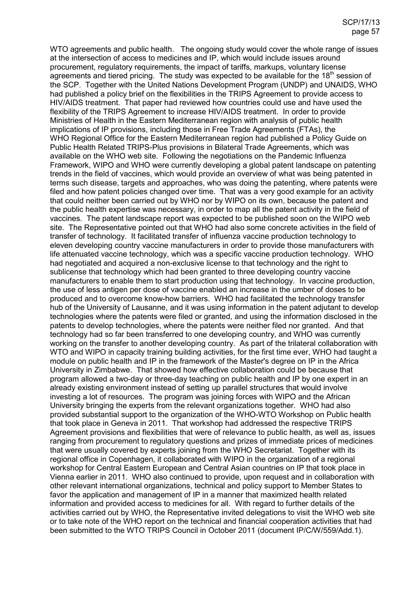WTO agreements and public health. The ongoing study would cover the whole range of issues at the intersection of access to medicines and IP, which would include issues around procurement, regulatory requirements, the impact of tariffs, markups, voluntary license agreements and tiered pricing. The study was expected to be available for the  $18<sup>th</sup>$  session of the SCP. Together with the United Nations Development Program (UNDP) and UNAIDS, WHO had published a policy brief on the flexibilities in the TRIPS Agreement to provide access to HIV/AIDS treatment. That paper had reviewed how countries could use and have used the flexibility of the TRIPS Agreement to increase HIV/AIDS treatment. In order to provide Ministries of Health in the Eastern Mediterranean region with analysis of public health implications of IP provisions, including those in Free Trade Agreements (FTAs), the WHO Regional Office for the Eastern Mediterranean region had published a Policy Guide on Public Health Related TRIPS-Plus provisions in Bilateral Trade Agreements, which was available on the WHO web site. Following the negotiations on the Pandemic Influenza Framework, WIPO and WHO were currently developing a global patent landscape on patenting trends in the field of vaccines, which would provide an overview of what was being patented in terms such disease, targets and approaches, who was doing the patenting, where patents were filed and how patent policies changed over time. That was a very good example for an activity that could neither been carried out by WHO nor by WIPO on its own, because the patent and the public health expertise was necessary, in order to map all the patent activity in the field of vaccines. The patent landscape report was expected to be published soon on the WIPO web site. The Representative pointed out that WHO had also some concrete activities in the field of transfer of technology. It facilitated transfer of influenza vaccine production technology to eleven developing country vaccine manufacturers in order to provide those manufacturers with life attenuated vaccine technology, which was a specific vaccine production technology. WHO had negotiated and acquired a non-exclusive license to that technology and the right to sublicense that technology which had been granted to three developing country vaccine manufacturers to enable them to start production using that technology. In vaccine production, the use of less antigen per dose of vaccine enabled an increase in the umber of doses to be produced and to overcome know-how barriers. WHO had facilitated the technology transfer hub of the University of Lausanne, and it was using information in the patent adjutant to develop technologies where the patents were filed or granted, and using the information disclosed in the patents to develop technologies, where the patents were neither filed nor granted. And that technology had so far been transferred to one developing country, and WHO was currently working on the transfer to another developing country. As part of the trilateral collaboration with WTO and WIPO in capacity training building activities, for the first time ever, WHO had taught a module on public health and IP in the framework of the Master's degree on IP in the Africa University in Zimbabwe. That showed how effective collaboration could be because that program allowed a two-day or three-day teaching on public health and IP by one expert in an already existing environment instead of setting up parallel structures that would involve investing a lot of resources. The program was joining forces with WIPO and the African University bringing the experts from the relevant organizations together. WHO had also provided substantial support to the organization of the WHO-WTO Workshop on Public health that took place in Geneva in 2011. That workshop had addressed the respective TRIPS Agreement provisions and flexibilities that were of relevance to public health, as well as, issues ranging from procurement to regulatory questions and prizes of immediate prices of medicines that were usually covered by experts joining from the WHO Secretariat. Together with its regional office in Copenhagen, it collaborated with WIPO in the organization of a regional workshop for Central Eastern European and Central Asian countries on IP that took place in Vienna earlier in 2011. WHO also continued to provide, upon request and in collaboration with other relevant international organizations, technical and policy support to Member States to favor the application and management of IP in a manner that maximized health related information and provided access to medicines for all. With regard to further details of the activities carried out by WHO, the Representative invited delegations to visit the WHO web site or to take note of the WHO report on the technical and financial cooperation activities that had been submitted to the WTO TRIPS Council in October 2011 (document IP/C/W/559/Add.1).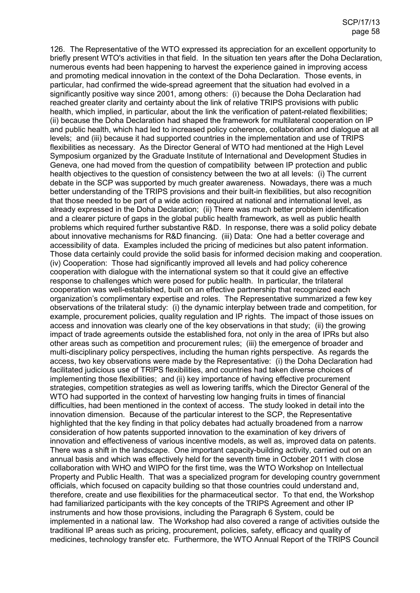126. The Representative of the WTO expressed its appreciation for an excellent opportunity to briefly present WTO's activities in that field. In the situation ten years after the Doha Declaration, numerous events had been happening to harvest the experience gained in improving access and promoting medical innovation in the context of the Doha Declaration. Those events, in particular, had confirmed the wide-spread agreement that the situation had evolved in a significantly positive way since 2001, among others: (i) because the Doha Declaration had reached greater clarity and certainty about the link of relative TRIPS provisions with public health, which implied, in particular, about the link the verification of patent-related flexibilities; (ii) because the Doha Declaration had shaped the framework for multilateral cooperation on IP and public health, which had led to increased policy coherence, collaboration and dialogue at all levels; and (iii) because it had supported countries in the implementation and use of TRIPS flexibilities as necessary. As the Director General of WTO had mentioned at the High Level Symposium organized by the Graduate Institute of International and Development Studies in Geneva, one had moved from the question of compatibility between IP protection and public health objectives to the question of consistency between the two at all levels: (i) The current debate in the SCP was supported by much greater awareness. Nowadays, there was a much better understanding of the TRIPS provisions and their built-in flexibilities, but also recognition that those needed to be part of a wide action required at national and international level, as already expressed in the Doha Declaration; (ii) There was much better problem identification and a clearer picture of gaps in the global public health framework, as well as public health problems which required further substantive R&D. In response, there was a solid policy debate about innovative mechanisms for R&D financing. (iii) Data: One had a better coverage and accessibility of data. Examples included the pricing of medicines but also patent information. Those data certainly could provide the solid basis for informed decision making and cooperation. (iv) Cooperation: Those had significantly improved all levels and had policy coherence cooperation with dialogue with the international system so that it could give an effective response to challenges which were posed for public health. In particular, the trilateral cooperation was well-established, built on an effective partnership that recognized each organization's complimentary expertise and roles. The Representative summarized a few key observations of the trilateral study: (i) the dynamic interplay between trade and competition, for example, procurement policies, quality regulation and IP rights. The impact of those issues on access and innovation was clearly one of the key observations in that study; (ii) the growing impact of trade agreements outside the established fora, not only in the area of IPRs but also other areas such as competition and procurement rules; (iii) the emergence of broader and multi-disciplinary policy perspectives, including the human rights perspective. As regards the access, two key observations were made by the Representative: (i) the Doha Declaration had facilitated judicious use of TRIPS flexibilities, and countries had taken diverse choices of implementing those flexibilities; and (ii) key importance of having effective procurement strategies, competition strategies as well as lowering tariffs, which the Director General of the WTO had supported in the context of harvesting low hanging fruits in times of financial difficulties, had been mentioned in the context of access. The study looked in detail into the innovation dimension. Because of the particular interest to the SCP, the Representative highlighted that the key finding in that policy debates had actually broadened from a narrow consideration of how patents supported innovation to the examination of key drivers of innovation and effectiveness of various incentive models, as well as, improved data on patents. There was a shift in the landscape. One important capacity-building activity, carried out on an annual basis and which was effectively held for the seventh time in October 2011 with close collaboration with WHO and WIPO for the first time, was the WTO Workshop on Intellectual Property and Public Health. That was a specialized program for developing country government officials, which focused on capacity building so that those countries could understand and, therefore, create and use flexibilities for the pharmaceutical sector. To that end, the Workshop had familiarized participants with the key concepts of the TRIPS Agreement and other IP instruments and how those provisions, including the Paragraph 6 System, could be implemented in a national law. The Workshop had also covered a range of activities outside the traditional IP areas such as pricing, procurement, policies, safety, efficacy and quality of medicines, technology transfer etc. Furthermore, the WTO Annual Report of the TRIPS Council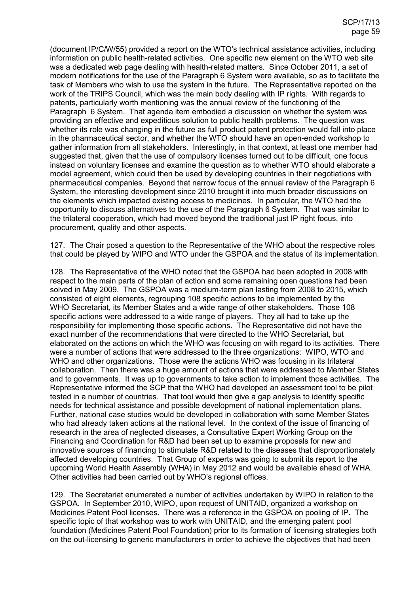(document IP/C/W/55) provided a report on the WTO's technical assistance activities, including information on public health-related activities. One specific new element on the WTO web site was a dedicated web page dealing with health-related matters. Since October 2011, a set of modern notifications for the use of the Paragraph 6 System were available, so as to facilitate the task of Members who wish to use the system in the future. The Representative reported on the work of the TRIPS Council, which was the main body dealing with IP rights. With regards to patents, particularly worth mentioning was the annual review of the functioning of the Paragraph 6 System. That agenda item embodied a discussion on whether the system was providing an effective and expeditious solution to public health problems. The question was whether its role was changing in the future as full product patent protection would fall into place in the pharmaceutical sector, and whether the WTO should have an open-ended workshop to gather information from all stakeholders. Interestingly, in that context, at least one member had suggested that, given that the use of compulsory licenses turned out to be difficult, one focus instead on voluntary licenses and examine the question as to whether WTO should elaborate a model agreement, which could then be used by developing countries in their negotiations with pharmaceutical companies. Beyond that narrow focus of the annual review of the Paragraph 6 System, the interesting development since 2010 brought it into much broader discussions on the elements which impacted existing access to medicines. In particular, the WTO had the opportunity to discuss alternatives to the use of the Paragraph 6 System. That was similar to the trilateral cooperation, which had moved beyond the traditional just IP right focus, into procurement, quality and other aspects.

127. The Chair posed a question to the Representative of the WHO about the respective roles that could be played by WIPO and WTO under the GSPOA and the status of its implementation.

128. The Representative of the WHO noted that the GSPOA had been adopted in 2008 with respect to the main parts of the plan of action and some remaining open questions had been solved in May 2009. The GSPOA was a medium-term plan lasting from 2008 to 2015, which consisted of eight elements, regrouping 108 specific actions to be implemented by the WHO Secretariat, its Member States and a wide range of other stakeholders. Those 108 specific actions were addressed to a wide range of players. They all had to take up the responsibility for implementing those specific actions. The Representative did not have the exact number of the recommendations that were directed to the WHO Secretariat, but elaborated on the actions on which the WHO was focusing on with regard to its activities. There were a number of actions that were addressed to the three organizations: WIPO, WTO and WHO and other organizations. Those were the actions WHO was focusing in its trilateral collaboration. Then there was a huge amount of actions that were addressed to Member States and to governments. It was up to governments to take action to implement those activities. The Representative informed the SCP that the WHO had developed an assessment tool to be pilot tested in a number of countries. That tool would then give a gap analysis to identify specific needs for technical assistance and possible development of national implementation plans. Further, national case studies would be developed in collaboration with some Member States who had already taken actions at the national level. In the context of the issue of financing of research in the area of neglected diseases, a Consultative Expert Working Group on the Financing and Coordination for R&D had been set up to examine proposals for new and innovative sources of financing to stimulate R&D related to the diseases that disproportionately affected developing countries. That Group of experts was going to submit its report to the upcoming World Health Assembly (WHA) in May 2012 and would be available ahead of WHA. Other activities had been carried out by WHO's regional offices.

129. The Secretariat enumerated a number of activities undertaken by WIPO in relation to the GSPOA. In September 2010, WIPO, upon request of UNITAID, organized a workshop on Medicines Patent Pool licenses. There was a reference in the GSPOA on pooling of IP. The specific topic of that workshop was to work with UNITAID, and the emerging patent pool foundation (Medicines Patent Pool Foundation) prior to its formation of licensing strategies both on the out-licensing to generic manufacturers in order to achieve the objectives that had been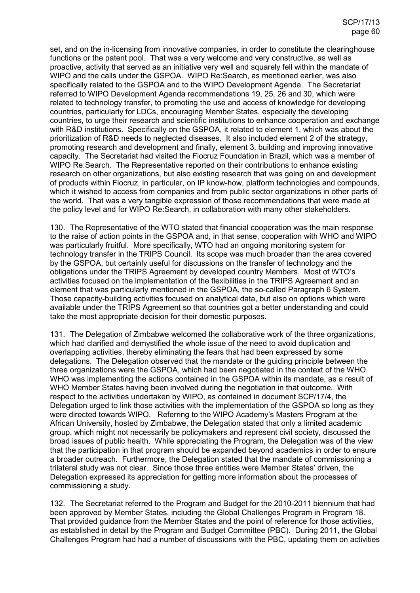set, and on the in-licensing from innovative companies, in order to constitute the clearinghouse functions or the patent pool. That was a very welcome and very constructive, as well as proactive, activity that served as an initiative very well and squarely fell within the mandate of WIPO and the calls under the GSPOA. WIPO Re:Search, as mentioned earlier, was also specifically related to the GSPOA and to the WIPO Development Agenda. The Secretariat referred to WIPO Development Agenda recommendations 19, 25, 26 and 30, which were related to technology transfer, to promoting the use and access of knowledge for developing countries, particularly for LDCs, encouraging Member States, especially the developing countries, to urge their research and scientific institutions to enhance cooperation and exchange with R&D institutions. Specifically on the GSPOA, it related to element 1, which was about the prioritization of R&D needs to neglected diseases. It also included element 2 of the strategy, promoting research and development and finally, element 3, building and improving innovative capacity. The Secretariat had visited the Fiocruz Foundation in Brazil, which was a member of WIPO Re:Search. The Representative reported on their contributions to enhance existing research on other organizations, but also existing research that was going on and development of products within Fiocruz, in particular, on IP know-how, platform technologies and compounds, which it wished to access from companies and from public sector organizations in other parts of the world. That was a very tangible expression of those recommendations that were made at the policy level and for WIPO Re:Search, in collaboration with many other stakeholders.

130. The Representative of the WTO stated that financial cooperation was the main response to the raise of action points in the GSPOA and, in that sense, cooperation with WHO and WIPO was particularly fruitful. More specifically, WTO had an ongoing monitoring system for technology transfer in the TRIPS Council. Its scope was much broader than the area covered by the GSPOA, but certainly useful for discussions on the transfer of technology and the obligations under the TRIPS Agreement by developed country Members. Most of WTO's activities focused on the implementation of the flexibilities in the TRIPS Agreement and an element that was particularly mentioned in the GSPOA, the so-called Paragraph 6 System. Those capacity-building activities focused on analytical data, but also on options which were available under the TRIPS Agreement so that countries got a better understanding and could take the most appropriate decision for their domestic purposes.

131. The Delegation of Zimbabwe welcomed the collaborative work of the three organizations, which had clarified and demystified the whole issue of the need to avoid duplication and overlapping activities, thereby eliminating the fears that had been expressed by some delegations. The Delegation observed that the mandate or the guiding principle between the three organizations were the GSPOA, which had been negotiated in the context of the WHO. WHO was implementing the actions contained in the GSPOA within its mandate, as a result of WHO Member States having been involved during the negotiation in that outcome. With respect to the activities undertaken by WIPO, as contained in document SCP/17/4, the Delegation urged to link those activities with the implementation of the GSPOA so long as they were directed towards WIPO. Referring to the WIPO Academy's Masters Program at the African University, hosted by Zimbabwe, the Delegation stated that only a limited academic group, which might not necessarily be policymakers and represent civil society, discussed the broad issues of public health. While appreciating the Program, the Delegation was of the view that the participation in that program should be expanded beyond academics in order to ensure a broader outreach. Furthermore, the Delegation stated that the mandate of commissioning a trilateral study was not clear. Since those three entities were Member States' driven, the Delegation expressed its appreciation for getting more information about the processes of commissioning a study.

132. The Secretariat referred to the Program and Budget for the 2010-2011 biennium that had been approved by Member States, including the Global Challenges Program in Program 18. That provided guidance from the Member States and the point of reference for those activities, as established in detail by the Program and Budget Committee (PBC). During 2011, the Global Challenges Program had had a number of discussions with the PBC, updating them on activities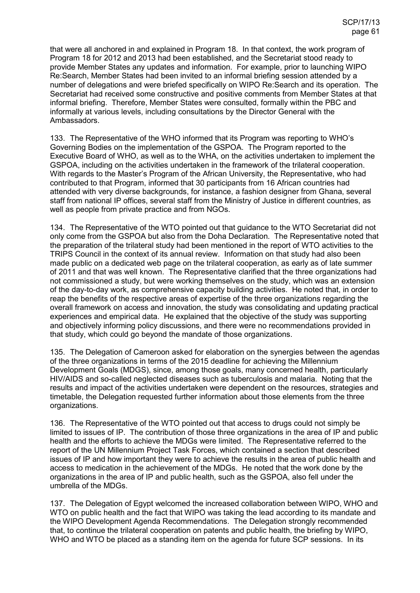that were all anchored in and explained in Program 18. In that context, the work program of Program 18 for 2012 and 2013 had been established, and the Secretariat stood ready to provide Member States any updates and information. For example, prior to launching WIPO Re:Search, Member States had been invited to an informal briefing session attended by a number of delegations and were briefed specifically on WIPO Re:Search and its operation. The Secretariat had received some constructive and positive comments from Member States at that informal briefing. Therefore, Member States were consulted, formally within the PBC and informally at various levels, including consultations by the Director General with the Ambassadors.

133. The Representative of the WHO informed that its Program was reporting to WHO's Governing Bodies on the implementation of the GSPOA. The Program reported to the Executive Board of WHO, as well as to the WHA, on the activities undertaken to implement the GSPOA, including on the activities undertaken in the framework of the trilateral cooperation. With regards to the Master's Program of the African University, the Representative, who had contributed to that Program, informed that 30 participants from 16 African countries had attended with very diverse backgrounds, for instance, a fashion designer from Ghana, several staff from national IP offices, several staff from the Ministry of Justice in different countries, as well as people from private practice and from NGOs.

134. The Representative of the WTO pointed out that guidance to the WTO Secretariat did not only come from the GSPOA but also from the Doha Declaration. The Representative noted that the preparation of the trilateral study had been mentioned in the report of WTO activities to the TRIPS Council in the context of its annual review. Information on that study had also been made public on a dedicated web page on the trilateral cooperation, as early as of late summer of 2011 and that was well known. The Representative clarified that the three organizations had not commissioned a study, but were working themselves on the study, which was an extension of the day-to-day work, as comprehensive capacity building activities. He noted that, in order to reap the benefits of the respective areas of expertise of the three organizations regarding the overall framework on access and innovation, the study was consolidating and updating practical experiences and empirical data. He explained that the objective of the study was supporting and objectively informing policy discussions, and there were no recommendations provided in that study, which could go beyond the mandate of those organizations.

135. The Delegation of Cameroon asked for elaboration on the synergies between the agendas of the three organizations in terms of the 2015 deadline for achieving the Millennium Development Goals (MDGS), since, among those goals, many concerned health, particularly HIV/AIDS and so-called neglected diseases such as tuberculosis and malaria. Noting that the results and impact of the activities undertaken were dependent on the resources, strategies and timetable, the Delegation requested further information about those elements from the three organizations.

136. The Representative of the WTO pointed out that access to drugs could not simply be limited to issues of IP. The contribution of those three organizations in the area of IP and public health and the efforts to achieve the MDGs were limited. The Representative referred to the report of the UN Millennium Project Task Forces, which contained a section that described issues of IP and how important they were to achieve the results in the area of public health and access to medication in the achievement of the MDGs. He noted that the work done by the organizations in the area of IP and public health, such as the GSPOA, also fell under the umbrella of the MDGs.

137. The Delegation of Egypt welcomed the increased collaboration between WIPO, WHO and WTO on public health and the fact that WIPO was taking the lead according to its mandate and the WIPO Development Agenda Recommendations. The Delegation strongly recommended that, to continue the trilateral cooperation on patents and public health, the briefing by WIPO, WHO and WTO be placed as a standing item on the agenda for future SCP sessions. In its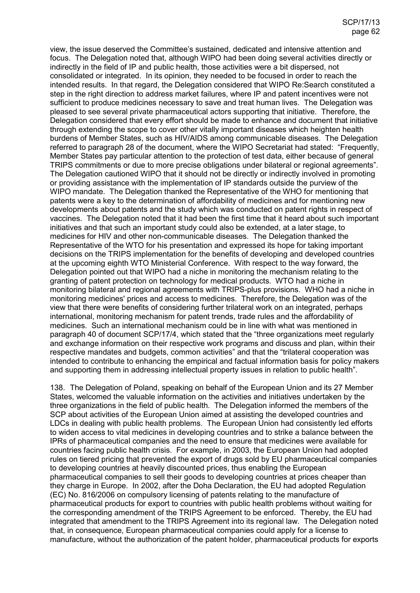view, the issue deserved the Committee's sustained, dedicated and intensive attention and focus. The Delegation noted that, although WIPO had been doing several activities directly or indirectly in the field of IP and public health, those activities were a bit dispersed, not consolidated or integrated. In its opinion, they needed to be focused in order to reach the intended results. In that regard, the Delegation considered that WIPO Re:Search constituted a step in the right direction to address market failures, where IP and patent incentives were not sufficient to produce medicines necessary to save and treat human lives. The Delegation was pleased to see several private pharmaceutical actors supporting that initiative. Therefore, the Delegation considered that every effort should be made to enhance and document that initiative through extending the scope to cover other vitally important diseases which heighten health burdens of Member States, such as HIV/AIDS among communicable diseases. The Delegation referred to paragraph 28 of the document, where the WIPO Secretariat had stated: "Frequently, Member States pay particular attention to the protection of test data, either because of general TRIPS commitments or due to more precise obligations under bilateral or regional agreements". The Delegation cautioned WIPO that it should not be directly or indirectly involved in promoting or providing assistance with the implementation of IP standards outside the purview of the WIPO mandate. The Delegation thanked the Representative of the WHO for mentioning that patents were a key to the determination of affordability of medicines and for mentioning new developments about patents and the study which was conducted on patent rights in respect of vaccines. The Delegation noted that it had been the first time that it heard about such important initiatives and that such an important study could also be extended, at a later stage, to medicines for HIV and other non-communicable diseases. The Delegation thanked the Representative of the WTO for his presentation and expressed its hope for taking important decisions on the TRIPS implementation for the benefits of developing and developed countries at the upcoming eighth WTO Ministerial Conference. With respect to the way forward, the Delegation pointed out that WIPO had a niche in monitoring the mechanism relating to the granting of patent protection on technology for medical products. WTO had a niche in monitoring bilateral and regional agreements with TRIPS-plus provisions. WHO had a niche in monitoring medicines' prices and access to medicines. Therefore, the Delegation was of the view that there were benefits of considering further trilateral work on an integrated, perhaps international, monitoring mechanism for patent trends, trade rules and the affordability of medicines. Such an international mechanism could be in line with what was mentioned in paragraph 40 of document SCP/17/4, which stated that the "three organizations meet regularly and exchange information on their respective work programs and discuss and plan, within their respective mandates and budgets, common activities" and that the "trilateral cooperation was intended to contribute to enhancing the empirical and factual information basis for policy makers and supporting them in addressing intellectual property issues in relation to public health".

138. The Delegation of Poland, speaking on behalf of the European Union and its 27 Member States, welcomed the valuable information on the activities and initiatives undertaken by the three organizations in the field of public health. The Delegation informed the members of the SCP about activities of the European Union aimed at assisting the developed countries and LDCs in dealing with public health problems. The European Union had consistently led efforts to widen access to vital medicines in developing countries and to strike a balance between the IPRs of pharmaceutical companies and the need to ensure that medicines were available for countries facing public health crisis. For example, in 2003, the European Union had adopted rules on tiered pricing that prevented the export of drugs sold by EU pharmaceutical companies to developing countries at heavily discounted prices, thus enabling the European pharmaceutical companies to sell their goods to developing countries at prices cheaper than they charge in Europe. In 2002, after the Doha Declaration, the EU had adopted Regulation (EC) No. 816/2006 on compulsory licensing of patents relating to the manufacture of pharmaceutical products for export to countries with public health problems without waiting for the corresponding amendment of the TRIPS Agreement to be enforced. Thereby, the EU had integrated that amendment to the TRIPS Agreement into its regional law. The Delegation noted that, in consequence, European pharmaceutical companies could apply for a license to manufacture, without the authorization of the patent holder, pharmaceutical products for exports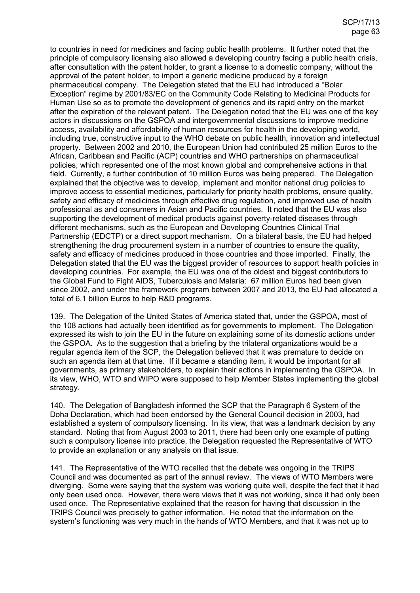to countries in need for medicines and facing public health problems. It further noted that the principle of compulsory licensing also allowed a developing country facing a public health crisis, after consultation with the patent holder, to grant a license to a domestic company, without the approval of the patent holder, to import a generic medicine produced by a foreign pharmaceutical company. The Delegation stated that the EU had introduced a "Bolar Exception" regime by 2001/83/EC on the Community Code Relating to Medicinal Products for Human Use so as to promote the development of generics and its rapid entry on the market after the expiration of the relevant patent. The Delegation noted that the EU was one of the key actors in discussions on the GSPOA and intergovernmental discussions to improve medicine access, availability and affordability of human resources for health in the developing world, including true, constructive input to the WHO debate on public health, innovation and intellectual property. Between 2002 and 2010, the European Union had contributed 25 million Euros to the African, Caribbean and Pacific (ACP) countries and WHO partnerships on pharmaceutical policies, which represented one of the most known global and comprehensive actions in that field. Currently, a further contribution of 10 million Euros was being prepared. The Delegation explained that the objective was to develop, implement and monitor national drug policies to improve access to essential medicines, particularly for priority health problems, ensure quality, safety and efficacy of medicines through effective drug regulation, and improved use of health professional as and consumers in Asian and Pacific countries. It noted that the EU was also supporting the development of medical products against poverty-related diseases through different mechanisms, such as the European and Developing Countries Clinical Trial Partnership (EDCTP) or a direct support mechanism. On a bilateral basis, the EU had helped strengthening the drug procurement system in a number of countries to ensure the quality, safety and efficacy of medicines produced in those countries and those imported. Finally, the Delegation stated that the EU was the biggest provider of resources to support health policies in developing countries. For example, the EU was one of the oldest and biggest contributors to the Global Fund to Fight AIDS, Tuberculosis and Malaria: 67 million Euros had been given since 2002, and under the framework program between 2007 and 2013, the EU had allocated a total of 6.1 billion Euros to help R&D programs.

139. The Delegation of the United States of America stated that, under the GSPOA, most of the 108 actions had actually been identified as for governments to implement. The Delegation expressed its wish to join the EU in the future on explaining some of its domestic actions under the GSPOA. As to the suggestion that a briefing by the trilateral organizations would be a regular agenda item of the SCP, the Delegation believed that it was premature to decide on such an agenda item at that time. If it became a standing item, it would be important for all governments, as primary stakeholders, to explain their actions in implementing the GSPOA. In its view, WHO, WTO and WIPO were supposed to help Member States implementing the global strategy.

140. The Delegation of Bangladesh informed the SCP that the Paragraph 6 System of the Doha Declaration, which had been endorsed by the General Council decision in 2003, had established a system of compulsory licensing. In its view, that was a landmark decision by any standard. Noting that from August 2003 to 2011, there had been only one example of putting such a compulsory license into practice, the Delegation requested the Representative of WTO to provide an explanation or any analysis on that issue.

141. The Representative of the WTO recalled that the debate was ongoing in the TRIPS Council and was documented as part of the annual review. The views of WTO Members were diverging. Some were saying that the system was working quite well, despite the fact that it had only been used once. However, there were views that it was not working, since it had only been used once. The Representative explained that the reason for having that discussion in the TRIPS Council was precisely to gather information. He noted that the information on the system's functioning was very much in the hands of WTO Members, and that it was not up to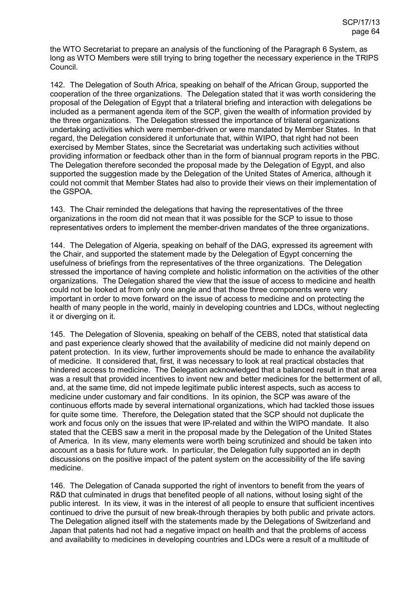the WTO Secretariat to prepare an analysis of the functioning of the Paragraph 6 System, as long as WTO Members were still trying to bring together the necessary experience in the TRIPS Council.

142. The Delegation of South Africa, speaking on behalf of the African Group, supported the cooperation of the three organizations. The Delegation stated that it was worth considering the proposal of the Delegation of Egypt that a trilateral briefing and interaction with delegations be included as a permanent agenda item of the SCP, given the wealth of information provided by the three organizations. The Delegation stressed the importance of trilateral organizations undertaking activities which were member-driven or were mandated by Member States. In that regard, the Delegation considered it unfortunate that, within WIPO, that right had not been exercised by Member States, since the Secretariat was undertaking such activities without providing information or feedback other than in the form of biannual program reports in the PBC. The Delegation therefore seconded the proposal made by the Delegation of Egypt, and also supported the suggestion made by the Delegation of the United States of America, although it could not commit that Member States had also to provide their views on their implementation of the GSPOA.

143. The Chair reminded the delegations that having the representatives of the three organizations in the room did not mean that it was possible for the SCP to issue to those representatives orders to implement the member-driven mandates of the three organizations.

144. The Delegation of Algeria, speaking on behalf of the DAG, expressed its agreement with the Chair, and supported the statement made by the Delegation of Egypt concerning the usefulness of briefings from the representatives of the three organizations. The Delegation stressed the importance of having complete and holistic information on the activities of the other organizations. The Delegation shared the view that the issue of access to medicine and health could not be looked at from only one angle and that those three components were very important in order to move forward on the issue of access to medicine and on protecting the health of many people in the world, mainly in developing countries and LDCs, without neglecting it or diverging on it.

145. The Delegation of Slovenia, speaking on behalf of the CEBS, noted that statistical data and past experience clearly showed that the availability of medicine did not mainly depend on patent protection. In its view, further improvements should be made to enhance the availability of medicine. It considered that, first, it was necessary to look at real practical obstacles that hindered access to medicine. The Delegation acknowledged that a balanced result in that area was a result that provided incentives to invent new and better medicines for the betterment of all, and, at the same time, did not impede legitimate public interest aspects, such as access to medicine under customary and fair conditions. In its opinion, the SCP was aware of the continuous efforts made by several international organizations, which had tackled those issues for quite some time. Therefore, the Delegation stated that the SCP should not duplicate the work and focus only on the issues that were IP-related and within the WIPO mandate. It also stated that the CEBS saw a merit in the proposal made by the Delegation of the United States of America. In its view, many elements were worth being scrutinized and should be taken into account as a basis for future work. In particular, the Delegation fully supported an in depth discussions on the positive impact of the patent system on the accessibility of the life saving medicine.

146. The Delegation of Canada supported the right of inventors to benefit from the years of R&D that culminated in drugs that benefited people of all nations, without losing sight of the public interest. In its view, it was in the interest of all people to ensure that sufficient incentives continued to drive the pursuit of new break-through therapies by both public and private actors. The Delegation aligned itself with the statements made by the Delegations of Switzerland and Japan that patents had not had a negative impact on health and that the problems of access and availability to medicines in developing countries and LDCs were a result of a multitude of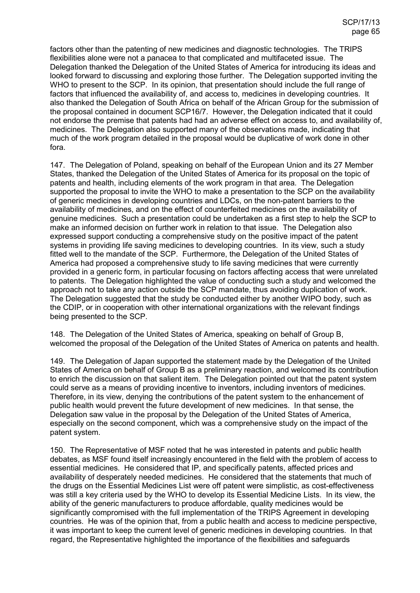factors other than the patenting of new medicines and diagnostic technologies. The TRIPS flexibilities alone were not a panacea to that complicated and multifaceted issue. The Delegation thanked the Delegation of the United States of America for introducing its ideas and looked forward to discussing and exploring those further. The Delegation supported inviting the WHO to present to the SCP. In its opinion, that presentation should include the full range of factors that influenced the availability of, and access to, medicines in developing countries. It also thanked the Delegation of South Africa on behalf of the African Group for the submission of the proposal contained in document SCP16/7. However, the Delegation indicated that it could not endorse the premise that patents had had an adverse effect on access to, and availability of, medicines. The Delegation also supported many of the observations made, indicating that much of the work program detailed in the proposal would be duplicative of work done in other fora.

147. The Delegation of Poland, speaking on behalf of the European Union and its 27 Member States, thanked the Delegation of the United States of America for its proposal on the topic of patents and health, including elements of the work program in that area. The Delegation supported the proposal to invite the WHO to make a presentation to the SCP on the availability of generic medicines in developing countries and LDCs, on the non-patent barriers to the availability of medicines, and on the effect of counterfeited medicines on the availability of genuine medicines. Such a presentation could be undertaken as a first step to help the SCP to make an informed decision on further work in relation to that issue. The Delegation also expressed support conducting a comprehensive study on the positive impact of the patent systems in providing life saving medicines to developing countries. In its view, such a study fitted well to the mandate of the SCP. Furthermore, the Delegation of the United States of America had proposed a comprehensive study to life saving medicines that were currently provided in a generic form, in particular focusing on factors affecting access that were unrelated to patents. The Delegation highlighted the value of conducting such a study and welcomed the approach not to take any action outside the SCP mandate, thus avoiding duplication of work. The Delegation suggested that the study be conducted either by another WIPO body, such as the CDIP, or in cooperation with other international organizations with the relevant findings being presented to the SCP.

148. The Delegation of the United States of America, speaking on behalf of Group B, welcomed the proposal of the Delegation of the United States of America on patents and health.

149. The Delegation of Japan supported the statement made by the Delegation of the United States of America on behalf of Group B as a preliminary reaction, and welcomed its contribution to enrich the discussion on that salient item. The Delegation pointed out that the patent system could serve as a means of providing incentive to inventors, including inventors of medicines. Therefore, in its view, denying the contributions of the patent system to the enhancement of public health would prevent the future development of new medicines. In that sense, the Delegation saw value in the proposal by the Delegation of the United States of America, especially on the second component, which was a comprehensive study on the impact of the patent system.

150. The Representative of MSF noted that he was interested in patents and public health debates, as MSF found itself increasingly encountered in the field with the problem of access to essential medicines. He considered that IP, and specifically patents, affected prices and availability of desperately needed medicines. He considered that the statements that much of the drugs on the Essential Medicines List were off patent were simplistic, as cost-effectiveness was still a key criteria used by the WHO to develop its Essential Medicine Lists. In its view, the ability of the generic manufacturers to produce affordable, quality medicines would be significantly compromised with the full implementation of the TRIPS Agreement in developing countries. He was of the opinion that, from a public health and access to medicine perspective, it was important to keep the current level of generic medicines in developing countries. In that regard, the Representative highlighted the importance of the flexibilities and safeguards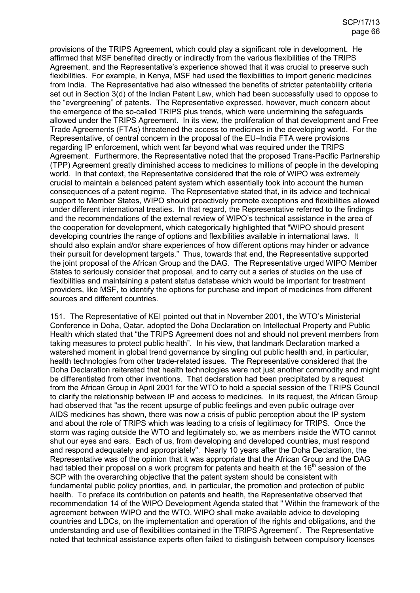provisions of the TRIPS Agreement, which could play a significant role in development. He affirmed that MSF benefited directly or indirectly from the various flexibilities of the TRIPS Agreement, and the Representative's experience showed that it was crucial to preserve such flexibilities. For example, in Kenya, MSF had used the flexibilities to import generic medicines from India. The Representative had also witnessed the benefits of stricter patentability criteria set out in Section 3(d) of the Indian Patent Law, which had been successfully used to oppose to the "evergreening" of patents. The Representative expressed, however, much concern about the emergence of the so-called TRIPS plus trends, which were undermining the safeguards allowed under the TRIPS Agreement. In its view, the proliferation of that development and Free Trade Agreements (FTAs) threatened the access to medicines in the developing world. For the Representative, of central concern in the proposal of the EU–India FTA were provisions regarding IP enforcement, which went far beyond what was required under the TRIPS Agreement. Furthermore, the Representative noted that the proposed Trans-Pacific Partnership (TPP) Agreement greatly diminished access to medicines to millions of people in the developing world. In that context, the Representative considered that the role of WIPO was extremely crucial to maintain a balanced patent system which essentially took into account the human consequences of a patent regime. The Representative stated that, in its advice and technical support to Member States, WIPO should proactively promote exceptions and flexibilities allowed under different international treaties. In that regard, the Representative referred to the findings and the recommendations of the external review of WIPO's technical assistance in the area of the cooperation for development, which categorically highlighted that "WIPO should present developing countries the range of options and flexibilities available in international laws. It should also explain and/or share experiences of how different options may hinder or advance their pursuit for development targets." Thus, towards that end, the Representative supported the joint proposal of the African Group and the DAG. The Representative urged WIPO Member States to seriously consider that proposal, and to carry out a series of studies on the use of flexibilities and maintaining a patent status database which would be important for treatment providers, like MSF, to identify the options for purchase and import of medicines from different sources and different countries.

151. The Representative of KEI pointed out that in November 2001, the WTO's Ministerial Conference in Doha, Qatar, adopted the Doha Declaration on Intellectual Property and Public Health which stated that "the TRIPS Agreement does not and should not prevent members from taking measures to protect public health". In his view, that landmark Declaration marked a watershed moment in global trend governance by singling out public health and, in particular, health technologies from other trade-related issues. The Representative considered that the Doha Declaration reiterated that health technologies were not just another commodity and might be differentiated from other inventions. That declaration had been precipitated by a request from the African Group in April 2001 for the WTO to hold a special session of the TRIPS Council to clarify the relationship between IP and access to medicines. In its request, the African Group had observed that "as the recent upsurge of public feelings and even public outrage over AIDS medicines has shown, there was now a crisis of public perception about the IP system and about the role of TRIPS which was leading to a crisis of legitimacy for TRIPS. Once the storm was raging outside the WTO and legitimately so, we as members inside the WTO cannot shut our eyes and ears. Each of us, from developing and developed countries, must respond and respond adequately and appropriately". Nearly 10 years after the Doha Declaration, the Representative was of the opinion that it was appropriate that the African Group and the DAG had tabled their proposal on a work program for patents and health at the 16<sup>th</sup> session of the SCP with the overarching objective that the patent system should be consistent with fundamental public policy priorities, and, in particular, the promotion and protection of public health. To preface its contribution on patents and health, the Representative observed that recommendation 14 of the WIPO Development Agenda stated that " Within the framework of the agreement between WIPO and the WTO, WIPO shall make available advice to developing countries and LDCs, on the implementation and operation of the rights and obligations, and the understanding and use of flexibilities contained in the TRIPS Agreement". The Representative noted that technical assistance experts often failed to distinguish between compulsory licenses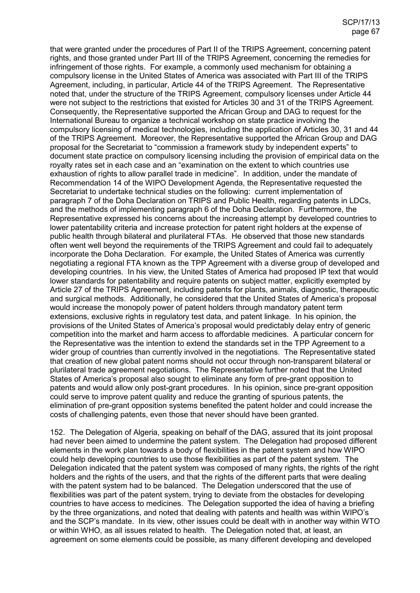that were granted under the procedures of Part II of the TRIPS Agreement, concerning patent rights, and those granted under Part III of the TRIPS Agreement, concerning the remedies for infringement of those rights. For example, a commonly used mechanism for obtaining a compulsory license in the United States of America was associated with Part III of the TRIPS Agreement, including, in particular, Article 44 of the TRIPS Agreement. The Representative noted that, under the structure of the TRIPS Agreement, compulsory licenses under Article 44 were not subject to the restrictions that existed for Articles 30 and 31 of the TRIPS Agreement. Consequently, the Representative supported the African Group and DAG to request for the International Bureau to organize a technical workshop on state practice involving the compulsory licensing of medical technologies, including the application of Articles 30, 31 and 44 of the TRIPS Agreement. Moreover, the Representative supported the African Group and DAG proposal for the Secretariat to "commission a framework study by independent experts" to document state practice on compulsory licensing including the provision of empirical data on the royalty rates set in each case and an "examination on the extent to which countries use exhaustion of rights to allow parallel trade in medicine". In addition, under the mandate of Recommendation 14 of the WIPO Development Agenda, the Representative requested the Secretariat to undertake technical studies on the following: current implementation of paragraph 7 of the Doha Declaration on TRIPS and Public Health, regarding patents in LDCs, and the methods of implementing paragraph 6 of the Doha Declaration. Furthermore, the Representative expressed his concerns about the increasing attempt by developed countries to lower patentability criteria and increase protection for patent right holders at the expense of public health through bilateral and plurilateral FTAs. He observed that those new standards often went well beyond the requirements of the TRIPS Agreement and could fail to adequately incorporate the Doha Declaration. For example, the United States of America was currently negotiating a regional FTA known as the TPP Agreement with a diverse group of developed and developing countries. In his view, the United States of America had proposed IP text that would lower standards for patentability and require patents on subject matter, explicitly exempted by Article 27 of the TRIPS Agreement, including patents for plants, animals, diagnostic, therapeutic and surgical methods. Additionally, he considered that the United States of America's proposal would increase the monopoly power of patent holders through mandatory patent term extensions, exclusive rights in regulatory test data, and patent linkage. In his opinion, the provisions of the United States of America's proposal would predictably delay entry of generic competition into the market and harm access to affordable medicines. A particular concern for the Representative was the intention to extend the standards set in the TPP Agreement to a wider group of countries than currently involved in the negotiations. The Representative stated that creation of new global patent norms should not occur through non-transparent bilateral or plurilateral trade agreement negotiations. The Representative further noted that the United States of America's proposal also sought to eliminate any form of pre-grant opposition to patents and would allow only post-grant procedures. In his opinion, since pre-grant opposition could serve to improve patent quality and reduce the granting of spurious patents, the elimination of pre-grant opposition systems benefited the patent holder and could increase the costs of challenging patents, even those that never should have been granted.

152. The Delegation of Algeria, speaking on behalf of the DAG, assured that its joint proposal had never been aimed to undermine the patent system. The Delegation had proposed different elements in the work plan towards a body of flexibilities in the patent system and how WIPO could help developing countries to use those flexibilities as part of the patent system. The Delegation indicated that the patent system was composed of many rights, the rights of the right holders and the rights of the users, and that the rights of the different parts that were dealing with the patent system had to be balanced. The Delegation underscored that the use of flexibilities was part of the patent system, trying to deviate from the obstacles for developing countries to have access to medicines. The Delegation supported the idea of having a briefing by the three organizations, and noted that dealing with patents and health was within WIPO's and the SCP's mandate. In its view, other issues could be dealt with in another way within WTO or within WHO, as all issues related to health. The Delegation noted that, at least, an agreement on some elements could be possible, as many different developing and developed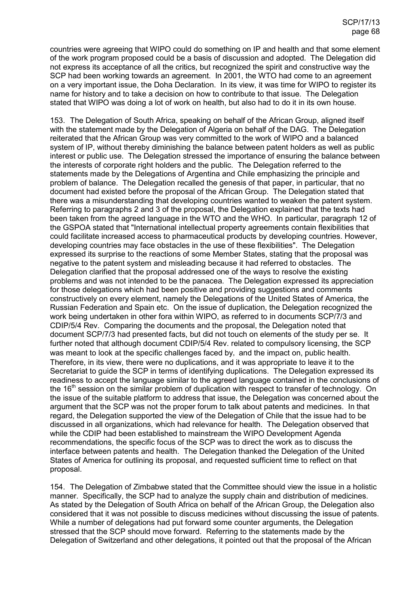countries were agreeing that WIPO could do something on IP and health and that some element of the work program proposed could be a basis of discussion and adopted. The Delegation did not express its acceptance of all the critics, but recognized the spirit and constructive way the SCP had been working towards an agreement. In 2001, the WTO had come to an agreement on a very important issue, the Doha Declaration. In its view, it was time for WIPO to register its name for history and to take a decision on how to contribute to that issue. The Delegation stated that WIPO was doing a lot of work on health, but also had to do it in its own house.

153. The Delegation of South Africa, speaking on behalf of the African Group, aligned itself with the statement made by the Delegation of Algeria on behalf of the DAG. The Delegation reiterated that the African Group was very committed to the work of WIPO and a balanced system of IP, without thereby diminishing the balance between patent holders as well as public interest or public use. The Delegation stressed the importance of ensuring the balance between the interests of corporate right holders and the public. The Delegation referred to the statements made by the Delegations of Argentina and Chile emphasizing the principle and problem of balance. The Delegation recalled the genesis of that paper, in particular, that no document had existed before the proposal of the African Group. The Delegation stated that there was a misunderstanding that developing countries wanted to weaken the patent system. Referring to paragraphs 2 and 3 of the proposal, the Delegation explained that the texts had been taken from the agreed language in the WTO and the WHO. In particular, paragraph 12 of the GSPOA stated that "International intellectual property agreements contain flexibilities that could facilitate increased access to pharmaceutical products by developing countries. However, developing countries may face obstacles in the use of these flexibilities". The Delegation expressed its surprise to the reactions of some Member States, stating that the proposal was negative to the patent system and misleading because it had referred to obstacles. The Delegation clarified that the proposal addressed one of the ways to resolve the existing problems and was not intended to be the panacea. The Delegation expressed its appreciation for those delegations which had been positive and providing suggestions and comments constructively on every element, namely the Delegations of the United States of America, the Russian Federation and Spain etc. On the issue of duplication, the Delegation recognized the work being undertaken in other fora within WIPO, as referred to in documents SCP/7/3 and CDIP/5/4 Rev. Comparing the documents and the proposal, the Delegation noted that document SCP/7/3 had presented facts, but did not touch on elements of the study per se. It further noted that although document CDIP/5/4 Rev. related to compulsory licensing, the SCP was meant to look at the specific challenges faced by, and the impact on, public health. Therefore, in its view, there were no duplications, and it was appropriate to leave it to the Secretariat to guide the SCP in terms of identifying duplications. The Delegation expressed its readiness to accept the language similar to the agreed language contained in the conclusions of the 16<sup>th</sup> session on the similar problem of duplication with respect to transfer of technology. On the issue of the suitable platform to address that issue, the Delegation was concerned about the argument that the SCP was not the proper forum to talk about patents and medicines. In that regard, the Delegation supported the view of the Delegation of Chile that the issue had to be discussed in all organizations, which had relevance for health. The Delegation observed that while the CDIP had been established to mainstream the WIPO Development Agenda recommendations, the specific focus of the SCP was to direct the work as to discuss the interface between patents and health. The Delegation thanked the Delegation of the United States of America for outlining its proposal, and requested sufficient time to reflect on that proposal.

154. The Delegation of Zimbabwe stated that the Committee should view the issue in a holistic manner. Specifically, the SCP had to analyze the supply chain and distribution of medicines. As stated by the Delegation of South Africa on behalf of the African Group, the Delegation also considered that it was not possible to discuss medicines without discussing the issue of patents. While a number of delegations had put forward some counter arguments, the Delegation stressed that the SCP should move forward. Referring to the statements made by the Delegation of Switzerland and other delegations, it pointed out that the proposal of the African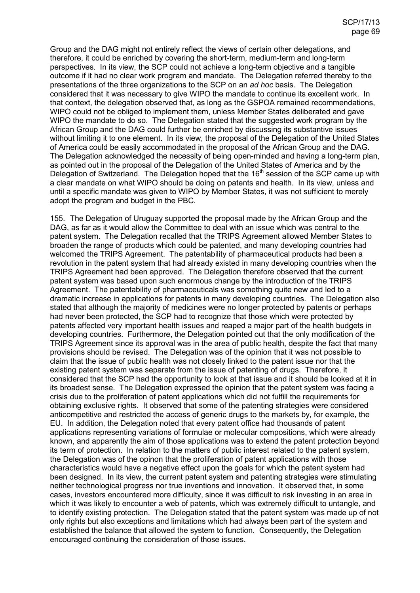Group and the DAG might not entirely reflect the views of certain other delegations, and therefore, it could be enriched by covering the short-term, medium-term and long-term perspectives. In its view, the SCP could not achieve a long-term objective and a tangible outcome if it had no clear work program and mandate. The Delegation referred thereby to the presentations of the three organizations to the SCP on an *ad hoc* basis. The Delegation considered that it was necessary to give WIPO the mandate to continue its excellent work. In that context, the delegation observed that, as long as the GSPOA remained recommendations, WIPO could not be obliged to implement them, unless Member States deliberated and gave WIPO the mandate to do so. The Delegation stated that the suggested work program by the African Group and the DAG could further be enriched by discussing its substantive issues without limiting it to one element. In its view, the proposal of the Delegation of the United States of America could be easily accommodated in the proposal of the African Group and the DAG. The Delegation acknowledged the necessity of being open-minded and having a long-term plan, as pointed out in the proposal of the Delegation of the United States of America and by the Delegation of Switzerland. The Delegation hoped that the 16<sup>th</sup> session of the SCP came up with a clear mandate on what WIPO should be doing on patents and health. In its view, unless and until a specific mandate was given to WIPO by Member States, it was not sufficient to merely adopt the program and budget in the PBC.

155. The Delegation of Uruguay supported the proposal made by the African Group and the DAG, as far as it would allow the Committee to deal with an issue which was central to the patent system. The Delegation recalled that the TRIPS Agreement allowed Member States to broaden the range of products which could be patented, and many developing countries had welcomed the TRIPS Agreement. The patentability of pharmaceutical products had been a revolution in the patent system that had already existed in many developing countries when the TRIPS Agreement had been approved. The Delegation therefore observed that the current patent system was based upon such enormous change by the introduction of the TRIPS Agreement. The patentability of pharmaceuticals was something quite new and led to a dramatic increase in applications for patents in many developing countries. The Delegation also stated that although the majority of medicines were no longer protected by patents or perhaps had never been protected, the SCP had to recognize that those which were protected by patents affected very important health issues and reaped a major part of the health budgets in developing countries. Furthermore, the Delegation pointed out that the only modification of the TRIPS Agreement since its approval was in the area of public health, despite the fact that many provisions should be revised. The Delegation was of the opinion that it was not possible to claim that the issue of public health was not closely linked to the patent issue nor that the existing patent system was separate from the issue of patenting of drugs. Therefore, it considered that the SCP had the opportunity to look at that issue and it should be looked at it in its broadest sense. The Delegation expressed the opinion that the patent system was facing a crisis due to the proliferation of patent applications which did not fulfill the requirements for obtaining exclusive rights. It observed that some of the patenting strategies were considered anticompetitive and restricted the access of generic drugs to the markets by, for example, the EU. In addition, the Delegation noted that every patent office had thousands of patent applications representing variations of formulae or molecular compositions, which were already known, and apparently the aim of those applications was to extend the patent protection beyond its term of protection. In relation to the matters of public interest related to the patent system, the Delegation was of the opinon that the proliferation of patent applications with those characteristics would have a negative effect upon the goals for which the patent system had been designed. In its view, the current patent system and patenting strategies were stimulating neither technological progress nor true inventions and innovation. It observed that, in some cases, investors encountered more difficulty, since it was difficult to risk investing in an area in which it was likely to encounter a web of patents, which was extremely difficult to untangle, and to identify existing protection. The Delegation stated that the patent system was made up of not only rights but also exceptions and limitations which had always been part of the system and established the balance that allowed the system to function. Consequently, the Delegation encouraged continuing the consideration of those issues.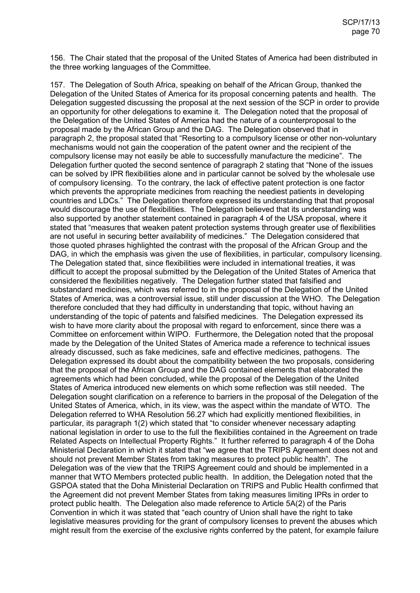156. The Chair stated that the proposal of the United States of America had been distributed in the three working languages of the Committee.

157. The Delegation of South Africa, speaking on behalf of the African Group, thanked the Delegation of the United States of America for its proposal concerning patents and health. The Delegation suggested discussing the proposal at the next session of the SCP in order to provide an opportunity for other delegations to examine it. The Delegation noted that the proposal of the Delegation of the United States of America had the nature of a counterproposal to the proposal made by the African Group and the DAG. The Delegation observed that in paragraph 2, the proposal stated that "Resorting to a compulsory license or other non-voluntary mechanisms would not gain the cooperation of the patent owner and the recipient of the compulsory license may not easily be able to successfully manufacture the medicine". The Delegation further quoted the second sentence of paragraph 2 stating that "None of the issues can be solved by IPR flexibilities alone and in particular cannot be solved by the wholesale use of compulsory licensing. To the contrary, the lack of effective patent protection is one factor which prevents the appropriate medicines from reaching the neediest patients in developing countries and LDCs." The Delegation therefore expressed its understanding that that proposal would discourage the use of flexibilities. The Delegation believed that its understanding was also supported by another statement contained in paragraph 4 of the USA proposal, where it stated that "measures that weaken patent protection systems through greater use of flexibilities are not useful in securing better availability of medicines." The Delegation considered that those quoted phrases highlighted the contrast with the proposal of the African Group and the DAG, in which the emphasis was given the use of flexibilities, in particular, compulsory licensing. The Delegation stated that, since flexibilities were included in international treaties, it was difficult to accept the proposal submitted by the Delegation of the United States of America that considered the flexibilities negatively. The Delegation further stated that falsified and substandard medicines, which was referred to in the proposal of the Delegation of the United States of America, was a controversial issue, still under discussion at the WHO. The Delegation therefore concluded that they had difficulty in understanding that topic, without having an understanding of the topic of patents and falsified medicines. The Delegation expressed its wish to have more clarity about the proposal with regard to enforcement, since there was a Committee on enforcement within WIPO. Furthermore, the Delegation noted that the proposal made by the Delegation of the United States of America made a reference to technical issues already discussed, such as fake medicines, safe and effective medicines, pathogens. The Delegation expressed its doubt about the compatibility between the two proposals, considering that the proposal of the African Group and the DAG contained elements that elaborated the agreements which had been concluded, while the proposal of the Delegation of the United States of America introduced new elements on which some reflection was still needed. The Delegation sought clarification on a reference to barriers in the proposal of the Delegation of the United States of America, which, in its view, was the aspect within the mandate of WTO. The Delegation referred to WHA Resolution 56.27 which had explicitly mentioned flexibilities, in particular, its paragraph 1(2) which stated that "to consider whenever necessary adapting national legislation in order to use to the full the flexibilities contained in the Agreement on trade Related Aspects on Intellectual Property Rights." It further referred to paragraph 4 of the Doha Ministerial Declaration in which it stated that "we agree that the TRIPS Agreement does not and should not prevent Member States from taking measures to protect public health". The Delegation was of the view that the TRIPS Agreement could and should be implemented in a manner that WTO Members protected public health. In addition, the Delegation noted that the GSPOA stated that the Doha Ministerial Declaration on TRIPS and Public Health confirmed that the Agreement did not prevent Member States from taking measures limiting IPRs in order to protect public health. The Delegation also made reference to Article 5A(2) of the Paris Convention in which it was stated that "each country of Union shall have the right to take legislative measures providing for the grant of compulsory licenses to prevent the abuses which might result from the exercise of the exclusive rights conferred by the patent, for example failure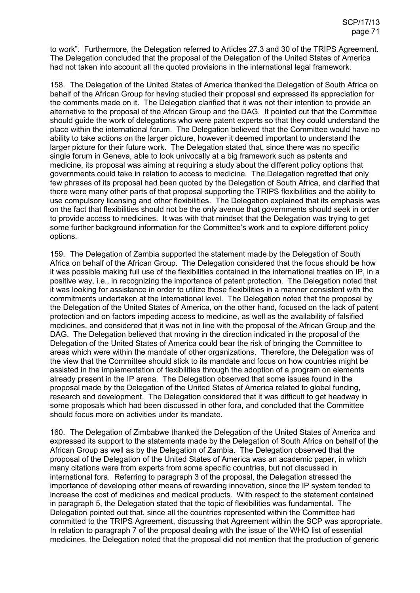to work". Furthermore, the Delegation referred to Articles 27.3 and 30 of the TRIPS Agreement. The Delegation concluded that the proposal of the Delegation of the United States of America had not taken into account all the quoted provisions in the international legal framework.

158. The Delegation of the United States of America thanked the Delegation of South Africa on behalf of the African Group for having studied their proposal and expressed its appreciation for the comments made on it. The Delegation clarified that it was not their intention to provide an alternative to the proposal of the African Group and the DAG. It pointed out that the Committee should guide the work of delegations who were patent experts so that they could understand the place within the international forum. The Delegation believed that the Committee would have no ability to take actions on the larger picture, however it deemed important to understand the larger picture for their future work. The Delegation stated that, since there was no specific single forum in Geneva, able to look univocally at a big framework such as patents and medicine, its proposal was aiming at requiring a study about the different policy options that governments could take in relation to access to medicine. The Delegation regretted that only few phrases of its proposal had been quoted by the Delegation of South Africa, and clarified that there were many other parts of that proposal supporting the TRIPS flexibilities and the ability to use compulsory licensing and other flexibilities. The Delegation explained that its emphasis was on the fact that flexibilities should not be the only avenue that governments should seek in order to provide access to medicines. It was with that mindset that the Delegation was trying to get some further background information for the Committee's work and to explore different policy options.

159. The Delegation of Zambia supported the statement made by the Delegation of South Africa on behalf of the African Group. The Delegation considered that the focus should be how it was possible making full use of the flexibilities contained in the international treaties on IP, in a positive way, i.e., in recognizing the importance of patent protection. The Delegation noted that it was looking for assistance in order to utilize those flexibilities in a manner consistent with the commitments undertaken at the international level. The Delegation noted that the proposal by the Delegation of the United States of America, on the other hand, focused on the lack of patent protection and on factors impeding access to medicine, as well as the availability of falsified medicines, and considered that it was not in line with the proposal of the African Group and the DAG. The Delegation believed that moving in the direction indicated in the proposal of the Delegation of the United States of America could bear the risk of bringing the Committee to areas which were within the mandate of other organizations. Therefore, the Delegation was of the view that the Committee should stick to its mandate and focus on how countries might be assisted in the implementation of flexibilities through the adoption of a program on elements already present in the IP arena. The Delegation observed that some issues found in the proposal made by the Delegation of the United States of America related to global funding, research and development. The Delegation considered that it was difficult to get headway in some proposals which had been discussed in other fora, and concluded that the Committee should focus more on activities under its mandate.

160. The Delegation of Zimbabwe thanked the Delegation of the United States of America and expressed its support to the statements made by the Delegation of South Africa on behalf of the African Group as well as by the Delegation of Zambia. The Delegation observed that the proposal of the Delegation of the United States of America was an academic paper, in which many citations were from experts from some specific countries, but not discussed in international fora. Referring to paragraph 3 of the proposal, the Delegation stressed the importance of developing other means of rewarding innovation, since the IP system tended to increase the cost of medicines and medical products. With respect to the statement contained in paragraph 5, the Delegation stated that the topic of flexibilities was fundamental. The Delegation pointed out that, since all the countries represented within the Committee had committed to the TRIPS Agreement, discussing that Agreement within the SCP was appropriate. In relation to paragraph 7 of the proposal dealing with the issue of the WHO list of essential medicines, the Delegation noted that the proposal did not mention that the production of generic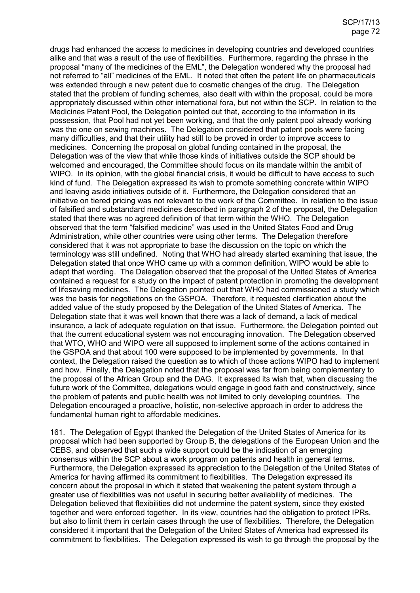drugs had enhanced the access to medicines in developing countries and developed countries alike and that was a result of the use of flexibilities. Furthermore, regarding the phrase in the proposal "many of the medicines of the EML", the Delegation wondered why the proposal had not referred to "all" medicines of the EML. It noted that often the patent life on pharmaceuticals was extended through a new patent due to cosmetic changes of the drug. The Delegation stated that the problem of funding schemes, also dealt with within the proposal, could be more appropriately discussed within other international fora, but not within the SCP. In relation to the Medicines Patent Pool, the Delegation pointed out that, according to the information in its possession, that Pool had not yet been working, and that the only patent pool already working was the one on sewing machines. The Delegation considered that patent pools were facing many difficulties, and that their utility had still to be proved in order to improve access to medicines. Concerning the proposal on global funding contained in the proposal, the Delegation was of the view that while those kinds of initiatives outside the SCP should be welcomed and encouraged, the Committee should focus on its mandate within the ambit of WIPO. In its opinion, with the global financial crisis, it would be difficult to have access to such kind of fund. The Delegation expressed its wish to promote something concrete within WIPO and leaving aside initiatives outside of it. Furthermore, the Delegation considered that an initiative on tiered pricing was not relevant to the work of the Committee. In relation to the issue of falsified and substandard medicines described in paragraph 2 of the proposal, the Delegation stated that there was no agreed definition of that term within the WHO. The Delegation observed that the term "falsified medicine" was used in the United States Food and Drug Administration, while other countries were using other terms. The Delegation therefore considered that it was not appropriate to base the discussion on the topic on which the terminology was still undefined. Noting that WHO had already started examining that issue, the Delegation stated that once WHO came up with a common definition, WIPO would be able to adapt that wording. The Delegation observed that the proposal of the United States of America contained a request for a study on the impact of patent protection in promoting the development of lifesaving medicines. The Delegation pointed out that WHO had commissioned a study which was the basis for negotiations on the GSPOA. Therefore, it requested clarification about the added value of the study proposed by the Delegation of the United States of America. The Delegation state that it was well known that there was a lack of demand, a lack of medical insurance, a lack of adequate regulation on that issue. Furthermore, the Delegation pointed out that the current educational system was not encouraging innovation. The Delegation observed that WTO, WHO and WIPO were all supposed to implement some of the actions contained in the GSPOA and that about 100 were supposed to be implemented by governments. In that context, the Delegation raised the question as to which of those actions WIPO had to implement and how. Finally, the Delegation noted that the proposal was far from being complementary to the proposal of the African Group and the DAG. It expressed its wish that, when discussing the future work of the Committee, delegations would engage in good faith and constructively, since the problem of patents and public health was not limited to only developing countries. The Delegation encouraged a proactive, holistic, non-selective approach in order to address the fundamental human right to affordable medicines.

161. The Delegation of Egypt thanked the Delegation of the United States of America for its proposal which had been supported by Group B, the delegations of the European Union and the CEBS, and observed that such a wide support could be the indication of an emerging consensus within the SCP about a work program on patents and health in general terms. Furthermore, the Delegation expressed its appreciation to the Delegation of the United States of America for having affirmed its commitment to flexibilities. The Delegation expressed its concern about the proposal in which it stated that weakening the patent system through a greater use of flexibilities was not useful in securing better availability of medicines. The Delegation believed that flexibilities did not undermine the patent system, since they existed together and were enforced together. In its view, countries had the obligation to protect IPRs, but also to limit them in certain cases through the use of flexibilities. Therefore, the Delegation considered it important that the Delegation of the United States of America had expressed its commitment to flexibilities. The Delegation expressed its wish to go through the proposal by the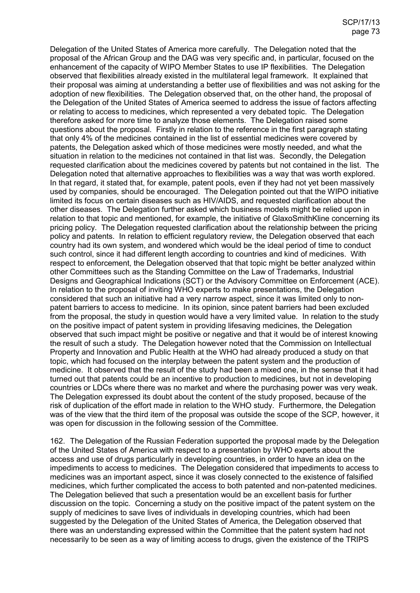Delegation of the United States of America more carefully. The Delegation noted that the proposal of the African Group and the DAG was very specific and, in particular, focused on the enhancement of the capacity of WIPO Member States to use IP flexibilities. The Delegation observed that flexibilities already existed in the multilateral legal framework. It explained that their proposal was aiming at understanding a better use of flexibilities and was not asking for the adoption of new flexibilities. The Delegation observed that, on the other hand, the proposal of the Delegation of the United States of America seemed to address the issue of factors affecting or relating to access to medicines, which represented a very debated topic. The Delegation therefore asked for more time to analyze those elements. The Delegation raised some questions about the proposal. Firstly in relation to the reference in the first paragraph stating that only 4% of the medicines contained in the list of essential medicines were covered by patents, the Delegation asked which of those medicines were mostly needed, and what the situation in relation to the medicines not contained in that list was. Secondly, the Delegation requested clarification about the medicines covered by patents but not contained in the list. The Delegation noted that alternative approaches to flexibilities was a way that was worth explored. In that regard, it stated that, for example, patent pools, even if they had not yet been massively used by companies, should be encouraged. The Delegation pointed out that the WIPO initiative limited its focus on certain diseases such as HIV/AIDS, and requested clarification about the other diseases. The Delegation further asked which business models might be relied upon in relation to that topic and mentioned, for example, the initiative of GlaxoSmithKline concerning its pricing policy. The Delegation requested clarification about the relationship between the pricing policy and patents. In relation to efficient regulatory review, the Delegation observed that each country had its own system, and wondered which would be the ideal period of time to conduct such control, since it had different length according to countries and kind of medicines. With respect to enforcement, the Delegation observed that that topic might be better analyzed within other Committees such as the Standing Committee on the Law of Trademarks, Industrial Designs and Geographical Indications (SCT) or the Advisory Committee on Enforcement (ACE). In relation to the proposal of inviting WHO experts to make presentations, the Delegation considered that such an initiative had a very narrow aspect, since it was limited only to nonpatent barriers to access to medicine. In its opinion, since patent barriers had been excluded from the proposal, the study in question would have a very limited value. In relation to the study on the positive impact of patent system in providing lifesaving medicines, the Delegation observed that such impact might be positive or negative and that it would be of interest knowing the result of such a study. The Delegation however noted that the Commission on Intellectual Property and Innovation and Public Health at the WHO had already produced a study on that topic, which had focused on the interplay between the patent system and the production of medicine. It observed that the result of the study had been a mixed one, in the sense that it had turned out that patents could be an incentive to production to medicines, but not in developing countries or LDCs where there was no market and where the purchasing power was very weak. The Delegation expressed its doubt about the content of the study proposed, because of the risk of duplication of the effort made in relation to the WHO study. Furthermore, the Delegation was of the view that the third item of the proposal was outside the scope of the SCP, however, it was open for discussion in the following session of the Committee.

162. The Delegation of the Russian Federation supported the proposal made by the Delegation of the United States of America with respect to a presentation by WHO experts about the access and use of drugs particularly in developing countries, in order to have an idea on the impediments to access to medicines. The Delegation considered that impediments to access to medicines was an important aspect, since it was closely connected to the existence of falsified medicines, which further complicated the access to both patented and non-patented medicines. The Delegation believed that such a presentation would be an excellent basis for further discussion on the topic. Concerning a study on the positive impact of the patent system on the supply of medicines to save lives of individuals in developing countries, which had been suggested by the Delegation of the United States of America, the Delegation observed that there was an understanding expressed within the Committee that the patent system had not necessarily to be seen as a way of limiting access to drugs, given the existence of the TRIPS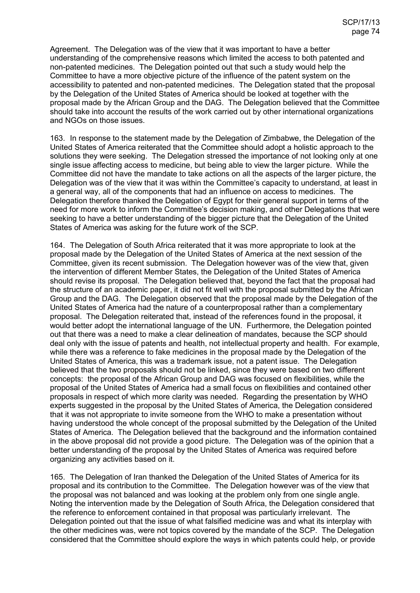Agreement. The Delegation was of the view that it was important to have a better understanding of the comprehensive reasons which limited the access to both patented and non-patented medicines. The Delegation pointed out that such a study would help the Committee to have a more objective picture of the influence of the patent system on the accessibility to patented and non-patented medicines. The Delegation stated that the proposal by the Delegation of the United States of America should be looked at together with the proposal made by the African Group and the DAG. The Delegation believed that the Committee should take into account the results of the work carried out by other international organizations and NGOs on those issues.

163. In response to the statement made by the Delegation of Zimbabwe, the Delegation of the United States of America reiterated that the Committee should adopt a holistic approach to the solutions they were seeking. The Delegation stressed the importance of not looking only at one single issue affecting access to medicine, but being able to view the larger picture. While the Committee did not have the mandate to take actions on all the aspects of the larger picture, the Delegation was of the view that it was within the Committee's capacity to understand, at least in a general way, all of the components that had an influence on access to medicines. The Delegation therefore thanked the Delegation of Egypt for their general support in terms of the need for more work to inform the Committee's decision making, and other Delegations that were seeking to have a better understanding of the bigger picture that the Delegation of the United States of America was asking for the future work of the SCP.

164. The Delegation of South Africa reiterated that it was more appropriate to look at the proposal made by the Delegation of the United States of America at the next session of the Committee, given its recent submission. The Delegation however was of the view that, given the intervention of different Member States, the Delegation of the United States of America should revise its proposal. The Delegation believed that, beyond the fact that the proposal had the structure of an academic paper, it did not fit well with the proposal submitted by the African Group and the DAG. The Delegation observed that the proposal made by the Delegation of the United States of America had the nature of a counterproposal rather than a complementary proposal. The Delegation reiterated that, instead of the references found in the proposal, it would better adopt the international language of the UN. Furthermore, the Delegation pointed out that there was a need to make a clear delineation of mandates, because the SCP should deal only with the issue of patents and health, not intellectual property and health. For example, while there was a reference to fake medicines in the proposal made by the Delegation of the United States of America, this was a trademark issue, not a patent issue. The Delegation believed that the two proposals should not be linked, since they were based on two different concepts: the proposal of the African Group and DAG was focused on flexibilities, while the proposal of the United States of America had a small focus on flexibilities and contained other proposals in respect of which more clarity was needed. Regarding the presentation by WHO experts suggested in the proposal by the United States of America, the Delegation considered that it was not appropriate to invite someone from the WHO to make a presentation without having understood the whole concept of the proposal submitted by the Delegation of the United States of America. The Delegation believed that the background and the information contained in the above proposal did not provide a good picture. The Delegation was of the opinion that a better understanding of the proposal by the United States of America was required before organizing any activities based on it.

165. The Delegation of Iran thanked the Delegation of the United States of America for its proposal and its contribution to the Committee. The Delegation however was of the view that the proposal was not balanced and was looking at the problem only from one single angle. Noting the intervention made by the Delegation of South Africa, the Delegation considered that the reference to enforcement contained in that proposal was particularly irrelevant. The Delegation pointed out that the issue of what falsified medicine was and what its interplay with the other medicines was, were not topics covered by the mandate of the SCP. The Delegation considered that the Committee should explore the ways in which patents could help, or provide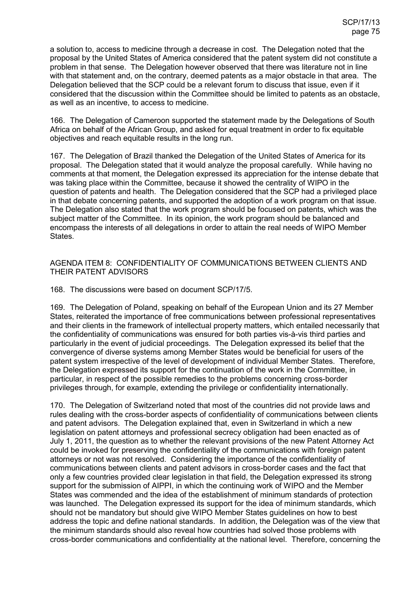a solution to, access to medicine through a decrease in cost. The Delegation noted that the proposal by the United States of America considered that the patent system did not constitute a problem in that sense. The Delegation however observed that there was literature not in line with that statement and, on the contrary, deemed patents as a major obstacle in that area. The Delegation believed that the SCP could be a relevant forum to discuss that issue, even if it considered that the discussion within the Committee should be limited to patents as an obstacle, as well as an incentive, to access to medicine.

166. The Delegation of Cameroon supported the statement made by the Delegations of South Africa on behalf of the African Group, and asked for equal treatment in order to fix equitable objectives and reach equitable results in the long run.

167. The Delegation of Brazil thanked the Delegation of the United States of America for its proposal. The Delegation stated that it would analyze the proposal carefully. While having no comments at that moment, the Delegation expressed its appreciation for the intense debate that was taking place within the Committee, because it showed the centrality of WIPO in the question of patents and health. The Delegation considered that the SCP had a privileged place in that debate concerning patents, and supported the adoption of a work program on that issue. The Delegation also stated that the work program should be focused on patents, which was the subject matter of the Committee. In its opinion, the work program should be balanced and encompass the interests of all delegations in order to attain the real needs of WIPO Member States.

### AGENDA ITEM 8: CONFIDENTIALITY OF COMMUNICATIONS BETWEEN CLIENTS AND THEIR PATENT ADVISORS

168. The discussions were based on document SCP/17/5.

169. The Delegation of Poland, speaking on behalf of the European Union and its 27 Member States, reiterated the importance of free communications between professional representatives and their clients in the framework of intellectual property matters, which entailed necessarily that the confidentiality of communications was ensured for both parties vis-à-vis third parties and particularly in the event of judicial proceedings. The Delegation expressed its belief that the convergence of diverse systems among Member States would be beneficial for users of the patent system irrespective of the level of development of individual Member States. Therefore, the Delegation expressed its support for the continuation of the work in the Committee, in particular, in respect of the possible remedies to the problems concerning cross-border privileges through, for example, extending the privilege or confidentiality internationally.

170. The Delegation of Switzerland noted that most of the countries did not provide laws and rules dealing with the cross-border aspects of confidentiality of communications between clients and patent advisors. The Delegation explained that, even in Switzerland in which a new legislation on patent attorneys and professional secrecy obligation had been enacted as of July 1, 2011, the question as to whether the relevant provisions of the new Patent Attorney Act could be invoked for preserving the confidentiality of the communications with foreign patent attorneys or not was not resolved. Considering the importance of the confidentiality of communications between clients and patent advisors in cross-border cases and the fact that only a few countries provided clear legislation in that field, the Delegation expressed its strong support for the submission of AIPPI, in which the continuing work of WIPO and the Member States was commended and the idea of the establishment of minimum standards of protection was launched. The Delegation expressed its support for the idea of minimum standards, which should not be mandatory but should give WIPO Member States guidelines on how to best address the topic and define national standards. In addition, the Delegation was of the view that the minimum standards should also reveal how countries had solved those problems with cross-border communications and confidentiality at the national level. Therefore, concerning the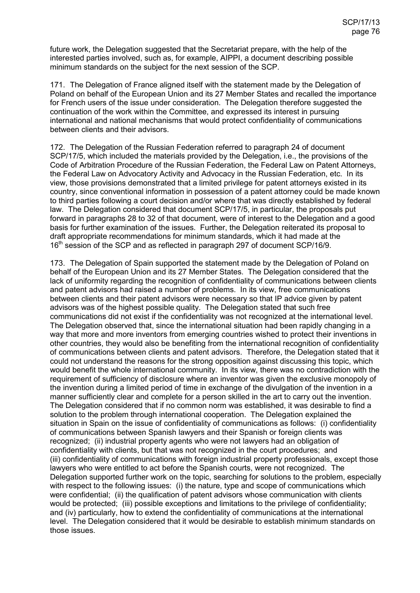future work, the Delegation suggested that the Secretariat prepare, with the help of the interested parties involved, such as, for example, AIPPI, a document describing possible minimum standards on the subject for the next session of the SCP.

171. The Delegation of France aligned itself with the statement made by the Delegation of Poland on behalf of the European Union and its 27 Member States and recalled the importance for French users of the issue under consideration. The Delegation therefore suggested the continuation of the work within the Committee, and expressed its interest in pursuing international and national mechanisms that would protect confidentiality of communications between clients and their advisors.

172. The Delegation of the Russian Federation referred to paragraph 24 of document SCP/17/5, which included the materials provided by the Delegation, i.e., the provisions of the Code of Arbitration Procedure of the Russian Federation, the Federal Law on Patent Attorneys, the Federal Law on Advocatory Activity and Advocacy in the Russian Federation, etc. In its view, those provisions demonstrated that a limited privilege for patent attorneys existed in its country, since conventional information in possession of a patent attorney could be made known to third parties following a court decision and/or where that was directly established by federal law. The Delegation considered that document SCP/17/5, in particular, the proposals put forward in paragraphs 28 to 32 of that document, were of interest to the Delegation and a good basis for further examination of the issues. Further, the Delegation reiterated its proposal to draft appropriate recommendations for minimum standards, which it had made at the 16<sup>th</sup> session of the SCP and as reflected in paragraph 297 of document SCP/16/9.

173. The Delegation of Spain supported the statement made by the Delegation of Poland on behalf of the European Union and its 27 Member States. The Delegation considered that the lack of uniformity regarding the recognition of confidentiality of communications between clients and patent advisors had raised a number of problems. In its view, free communications between clients and their patent advisors were necessary so that IP advice given by patent advisors was of the highest possible quality. The Delegation stated that such free communications did not exist if the confidentiality was not recognized at the international level. The Delegation observed that, since the international situation had been rapidly changing in a way that more and more inventors from emerging countries wished to protect their inventions in other countries, they would also be benefiting from the international recognition of confidentiality of communications between clients and patent advisors. Therefore, the Delegation stated that it could not understand the reasons for the strong opposition against discussing this topic, which would benefit the whole international community. In its view, there was no contradiction with the requirement of sufficiency of disclosure where an inventor was given the exclusive monopoly of the invention during a limited period of time in exchange of the divulgation of the invention in a manner sufficiently clear and complete for a person skilled in the art to carry out the invention. The Delegation considered that if no common norm was established, it was desirable to find a solution to the problem through international cooperation. The Delegation explained the situation in Spain on the issue of confidentiality of communications as follows: (i) confidentiality of communications between Spanish lawyers and their Spanish or foreign clients was recognized; (ii) industrial property agents who were not lawyers had an obligation of confidentiality with clients, but that was not recognized in the court procedures; and (iii) confidentiality of communications with foreign industrial property professionals, except those lawyers who were entitled to act before the Spanish courts, were not recognized. The Delegation supported further work on the topic, searching for solutions to the problem, especially with respect to the following issues: (i) the nature, type and scope of communications which were confidential; (ii) the qualification of patent advisors whose communication with clients would be protected; (iii) possible exceptions and limitations to the privilege of confidentiality; and (iv) particularly, how to extend the confidentiality of communications at the international level. The Delegation considered that it would be desirable to establish minimum standards on those issues.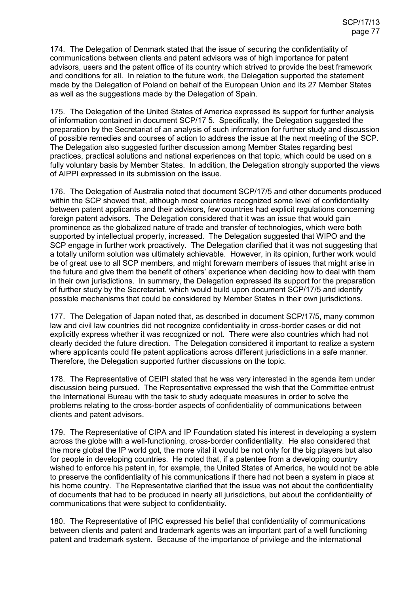174. The Delegation of Denmark stated that the issue of securing the confidentiality of communications between clients and patent advisors was of high importance for patent advisors, users and the patent office of its country which strived to provide the best framework and conditions for all. In relation to the future work, the Delegation supported the statement made by the Delegation of Poland on behalf of the European Union and its 27 Member States as well as the suggestions made by the Delegation of Spain.

175. The Delegation of the United States of America expressed its support for further analysis of information contained in document SCP/17 5. Specifically, the Delegation suggested the preparation by the Secretariat of an analysis of such information for further study and discussion of possible remedies and courses of action to address the issue at the next meeting of the SCP. The Delegation also suggested further discussion among Member States regarding best practices, practical solutions and national experiences on that topic, which could be used on a fully voluntary basis by Member States. In addition, the Delegation strongly supported the views of AIPPI expressed in its submission on the issue.

176. The Delegation of Australia noted that document SCP/17/5 and other documents produced within the SCP showed that, although most countries recognized some level of confidentiality between patent applicants and their advisors, few countries had explicit regulations concerning foreign patent advisors. The Delegation considered that it was an issue that would gain prominence as the globalized nature of trade and transfer of technologies, which were both supported by intellectual property, increased. The Delegation suggested that WIPO and the SCP engage in further work proactively. The Delegation clarified that it was not suggesting that a totally uniform solution was ultimately achievable. However, in its opinion, further work would be of great use to all SCP members, and might forewarn members of issues that might arise in the future and give them the benefit of others' experience when deciding how to deal with them in their own jurisdictions. In summary, the Delegation expressed its support for the preparation of further study by the Secretariat, which would build upon document SCP/17/5 and identify possible mechanisms that could be considered by Member States in their own jurisdictions.

177. The Delegation of Japan noted that, as described in document SCP/17/5, many common law and civil law countries did not recognize confidentiality in cross-border cases or did not explicitly express whether it was recognized or not. There were also countries which had not clearly decided the future direction. The Delegation considered it important to realize a system where applicants could file patent applications across different jurisdictions in a safe manner. Therefore, the Delegation supported further discussions on the topic.

178. The Representative of CEIPI stated that he was very interested in the agenda item under discussion being pursued. The Representative expressed the wish that the Committee entrust the International Bureau with the task to study adequate measures in order to solve the problems relating to the cross-border aspects of confidentiality of communications between clients and patent advisors.

179. The Representative of CIPA and IP Foundation stated his interest in developing a system across the globe with a well-functioning, cross-border confidentiality. He also considered that the more global the IP world got, the more vital it would be not only for the big players but also for people in developing countries. He noted that, if a patentee from a developing country wished to enforce his patent in, for example, the United States of America, he would not be able to preserve the confidentiality of his communications if there had not been a system in place at his home country. The Representative clarified that the issue was not about the confidentiality of documents that had to be produced in nearly all jurisdictions, but about the confidentiality of communications that were subject to confidentiality.

180. The Representative of IPIC expressed his belief that confidentiality of communications between clients and patent and trademark agents was an important part of a well functioning patent and trademark system. Because of the importance of privilege and the international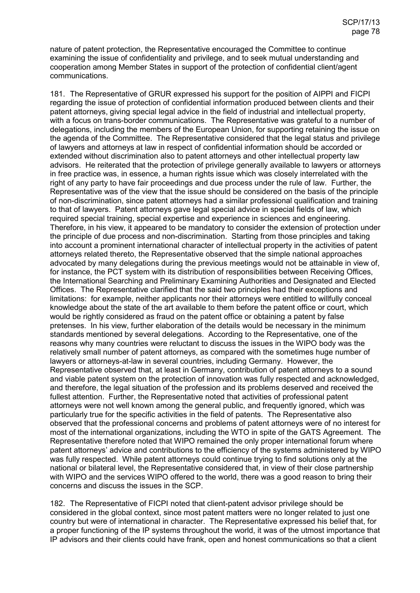nature of patent protection, the Representative encouraged the Committee to continue examining the issue of confidentiality and privilege, and to seek mutual understanding and cooperation among Member States in support of the protection of confidential client/agent communications.

181. The Representative of GRUR expressed his support for the position of AIPPI and FICPI regarding the issue of protection of confidential information produced between clients and their patent attorneys, giving special legal advice in the field of industrial and intellectual property, with a focus on trans-border communications. The Representative was grateful to a number of delegations, including the members of the European Union, for supporting retaining the issue on the agenda of the Committee. The Representative considered that the legal status and privilege of lawyers and attorneys at law in respect of confidential information should be accorded or extended without discrimination also to patent attorneys and other intellectual property law advisors. He reiterated that the protection of privilege generally available to lawyers or attorneys in free practice was, in essence, a human rights issue which was closely interrelated with the right of any party to have fair proceedings and due process under the rule of law. Further, the Representative was of the view that the issue should be considered on the basis of the principle of non-discrimination, since patent attorneys had a similar professional qualification and training to that of lawyers. Patent attorneys gave legal special advice in special fields of law, which required special training, special expertise and experience in sciences and engineering. Therefore, in his view, it appeared to be mandatory to consider the extension of protection under the principle of due process and non-discrimination. Starting from those principles and taking into account a prominent international character of intellectual property in the activities of patent attorneys related thereto, the Representative observed that the simple national approaches advocated by many delegations during the previous meetings would not be attainable in view of, for instance, the PCT system with its distribution of responsibilities between Receiving Offices, the International Searching and Preliminary Examining Authorities and Designated and Elected Offices. The Representative clarified that the said two principles had their exceptions and limitations: for example, neither applicants nor their attorneys were entitled to willfully conceal knowledge about the state of the art available to them before the patent office or court, which would be rightly considered as fraud on the patent office or obtaining a patent by false pretenses. In his view, further elaboration of the details would be necessary in the minimum standards mentioned by several delegations. According to the Representative, one of the reasons why many countries were reluctant to discuss the issues in the WIPO body was the relatively small number of patent attorneys, as compared with the sometimes huge number of lawyers or attorneys-at-law in several countries, including Germany. However, the Representative observed that, at least in Germany, contribution of patent attorneys to a sound and viable patent system on the protection of innovation was fully respected and acknowledged, and therefore, the legal situation of the profession and its problems deserved and received the fullest attention. Further, the Representative noted that activities of professional patent attorneys were not well known among the general public, and frequently ignored, which was particularly true for the specific activities in the field of patents. The Representative also observed that the professional concerns and problems of patent attorneys were of no interest for most of the international organizations, including the WTO in spite of the GATS Agreement. The Representative therefore noted that WIPO remained the only proper international forum where patent attorneys' advice and contributions to the efficiency of the systems administered by WIPO was fully respected. While patent attorneys could continue trying to find solutions only at the national or bilateral level, the Representative considered that, in view of their close partnership with WIPO and the services WIPO offered to the world, there was a good reason to bring their concerns and discuss the issues in the SCP.

182. The Representative of FICPI noted that client-patent advisor privilege should be considered in the global context, since most patent matters were no longer related to just one country but were of international in character. The Representative expressed his belief that, for a proper functioning of the IP systems throughout the world, it was of the utmost importance that IP advisors and their clients could have frank, open and honest communications so that a client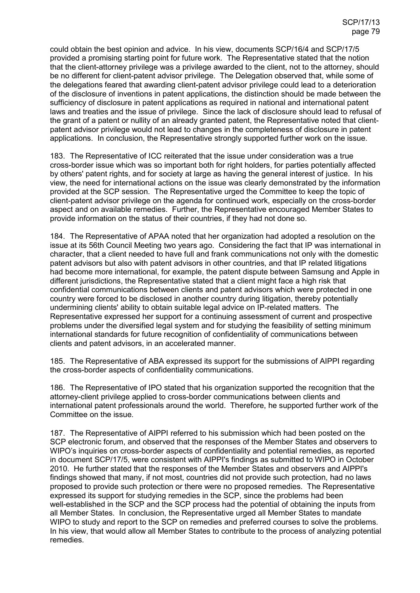could obtain the best opinion and advice. In his view, documents SCP/16/4 and SCP/17/5 provided a promising starting point for future work. The Representative stated that the notion that the client-attorney privilege was a privilege awarded to the client, not to the attorney, should be no different for client-patent advisor privilege. The Delegation observed that, while some of the delegations feared that awarding client-patent advisor privilege could lead to a deterioration of the disclosure of inventions in patent applications, the distinction should be made between the sufficiency of disclosure in patent applications as required in national and international patent laws and treaties and the issue of privilege. Since the lack of disclosure should lead to refusal of the grant of a patent or nullity of an already granted patent, the Representative noted that clientpatent advisor privilege would not lead to changes in the completeness of disclosure in patent applications. In conclusion, the Representative strongly supported further work on the issue.

183. The Representative of ICC reiterated that the issue under consideration was a true cross-border issue which was so important both for right holders, for parties potentially affected by others' patent rights, and for society at large as having the general interest of justice. In his view, the need for international actions on the issue was clearly demonstrated by the information provided at the SCP session. The Representative urged the Committee to keep the topic of client-patent advisor privilege on the agenda for continued work, especially on the cross-border aspect and on available remedies. Further, the Representative encouraged Member States to provide information on the status of their countries, if they had not done so.

184. The Representative of APAA noted that her organization had adopted a resolution on the issue at its 56th Council Meeting two years ago. Considering the fact that IP was international in character, that a client needed to have full and frank communications not only with the domestic patent advisors but also with patent advisors in other countries, and that IP related litigations had become more international, for example, the patent dispute between Samsung and Apple in different jurisdictions, the Representative stated that a client might face a high risk that confidential communications between clients and patent advisors which were protected in one country were forced to be disclosed in another country during litigation, thereby potentially undermining clients' ability to obtain suitable legal advice on IP-related matters. The Representative expressed her support for a continuing assessment of current and prospective problems under the diversified legal system and for studying the feasibility of setting minimum international standards for future recognition of confidentiality of communications between clients and patent advisors, in an accelerated manner.

185. The Representative of ABA expressed its support for the submissions of AIPPI regarding the cross-border aspects of confidentiality communications.

186. The Representative of IPO stated that his organization supported the recognition that the attorney-client privilege applied to cross-border communications between clients and international patent professionals around the world. Therefore, he supported further work of the Committee on the issue.

187. The Representative of AIPPI referred to his submission which had been posted on the SCP electronic forum, and observed that the responses of the Member States and observers to WIPO's inquiries on cross-border aspects of confidentiality and potential remedies, as reported in document SCP/17/5, were consistent with AIPPI's findings as submitted to WIPO in October 2010. He further stated that the responses of the Member States and observers and AIPPI's findings showed that many, if not most, countries did not provide such protection, had no laws proposed to provide such protection or there were no proposed remedies. The Representative expressed its support for studying remedies in the SCP, since the problems had been well-established in the SCP and the SCP process had the potential of obtaining the inputs from all Member States. In conclusion, the Representative urged all Member States to mandate WIPO to study and report to the SCP on remedies and preferred courses to solve the problems. In his view, that would allow all Member States to contribute to the process of analyzing potential remedies.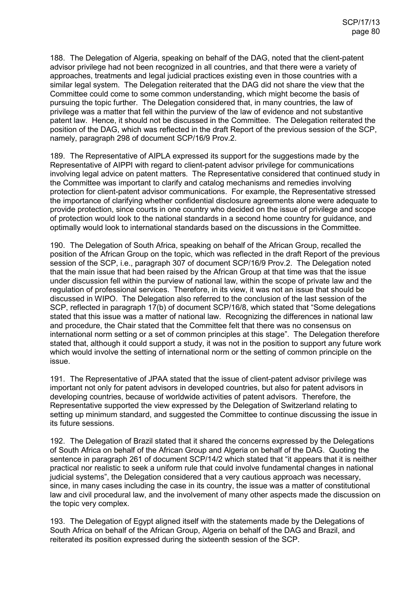188. The Delegation of Algeria, speaking on behalf of the DAG, noted that the client-patent advisor privilege had not been recognized in all countries, and that there were a variety of approaches, treatments and legal judicial practices existing even in those countries with a similar legal system. The Delegation reiterated that the DAG did not share the view that the Committee could come to some common understanding, which might become the basis of pursuing the topic further. The Delegation considered that, in many countries, the law of privilege was a matter that fell within the purview of the law of evidence and not substantive patent law. Hence, it should not be discussed in the Committee. The Delegation reiterated the position of the DAG, which was reflected in the draft Report of the previous session of the SCP, namely, paragraph 298 of document SCP/16/9 Prov.2.

189. The Representative of AIPLA expressed its support for the suggestions made by the Representative of AIPPI with regard to client-patent advisor privilege for communications involving legal advice on patent matters. The Representative considered that continued study in the Committee was important to clarify and catalog mechanisms and remedies involving protection for client-patent advisor communications. For example, the Representative stressed the importance of clarifying whether confidential disclosure agreements alone were adequate to provide protection, since courts in one country who decided on the issue of privilege and scope of protection would look to the national standards in a second home country for guidance, and optimally would look to international standards based on the discussions in the Committee.

190. The Delegation of South Africa, speaking on behalf of the African Group, recalled the position of the African Group on the topic, which was reflected in the draft Report of the previous session of the SCP, i.e., paragraph 307 of document SCP/16/9 Prov.2. The Delegation noted that the main issue that had been raised by the African Group at that time was that the issue under discussion fell within the purview of national law, within the scope of private law and the regulation of professional services. Therefore, in its view, it was not an issue that should be discussed in WIPO. The Delegation also referred to the conclusion of the last session of the SCP, reflected in paragraph 17(b) of document SCP/16/8, which stated that "Some delegations stated that this issue was a matter of national law. Recognizing the differences in national law and procedure, the Chair stated that the Committee felt that there was no consensus on international norm setting or a set of common principles at this stage". The Delegation therefore stated that, although it could support a study, it was not in the position to support any future work which would involve the setting of international norm or the setting of common principle on the issue.

191. The Representative of JPAA stated that the issue of client-patent advisor privilege was important not only for patent advisors in developed countries, but also for patent advisors in developing countries, because of worldwide activities of patent advisors. Therefore, the Representative supported the view expressed by the Delegation of Switzerland relating to setting up minimum standard, and suggested the Committee to continue discussing the issue in its future sessions.

192. The Delegation of Brazil stated that it shared the concerns expressed by the Delegations of South Africa on behalf of the African Group and Algeria on behalf of the DAG. Quoting the sentence in paragraph 261 of document SCP/14/2 which stated that "it appears that it is neither practical nor realistic to seek a uniform rule that could involve fundamental changes in national judicial systems", the Delegation considered that a very cautious approach was necessary, since, in many cases including the case in its country, the issue was a matter of constitutional law and civil procedural law, and the involvement of many other aspects made the discussion on the topic very complex.

193. The Delegation of Egypt aligned itself with the statements made by the Delegations of South Africa on behalf of the African Group, Algeria on behalf of the DAG and Brazil, and reiterated its position expressed during the sixteenth session of the SCP.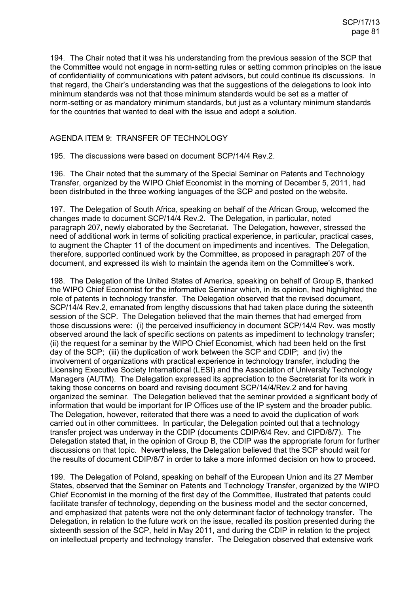194. The Chair noted that it was his understanding from the previous session of the SCP that the Committee would not engage in norm-setting rules or setting common principles on the issue of confidentiality of communications with patent advisors, but could continue its discussions. In that regard, the Chair's understanding was that the suggestions of the delegations to look into minimum standards was not that those minimum standards would be set as a matter of norm-setting or as mandatory minimum standards, but just as a voluntary minimum standards for the countries that wanted to deal with the issue and adopt a solution.

## AGENDA ITEM 9: TRANSFER OF TECHNOLOGY

195. The discussions were based on document SCP/14/4 Rev.2.

196. The Chair noted that the summary of the Special Seminar on Patents and Technology Transfer, organized by the WIPO Chief Economist in the morning of December 5, 2011, had been distributed in the three working languages of the SCP and posted on the website.

197. The Delegation of South Africa, speaking on behalf of the African Group, welcomed the changes made to document SCP/14/4 Rev.2. The Delegation, in particular, noted paragraph 207, newly elaborated by the Secretariat. The Delegation, however, stressed the need of additional work in terms of soliciting practical experience, in particular, practical cases, to augment the Chapter 11 of the document on impediments and incentives. The Delegation, therefore, supported continued work by the Committee, as proposed in paragraph 207 of the document, and expressed its wish to maintain the agenda item on the Committee's work.

198. The Delegation of the United States of America, speaking on behalf of Group B, thanked the WIPO Chief Economist for the informative Seminar which, in its opinion, had highlighted the role of patents in technology transfer. The Delegation observed that the revised document, SCP/14/4 Rev.2, emanated from lengthy discussions that had taken place during the sixteenth session of the SCP. The Delegation believed that the main themes that had emerged from those discussions were: (i) the perceived insufficiency in document SCP/14/4 Rev. was mostly observed around the lack of specific sections on patents as impediment to technology transfer; (ii) the request for a seminar by the WIPO Chief Economist, which had been held on the first day of the SCP; (iii) the duplication of work between the SCP and CDIP; and (iv) the involvement of organizations with practical experience in technology transfer, including the Licensing Executive Society International (LESI) and the Association of University Technology Managers (AUTM). The Delegation expressed its appreciation to the Secretariat for its work in taking those concerns on board and revising document SCP/14/4/Rev.2 and for having organized the seminar. The Delegation believed that the seminar provided a significant body of information that would be important for IP Offices use of the IP system and the broader public. The Delegation, however, reiterated that there was a need to avoid the duplication of work carried out in other committees. In particular, the Delegation pointed out that a technology transfer project was underway in the CDIP (documents CDIP/6/4 Rev. and CIPD/8/7). The Delegation stated that, in the opinion of Group B, the CDIP was the appropriate forum for further discussions on that topic. Nevertheless, the Delegation believed that the SCP should wait for the results of document CDIP/8/7 in order to take a more informed decision on how to proceed.

199. The Delegation of Poland, speaking on behalf of the European Union and its 27 Member States, observed that the Seminar on Patents and Technology Transfer, organized by the WIPO Chief Economist in the morning of the first day of the Committee, illustrated that patents could facilitate transfer of technology, depending on the business model and the sector concerned, and emphasized that patents were not the only determinant factor of technology transfer. The Delegation, in relation to the future work on the issue, recalled its position presented during the sixteenth session of the SCP, held in May 2011, and during the CDIP in relation to the project on intellectual property and technology transfer. The Delegation observed that extensive work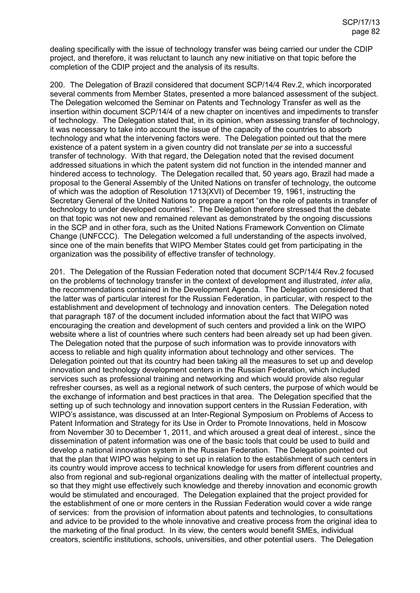dealing specifically with the issue of technology transfer was being carried our under the CDIP project, and therefore, it was reluctant to launch any new initiative on that topic before the completion of the CDIP project and the analysis of its results.

200. The Delegation of Brazil considered that document SCP/14/4 Rev.2, which incorporated several comments from Member States, presented a more balanced assessment of the subject. The Delegation welcomed the Seminar on Patents and Technology Transfer as well as the insertion within document SCP/14/4 of a new chapter on incentives and impediments to transfer of technology. The Delegation stated that, in its opinion, when assessing transfer of technology, it was necessary to take into account the issue of the capacity of the countries to absorb technology and what the intervening factors were. The Delegation pointed out that the mere existence of a patent system in a given country did not translate *per se* into a successful transfer of technology. With that regard, the Delegation noted that the revised document addressed situations in which the patent system did not function in the intended manner and hindered access to technology. The Delegation recalled that, 50 years ago, Brazil had made a proposal to the General Assembly of the United Nations on transfer of technology, the outcome of which was the adoption of Resolution 1713(XVI) of December 19, 1961, instructing the Secretary General of the United Nations to prepare a report "on the role of patents in transfer of technology to under developed countries". The Delegation therefore stressed that the debate on that topic was not new and remained relevant as demonstrated by the ongoing discussions in the SCP and in other fora, such as the United Nations Framework Convention on Climate Change (UNFCCC). The Delegation welcomed a full understanding of the aspects involved, since one of the main benefits that WIPO Member States could get from participating in the organization was the possibility of effective transfer of technology.

201. The Delegation of the Russian Federation noted that document SCP/14/4 Rev.2 focused on the problems of technology transfer in the context of development and illustrated, *inter alia*, the recommendations contained in the Development Agenda. The Delegation considered that the latter was of particular interest for the Russian Federation, in particular, with respect to the establishment and development of technology and innovation centers. The Delegation noted that paragraph 187 of the document included information about the fact that WIPO was encouraging the creation and development of such centers and provided a link on the WIPO website where a list of countries where such centers had been already set up had been given. The Delegation noted that the purpose of such information was to provide innovators with access to reliable and high quality information about technology and other services. The Delegation pointed out that its country had been taking all the measures to set up and develop innovation and technology development centers in the Russian Federation, which included services such as professional training and networking and which would provide also regular refresher courses, as well as a regional network of such centers, the purpose of which would be the exchange of information and best practices in that area. The Delegation specified that the setting up of such technology and innovation support centers in the Russian Federation, with WIPO's assistance, was discussed at an Inter-Regional Symposium on Problems of Access to Patent Information and Strategy for its Use in Order to Promote Innovations, held in Moscow from November 30 to December 1, 2011, and which aroused a great deal of interest., since the dissemination of patent information was one of the basic tools that could be used to build and develop a national innovation system in the Russian Federation. The Delegation pointed out that the plan that WIPO was helping to set up in relation to the establishment of such centers in its country would improve access to technical knowledge for users from different countries and also from regional and sub-regional organizations dealing with the matter of intellectual property, so that they might use effectively such knowledge and thereby innovation and economic growth would be stimulated and encouraged. The Delegation explained that the project provided for the establishment of one or more centers in the Russian Federation would cover a wide range of services: from the provision of information about patents and technologies, to consultations and advice to be provided to the whole innovative and creative process from the original idea to the marketing of the final product. In its view, the centers would benefit SMEs, individual creators, scientific institutions, schools, universities, and other potential users. The Delegation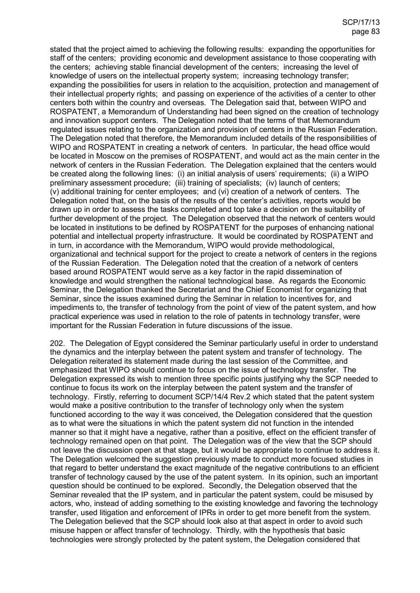stated that the project aimed to achieving the following results: expanding the opportunities for staff of the centers; providing economic and development assistance to those cooperating with the centers; achieving stable financial development of the centers; increasing the level of knowledge of users on the intellectual property system; increasing technology transfer; expanding the possibilities for users in relation to the acquisition, protection and management of their intellectual property rights; and passing on experience of the activities of a center to other centers both within the country and overseas. The Delegation said that, between WIPO and ROSPATENT, a Memorandum of Understanding had been signed on the creation of technology and innovation support centers. The Delegation noted that the terms of that Memorandum regulated issues relating to the organization and provision of centers in the Russian Federation. The Delegation noted that therefore, the Memorandum included details of the responsibilities of WIPO and ROSPATENT in creating a network of centers. In particular, the head office would be located in Moscow on the premises of ROSPATENT, and would act as the main center in the network of centers in the Russian Federation. The Delegation explained that the centers would be created along the following lines: (i) an initial analysis of users' requirements; (ii) a WIPO preliminary assessment procedure; (iii) training of specialists; (iv) launch of centers; (v) additional training for center employees; and (vi) creation of a network of centers. The Delegation noted that, on the basis of the results of the center's activities, reports would be drawn up in order to assess the tasks completed and top take a decision on the suitability of further development of the project. The Delegation observed that the network of centers would be located in institutions to be defined by ROSPATENT for the purposes of enhancing national potential and intellectual property infrastructure. It would be coordinated by ROSPATENT and in turn, in accordance with the Memorandum, WIPO would provide methodological, organizational and technical support for the project to create a network of centers in the regions of the Russian Federation. The Delegation noted that the creation of a network of centers based around ROSPATENT would serve as a key factor in the rapid dissemination of knowledge and would strengthen the national technological base. As regards the Economic Seminar, the Delegation thanked the Secretariat and the Chief Economist for organizing that Seminar, since the issues examined during the Seminar in relation to incentives for, and impediments to, the transfer of technology from the point of view of the patent system, and how practical experience was used in relation to the role of patents in technology transfer, were important for the Russian Federation in future discussions of the issue.

202. The Delegation of Egypt considered the Seminar particularly useful in order to understand the dynamics and the interplay between the patent system and transfer of technology. The Delegation reiterated its statement made during the last session of the Committee, and emphasized that WIPO should continue to focus on the issue of technology transfer. The Delegation expressed its wish to mention three specific points justifying why the SCP needed to continue to focus its work on the interplay between the patent system and the transfer of technology. Firstly, referring to document SCP/14/4 Rev.2 which stated that the patent system would make a positive contribution to the transfer of technology only when the system functioned according to the way it was conceived, the Delegation considered that the question as to what were the situations in which the patent system did not function in the intended manner so that it might have a negative, rather than a positive, effect on the efficient transfer of technology remained open on that point. The Delegation was of the view that the SCP should not leave the discussion open at that stage, but it would be appropriate to continue to address it. The Delegation welcomed the suggestion previously made to conduct more focused studies in that regard to better understand the exact magnitude of the negative contributions to an efficient transfer of technology caused by the use of the patent system. In its opinion, such an important question should be continued to be explored. Secondly, the Delegation observed that the Seminar revealed that the IP system, and in particular the patent system, could be misused by actors, who, instead of adding something to the existing knowledge and favoring the technology transfer, used litigation and enforcement of IPRs in order to get more benefit from the system. The Delegation believed that the SCP should look also at that aspect in order to avoid such misuse happen or affect transfer of technology. Thirdly, with the hypothesis that basic technologies were strongly protected by the patent system, the Delegation considered that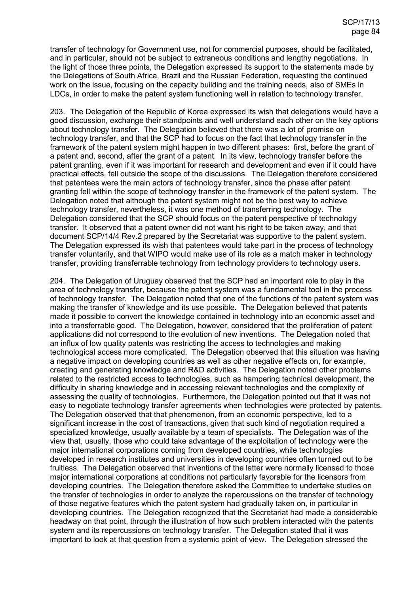transfer of technology for Government use, not for commercial purposes, should be facilitated, and in particular, should not be subject to extraneous conditions and lengthy negotiations. In the light of those three points, the Delegation expressed its support to the statements made by the Delegations of South Africa, Brazil and the Russian Federation, requesting the continued work on the issue, focusing on the capacity building and the training needs, also of SMEs in LDCs, in order to make the patent system functioning well in relation to technology transfer.

203. The Delegation of the Republic of Korea expressed its wish that delegations would have a good discussion, exchange their standpoints and well understand each other on the key options about technology transfer. The Delegation believed that there was a lot of promise on technology transfer, and that the SCP had to focus on the fact that technology transfer in the framework of the patent system might happen in two different phases: first, before the grant of a patent and, second, after the grant of a patent. In its view, technology transfer before the patent granting, even if it was important for research and development and even if it could have practical effects, fell outside the scope of the discussions. The Delegation therefore considered that patentees were the main actors of technology transfer, since the phase after patent granting fell within the scope of technology transfer in the framework of the patent system. The Delegation noted that although the patent system might not be the best way to achieve technology transfer, nevertheless, it was one method of transferring technology. The Delegation considered that the SCP should focus on the patent perspective of technology transfer. It observed that a patent owner did not want his right to be taken away, and that document SCP/14/4 Rev.2 prepared by the Secretariat was supportive to the patent system. The Delegation expressed its wish that patentees would take part in the process of technology transfer voluntarily, and that WIPO would make use of its role as a match maker in technology transfer, providing transferrable technology from technology providers to technology users.

204. The Delegation of Uruguay observed that the SCP had an important role to play in the area of technology transfer, because the patent system was a fundamental tool in the process of technology transfer. The Delegation noted that one of the functions of the patent system was making the transfer of knowledge and its use possible. The Delegation believed that patents made it possible to convert the knowledge contained in technology into an economic asset and into a transferrable good. The Delegation, however, considered that the proliferation of patent applications did not correspond to the evolution of new inventions. The Delegation noted that an influx of low quality patents was restricting the access to technologies and making technological access more complicated. The Delegation observed that this situation was having a negative impact on developing countries as well as other negative effects on, for example, creating and generating knowledge and R&D activities. The Delegation noted other problems related to the restricted access to technologies, such as hampering technical development, the difficulty in sharing knowledge and in accessing relevant technologies and the complexity of assessing the quality of technologies. Furthermore, the Delegation pointed out that it was not easy to negotiate technology transfer agreements when technologies were protected by patents. The Delegation observed that that phenomenon, from an economic perspective, led to a significant increase in the cost of transactions, given that such kind of negotiation required a specialized knowledge, usually available by a team of specialists. The Delegation was of the view that, usually, those who could take advantage of the exploitation of technology were the major international corporations coming from developed countries, while technologies developed in research institutes and universities in developing countries often turned out to be fruitless. The Delegation observed that inventions of the latter were normally licensed to those major international corporations at conditions not particularly favorable for the licensors from developing countries. The Delegation therefore asked the Committee to undertake studies on the transfer of technologies in order to analyze the repercussions on the transfer of technology of those negative features which the patent system had gradually taken on, in particular in developing countries. The Delegation recognized that the Secretariat had made a considerable headway on that point, through the illustration of how such problem interacted with the patents system and its repercussions on technology transfer. The Delegation stated that it was important to look at that question from a systemic point of view. The Delegation stressed the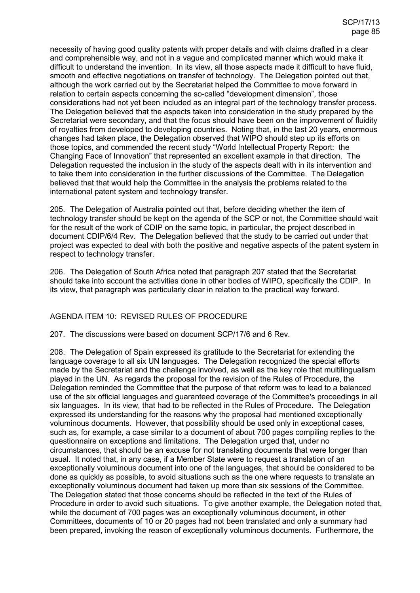necessity of having good quality patents with proper details and with claims drafted in a clear and comprehensible way, and not in a vague and complicated manner which would make it difficult to understand the invention. In its view, all those aspects made it difficult to have fluid, smooth and effective negotiations on transfer of technology. The Delegation pointed out that, although the work carried out by the Secretariat helped the Committee to move forward in relation to certain aspects concerning the so-called "development dimension", those considerations had not yet been included as an integral part of the technology transfer process. The Delegation believed that the aspects taken into consideration in the study prepared by the Secretariat were secondary, and that the focus should have been on the improvement of fluidity of royalties from developed to developing countries. Noting that, in the last 20 years, enormous changes had taken place, the Delegation observed that WIPO should step up its efforts on those topics, and commended the recent study "World Intellectual Property Report: the Changing Face of Innovation" that represented an excellent example in that direction. The Delegation requested the inclusion in the study of the aspects dealt with in its intervention and to take them into consideration in the further discussions of the Committee. The Delegation believed that that would help the Committee in the analysis the problems related to the international patent system and technology transfer.

205. The Delegation of Australia pointed out that, before deciding whether the item of technology transfer should be kept on the agenda of the SCP or not, the Committee should wait for the result of the work of CDIP on the same topic, in particular, the project described in document CDIP/6/4 Rev. The Delegation believed that the study to be carried out under that project was expected to deal with both the positive and negative aspects of the patent system in respect to technology transfer.

206. The Delegation of South Africa noted that paragraph 207 stated that the Secretariat should take into account the activities done in other bodies of WIPO, specifically the CDIP. In its view, that paragraph was particularly clear in relation to the practical way forward.

## AGENDA ITEM 10: REVISED RULES OF PROCEDURE

207. The discussions were based on document SCP/17/6 and 6 Rev.

208. The Delegation of Spain expressed its gratitude to the Secretariat for extending the language coverage to all six UN languages. The Delegation recognized the special efforts made by the Secretariat and the challenge involved, as well as the key role that multilingualism played in the UN. As regards the proposal for the revision of the Rules of Procedure, the Delegation reminded the Committee that the purpose of that reform was to lead to a balanced use of the six official languages and guaranteed coverage of the Committee's proceedings in all six languages. In its view, that had to be reflected in the Rules of Procedure. The Delegation expressed its understanding for the reasons why the proposal had mentioned exceptionally voluminous documents. However, that possibility should be used only in exceptional cases, such as, for example, a case similar to a document of about 700 pages compiling replies to the questionnaire on exceptions and limitations. The Delegation urged that, under no circumstances, that should be an excuse for not translating documents that were longer than usual. It noted that, in any case, if a Member State were to request a translation of an exceptionally voluminous document into one of the languages, that should be considered to be done as quickly as possible, to avoid situations such as the one where requests to translate an exceptionally voluminous document had taken up more than six sessions of the Committee. The Delegation stated that those concerns should be reflected in the text of the Rules of Procedure in order to avoid such situations. To give another example, the Delegation noted that, while the document of 700 pages was an exceptionally voluminous document, in other Committees, documents of 10 or 20 pages had not been translated and only a summary had been prepared, invoking the reason of exceptionally voluminous documents. Furthermore, the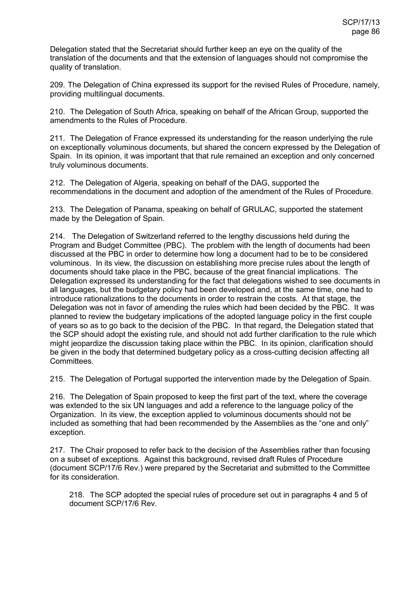Delegation stated that the Secretariat should further keep an eye on the quality of the translation of the documents and that the extension of languages should not compromise the quality of translation.

209. The Delegation of China expressed its support for the revised Rules of Procedure, namely, providing multilingual documents.

210. The Delegation of South Africa, speaking on behalf of the African Group, supported the amendments to the Rules of Procedure.

211. The Delegation of France expressed its understanding for the reason underlying the rule on exceptionally voluminous documents, but shared the concern expressed by the Delegation of Spain. In its opinion, it was important that that rule remained an exception and only concerned truly voluminous documents.

212. The Delegation of Algeria, speaking on behalf of the DAG, supported the recommendations in the document and adoption of the amendment of the Rules of Procedure.

213. The Delegation of Panama, speaking on behalf of GRULAC, supported the statement made by the Delegation of Spain.

214. The Delegation of Switzerland referred to the lengthy discussions held during the Program and Budget Committee (PBC). The problem with the length of documents had been discussed at the PBC in order to determine how long a document had to be to be considered voluminous. In its view, the discussion on establishing more precise rules about the length of documents should take place in the PBC, because of the great financial implications. The Delegation expressed its understanding for the fact that delegations wished to see documents in all languages, but the budgetary policy had been developed and, at the same time, one had to introduce rationalizations to the documents in order to restrain the costs. At that stage, the Delegation was not in favor of amending the rules which had been decided by the PBC. It was planned to review the budgetary implications of the adopted language policy in the first couple of years so as to go back to the decision of the PBC. In that regard, the Delegation stated that the SCP should adopt the existing rule, and should not add further clarification to the rule which might jeopardize the discussion taking place within the PBC. In its opinion, clarification should be given in the body that determined budgetary policy as a cross-cutting decision affecting all Committees.

215. The Delegation of Portugal supported the intervention made by the Delegation of Spain.

216. The Delegation of Spain proposed to keep the first part of the text, where the coverage was extended to the six UN languages and add a reference to the language policy of the Organization. In its view, the exception applied to voluminous documents should not be included as something that had been recommended by the Assemblies as the "one and only" exception.

217. The Chair proposed to refer back to the decision of the Assemblies rather than focusing on a subset of exceptions. Against this background, revised draft Rules of Procedure (document SCP/17/6 Rev.) were prepared by the Secretariat and submitted to the Committee for its consideration.

218. The SCP adopted the special rules of procedure set out in paragraphs 4 and 5 of document SCP/17/6 Rev.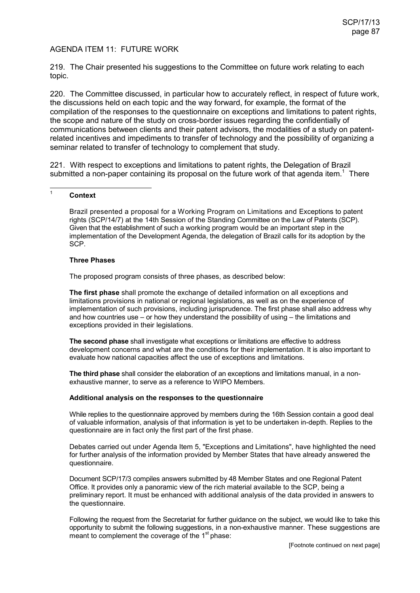## AGENDA ITEM 11: FUTURE WORK

219. The Chair presented his suggestions to the Committee on future work relating to each topic.

220. The Committee discussed, in particular how to accurately reflect, in respect of future work, the discussions held on each topic and the way forward, for example, the format of the compilation of the responses to the questionnaire on exceptions and limitations to patent rights, the scope and nature of the study on cross-border issues regarding the confidentially of communications between clients and their patent advisors, the modalities of a study on patentrelated incentives and impediments to transfer of technology and the possibility of organizing a seminar related to transfer of technology to complement that study.

221. With respect to exceptions and limitations to patent rights, the Delegation of Brazil submitted a non-paper containing its proposal on the future work of that agenda item.<sup>1</sup> There

#### -<br>1 **Context**

 Brazil presented a proposal for a Working Program on Limitations and Exceptions to patent rights (SCP/14/7) at the 14th Session of the Standing Committee on the Law of Patents (SCP). Given that the establishment of such a working program would be an important step in the implementation of the Development Agenda, the delegation of Brazil calls for its adoption by the SCP.

#### **Three Phases**

The proposed program consists of three phases, as described below:

**The first phase** shall promote the exchange of detailed information on all exceptions and limitations provisions in national or regional legislations, as well as on the experience of implementation of such provisions, including jurisprudence. The first phase shall also address why and how countries use – or how they understand the possibility of using – the limitations and exceptions provided in their legislations.

**The second phase** shall investigate what exceptions or limitations are effective to address development concerns and what are the conditions for their implementation. It is also important to evaluate how national capacities affect the use of exceptions and limitations.

**The third phase** shall consider the elaboration of an exceptions and limitations manual, in a nonexhaustive manner, to serve as a reference to WIPO Members.

#### **Additional analysis on the responses to the questionnaire**

While replies to the questionnaire approved by members during the 16th Session contain a good deal of valuable information, analysis of that information is yet to be undertaken in-depth. Replies to the questionnaire are in fact only the first part of the first phase.

Debates carried out under Agenda Item 5, "Exceptions and Limitations", have highlighted the need for further analysis of the information provided by Member States that have already answered the questionnaire.

Document SCP/17/3 compiles answers submitted by 48 Member States and one Regional Patent Office. It provides only a panoramic view of the rich material available to the SCP, being a preliminary report. It must be enhanced with additional analysis of the data provided in answers to the questionnaire.

Following the request from the Secretariat for further guidance on the subject, we would like to take this opportunity to submit the following suggestions, in a non-exhaustive manner. These suggestions are meant to complement the coverage of the 1<sup>st</sup> phase: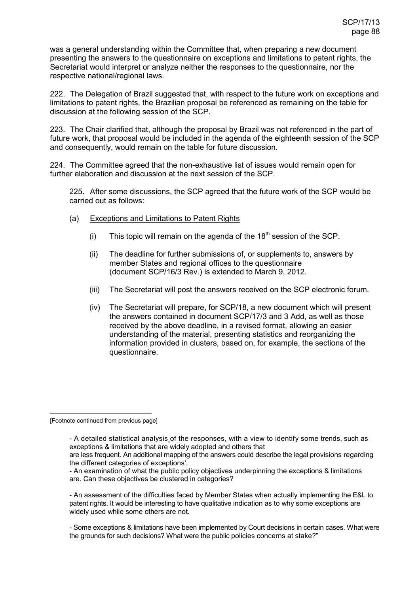was a general understanding within the Committee that, when preparing a new document presenting the answers to the questionnaire on exceptions and limitations to patent rights, the Secretariat would interpret or analyze neither the responses to the questionnaire, nor the respective national/regional laws.

222. The Delegation of Brazil suggested that, with respect to the future work on exceptions and limitations to patent rights, the Brazilian proposal be referenced as remaining on the table for discussion at the following session of the SCP.

223. The Chair clarified that, although the proposal by Brazil was not referenced in the part of future work, that proposal would be included in the agenda of the eighteenth session of the SCP and consequently, would remain on the table for future discussion.

224. The Committee agreed that the non-exhaustive list of issues would remain open for further elaboration and discussion at the next session of the SCP.

225. After some discussions, the SCP agreed that the future work of the SCP would be carried out as follows:

- (a) Exceptions and Limitations to Patent Rights
	- (i) This topic will remain on the agenda of the  $18<sup>th</sup>$  session of the SCP.
	- (ii) The deadline for further submissions of, or supplements to, answers by member States and regional offices to the questionnaire (document SCP/16/3 Rev.) is extended to March 9, 2012.
	- (iii) The Secretariat will post the answers received on the SCP electronic forum.
	- (iv) The Secretariat will prepare, for SCP/18, a new document which will present the answers contained in document SCP/17/3 and 3 Add, as well as those received by the above deadline, in a revised format, allowing an easier understanding of the material, presenting statistics and reorganizing the information provided in clusters, based on, for example, the sections of the questionnaire.

-[Footnote continued from previous page]

- An assessment of the difficulties faced by Member States when actually implementing the E&L to patent rights. It would be interesting to have qualitative indication as to why some exceptions are widely used while some others are not.

- Some exceptions & limitations have been implemented by Court decisions in certain cases. What were the grounds for such decisions? What were the public policies concerns at stake?"

<sup>-</sup> A detailed statistical analysis of the responses, with a view to identify some trends, such as exceptions & limitations that are widely adopted and others that

are less frequent. An additional mapping of the answers could describe the legal provisions regarding the different categories of exceptions'.

<sup>-</sup> An examination of what the public policy objectives underpinning the exceptions & limitations are. Can these objectives be clustered in categories?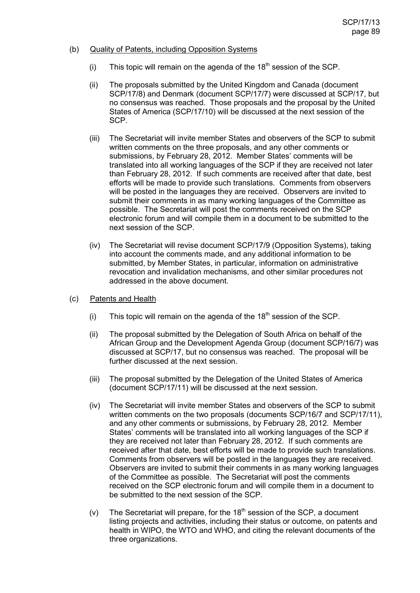### (b) Quality of Patents, including Opposition Systems

- (i) This topic will remain on the agenda of the  $18<sup>th</sup>$  session of the SCP.
- (ii) The proposals submitted by the United Kingdom and Canada (document SCP/17/8) and Denmark (document SCP/17/7) were discussed at SCP/17, but no consensus was reached. Those proposals and the proposal by the United States of America (SCP/17/10) will be discussed at the next session of the SCP.
- (iii) The Secretariat will invite member States and observers of the SCP to submit written comments on the three proposals, and any other comments or submissions, by February 28, 2012. Member States' comments will be translated into all working languages of the SCP if they are received not later than February 28, 2012. If such comments are received after that date, best efforts will be made to provide such translations. Comments from observers will be posted in the languages they are received. Observers are invited to submit their comments in as many working languages of the Committee as possible. The Secretariat will post the comments received on the SCP electronic forum and will compile them in a document to be submitted to the next session of the SCP.
- (iv) The Secretariat will revise document SCP/17/9 (Opposition Systems), taking into account the comments made, and any additional information to be submitted, by Member States, in particular, information on administrative revocation and invalidation mechanisms, and other similar procedures not addressed in the above document.
- (c) Patents and Health
	- (i) This topic will remain on the agenda of the  $18<sup>th</sup>$  session of the SCP.
	- (ii) The proposal submitted by the Delegation of South Africa on behalf of the African Group and the Development Agenda Group (document SCP/16/7) was discussed at SCP/17, but no consensus was reached. The proposal will be further discussed at the next session.
	- (iii) The proposal submitted by the Delegation of the United States of America (document SCP/17/11) will be discussed at the next session.
	- (iv) The Secretariat will invite member States and observers of the SCP to submit written comments on the two proposals (documents SCP/16/7 and SCP/17/11), and any other comments or submissions, by February 28, 2012. Member States' comments will be translated into all working languages of the SCP if they are received not later than February 28, 2012. If such comments are received after that date, best efforts will be made to provide such translations. Comments from observers will be posted in the languages they are received. Observers are invited to submit their comments in as many working languages of the Committee as possible. The Secretariat will post the comments received on the SCP electronic forum and will compile them in a document to be submitted to the next session of the SCP.
	- (v) The Secretariat will prepare, for the  $18<sup>th</sup>$  session of the SCP, a document listing projects and activities, including their status or outcome, on patents and health in WIPO, the WTO and WHO, and citing the relevant documents of the three organizations.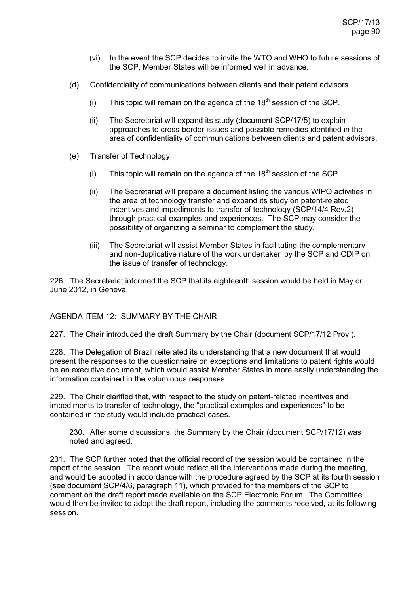- (vi) In the event the SCP decides to invite the WTO and WHO to future sessions of the SCP, Member States will be informed well in advance.
- (d) Confidentiality of communications between clients and their patent advisors
	- (i) This topic will remain on the agenda of the  $18<sup>th</sup>$  session of the SCP.
	- (ii) The Secretariat will expand its study (document SCP/17/5) to explain approaches to cross-border issues and possible remedies identified in the area of confidentiality of communications between clients and patent advisors.
- (e) Transfer of Technology
	- (i) This topic will remain on the agenda of the  $18<sup>th</sup>$  session of the SCP.
	- (ii) The Secretariat will prepare a document listing the various WIPO activities in the area of technology transfer and expand its study on patent-related incentives and impediments to transfer of technology (SCP/14/4 Rev.2) through practical examples and experiences. The SCP may consider the possibility of organizing a seminar to complement the study.
	- (iii) The Secretariat will assist Member States in facilitating the complementary and non-duplicative nature of the work undertaken by the SCP and CDIP on the issue of transfer of technology.

226. The Secretariat informed the SCP that its eighteenth session would be held in May or June 2012, in Geneva.

## AGENDA ITEM 12: SUMMARY BY THE CHAIR

227. The Chair introduced the draft Summary by the Chair (document SCP/17/12 Prov.).

228. The Delegation of Brazil reiterated its understanding that a new document that would present the responses to the questionnaire on exceptions and limitations to patent rights would be an executive document, which would assist Member States in more easily understanding the information contained in the voluminous responses.

229. The Chair clarified that, with respect to the study on patent-related incentives and impediments to transfer of technology, the "practical examples and experiences" to be contained in the study would include practical cases.

230. After some discussions, the Summary by the Chair (document SCP/17/12) was noted and agreed.

231. The SCP further noted that the official record of the session would be contained in the report of the session. The report would reflect all the interventions made during the meeting, and would be adopted in accordance with the procedure agreed by the SCP at its fourth session (see document SCP/4/6, paragraph 11), which provided for the members of the SCP to comment on the draft report made available on the SCP Electronic Forum. The Committee would then be invited to adopt the draft report, including the comments received, at its following session.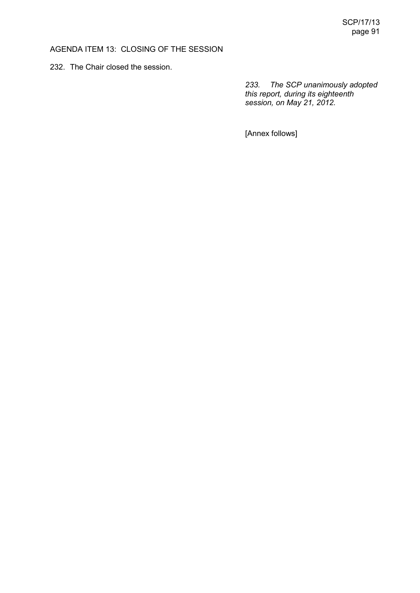# AGENDA ITEM 13: CLOSING OF THE SESSION

232. The Chair closed the session.

*233. The SCP unanimously adopted this report, during its eighteenth session, on May 21, 2012.* 

[Annex follows]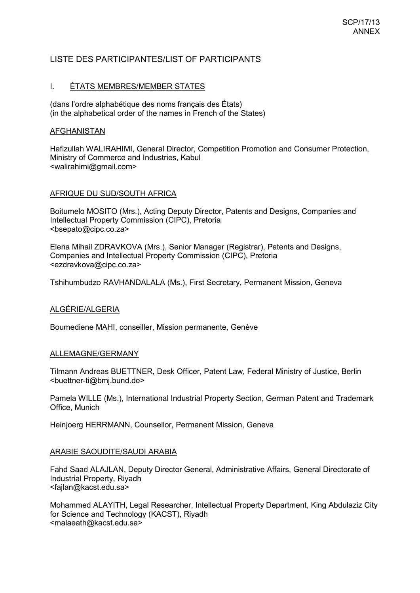# LISTE DES PARTICIPANTES/LIST OF PARTICIPANTS

## I. ÉTATS MEMBRES/MEMBER STATES

(dans l'ordre alphabétique des noms français des États) (in the alphabetical order of the names in French of the States)

## AFGHANISTAN

Hafizullah WALIRAHIMI, General Director, Competition Promotion and Consumer Protection, Ministry of Commerce and Industries, Kabul <walirahimi@gmail.com>

## AFRIQUE DU SUD/SOUTH AFRICA

Boitumelo MOSITO (Mrs.), Acting Deputy Director, Patents and Designs, Companies and Intellectual Property Commission (CIPC), Pretoria <bsepato@cipc.co.za>

Elena Mihail ZDRAVKOVA (Mrs.), Senior Manager (Registrar), Patents and Designs, Companies and Intellectual Property Commission (CIPC), Pretoria <ezdravkova@cipc.co.za>

Tshihumbudzo RAVHANDALALA (Ms.), First Secretary, Permanent Mission, Geneva

## ALGÉRIE/ALGERIA

Boumediene MAHI, conseiller, Mission permanente, Genève

## ALLEMAGNE/GERMANY

Tilmann Andreas BUETTNER, Desk Officer, Patent Law, Federal Ministry of Justice, Berlin <buettner-ti@bmj.bund.de>

Pamela WILLE (Ms.), International Industrial Property Section, German Patent and Trademark Office, Munich

Heinjoerg HERRMANN, Counsellor, Permanent Mission, Geneva

## ARABIE SAOUDITE/SAUDI ARABIA

Fahd Saad ALAJLAN, Deputy Director General, Administrative Affairs, General Directorate of Industrial Property, Riyadh <fajlan@kacst.edu.sa>

Mohammed ALAYITH, Legal Researcher, Intellectual Property Department, King Abdulaziz City for Science and Technology (KACST), Riyadh <malaeath@kacst.edu.sa>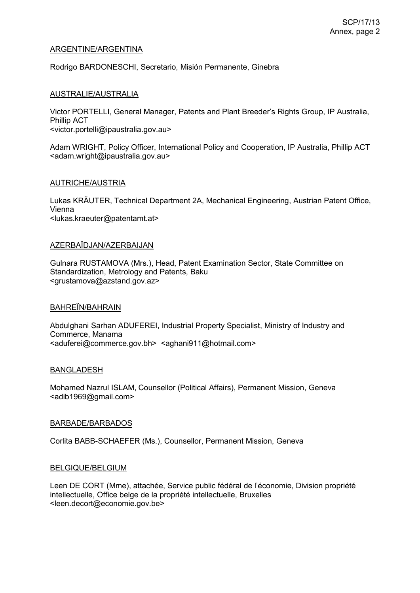## ARGENTINE/ARGENTINA

Rodrigo BARDONESCHI, Secretario, Misión Permanente, Ginebra

### AUSTRALIE/AUSTRALIA

Victor PORTELLI, General Manager, Patents and Plant Breeder's Rights Group, IP Australia, Phillip ACT

<victor.portelli@ipaustralia.gov.au>

Adam WRIGHT, Policy Officer, International Policy and Cooperation, IP Australia, Phillip ACT <adam.wright@ipaustralia.gov.au>

## AUTRICHE/AUSTRIA

Lukas KRÄUTER, Technical Department 2A, Mechanical Engineering, Austrian Patent Office, Vienna <lukas.kraeuter@patentamt.at>

#### AZERBAÏDJAN/AZERBAIJAN

Gulnara RUSTAMOVA (Mrs.), Head, Patent Examination Sector, State Committee on Standardization, Metrology and Patents, Baku <grustamova@azstand.gov.az>

### BAHREΪN/BAHRAIN

Abdulghani Sarhan ADUFEREI, Industrial Property Specialist, Ministry of Industry and Commerce, Manama <aduferei@commerce.gov.bh> <aghani911@hotmail.com>

#### BANGLADESH

Mohamed Nazrul ISLAM, Counsellor (Political Affairs), Permanent Mission, Geneva <adib1969@gmail.com>

#### BARBADE/BARBADOS

Corlita BABB-SCHAEFER (Ms.), Counsellor, Permanent Mission, Geneva

#### BELGIQUE/BELGIUM

Leen DE CORT (Mme), attachée, Service public fédéral de l'économie, Division propriété intellectuelle, Office belge de la propriété intellectuelle, Bruxelles <leen.decort@economie.gov.be>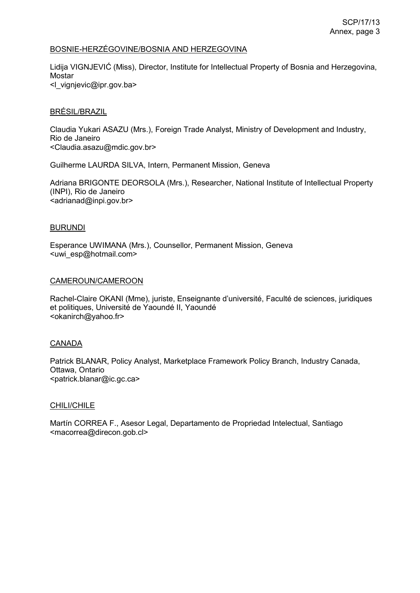## BOSNIE-HERZÉGOVINE/BOSNIA AND HERZEGOVINA

Lidija VIGNJEVIĆ (Miss), Director, Institute for Intellectual Property of Bosnia and Herzegovina, Mostar <l\_vignjevic@ipr.gov.ba>

### BRÉSIL/BRAZIL

Claudia Yukari ASAZU (Mrs.), Foreign Trade Analyst, Ministry of Development and Industry, Rio de Janeiro <Claudia.asazu@mdic.gov.br>

Guilherme LAURDA SILVA, Intern, Permanent Mission, Geneva

Adriana BRIGONTE DEORSOLA (Mrs.), Researcher, National Institute of Intellectual Property (INPI), Rio de Janeiro <adrianad@inpi.gov.br>

#### BURUNDI

Esperance UWIMANA (Mrs.), Counsellor, Permanent Mission, Geneva <uwi\_esp@hotmail.com>

### CAMEROUN/CAMEROON

Rachel-Claire OKANI (Mme), juriste, Enseignante d'université, Faculté de sciences, juridiques et politiques, Université de Yaoundé II, Yaoundé <okanirch@yahoo.fr>

## CANADA

Patrick BLANAR, Policy Analyst, Marketplace Framework Policy Branch, Industry Canada, Ottawa, Ontario <patrick.blanar@ic.gc.ca>

#### CHILI/CHILE

Martín CORREA F., Asesor Legal, Departamento de Propriedad Intelectual, Santiago <macorrea@direcon.gob.cl>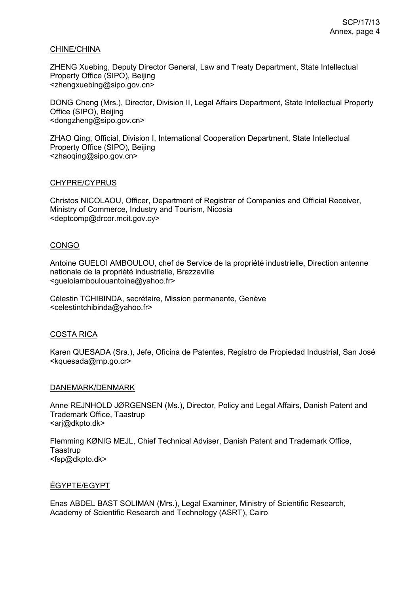### CHINE/CHINA

ZHENG Xuebing, Deputy Director General, Law and Treaty Department, State Intellectual Property Office (SIPO), Beijing <zhengxuebing@sipo.gov.cn>

DONG Cheng (Mrs.), Director, Division II, Legal Affairs Department, State Intellectual Property Office (SIPO), Beijing <dongzheng@sipo.gov.cn>

ZHAO Qing, Official, Division I, International Cooperation Department, State Intellectual Property Office (SIPO), Beijing <zhaoqing@sipo.gov.cn>

### CHYPRE/CYPRUS

Christos NICOLAOU, Officer, Department of Registrar of Companies and Official Receiver, Ministry of Commerce, Industry and Tourism, Nicosia <deptcomp@drcor.mcit.gov.cy>

### **CONGO**

Antoine GUELOI AMBOULOU, chef de Service de la propriété industrielle, Direction antenne nationale de la propriété industrielle, Brazzaville <gueloiamboulouantoine@yahoo.fr>

Célestin TCHIBINDA, secrétaire, Mission permanente, Genève <celestintchibinda@yahoo.fr>

## COSTA RICA

Karen QUESADA (Sra.), Jefe, Oficina de Patentes, Registro de Propiedad Industrial, San José <kquesada@rnp.go.cr>

#### DANEMARK/DENMARK

Anne REJNHOLD JØRGENSEN (Ms.), Director, Policy and Legal Affairs, Danish Patent and Trademark Office, Taastrup <arj@dkpto.dk>

Flemming KØNIG MEJL, Chief Technical Adviser, Danish Patent and Trademark Office, Taastrup <fsp@dkpto.dk>

## ÉGYPTE/EGYPT

Enas ABDEL BAST SOLIMAN (Mrs.), Legal Examiner, Ministry of Scientific Research, Academy of Scientific Research and Technology (ASRT), Cairo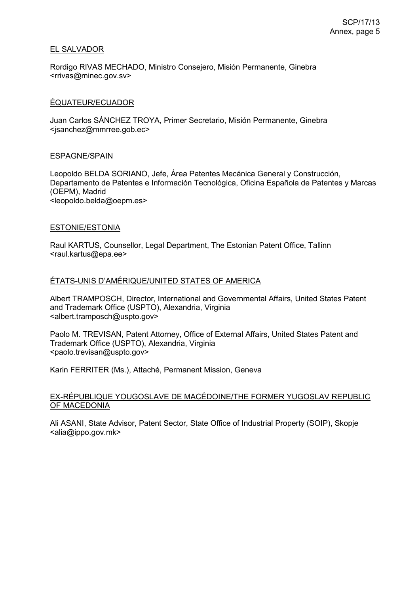### EL SALVADOR

Rordigo RIVAS MECHADO, Ministro Consejero, Misión Permanente, Ginebra <rrivas@minec.gov.sv>

## ÉQUATEUR/ECUADOR

Juan Carlos SÁNCHEZ TROYA, Primer Secretario, Misión Permanente, Ginebra <jsanchez@mmrree.gob.ec>

#### ESPAGNE/SPAIN

Leopoldo BELDA SORIANO, Jefe, Área Patentes Mecánica General y Construcción, Departamento de Patentes e Información Tecnológica, Oficina Española de Patentes y Marcas (OEPM), Madrid <leopoldo.belda@oepm.es>

### ESTONIE/ESTONIA

Raul KARTUS, Counsellor, Legal Department, The Estonian Patent Office, Tallinn <raul.kartus@epa.ee>

## ÉTATS-UNIS D'AMÉRIQUE/UNITED STATES OF AMERICA

Albert TRAMPOSCH, Director, International and Governmental Affairs, United States Patent and Trademark Office (USPTO), Alexandria, Virginia <albert.tramposch@uspto.gov>

Paolo M. TREVISAN, Patent Attorney, Office of External Affairs, United States Patent and Trademark Office (USPTO), Alexandria, Virginia <paolo.trevisan@uspto.gov>

Karin FERRITER (Ms.), Attaché, Permanent Mission, Geneva

### EX-RÉPUBLIQUE YOUGOSLAVE DE MACÉDOINE/THE FORMER YUGOSLAV REPUBLIC OF MACEDONIA

Ali ASANI, State Advisor, Patent Sector, State Office of Industrial Property (SOIP), Skopje <alia@ippo.gov.mk>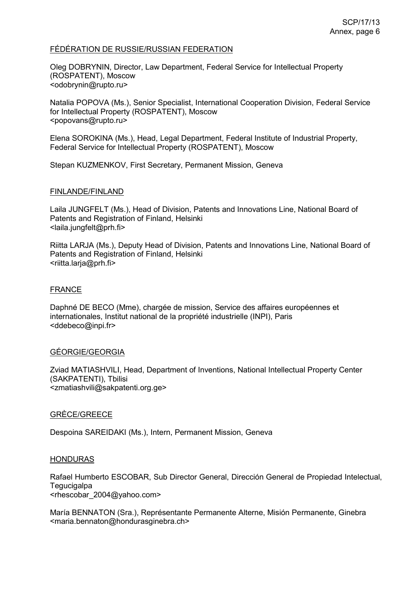### FÉDÉRATION DE RUSSIE/RUSSIAN FEDERATION

Oleg DOBRYNIN, Director, Law Department, Federal Service for Intellectual Property (ROSPATENT), Moscow <odobrynin@rupto.ru>

Natalia POPOVA (Ms.), Senior Specialist, International Cooperation Division, Federal Service for Intellectual Property (ROSPATENT), Moscow <popovans@rupto.ru>

Elena SOROKINA (Ms.), Head, Legal Department, Federal Institute of Industrial Property, Federal Service for Intellectual Property (ROSPATENT), Moscow

Stepan KUZMENKOV, First Secretary, Permanent Mission, Geneva

### FINLANDE/FINLAND

Laila JUNGFELT (Ms.), Head of Division, Patents and Innovations Line, National Board of Patents and Registration of Finland, Helsinki <laila.jungfelt@prh.fi>

Riitta LARJA (Ms.), Deputy Head of Division, Patents and Innovations Line, National Board of Patents and Registration of Finland, Helsinki <riitta.larja@prh.fi>

## FRANCE

Daphné DE BECO (Mme), chargée de mission, Service des affaires européennes et internationales, Institut national de la propriété industrielle (INPI), Paris <ddebeco@inpi.fr>

#### GÉORGIE/GEORGIA

Zviad MATIASHVILI, Head, Department of Inventions, National Intellectual Property Center (SAKPATENTI), Tbilisi <zmatiashvili@sakpatenti.org.ge>

#### GRÈCE/GREECE

Despoina SAREIDAKI (Ms.), Intern, Permanent Mission, Geneva

#### **HONDURAS**

Rafael Humberto ESCOBAR, Sub Director General, Dirección General de Propiedad Intelectual, **Tegucigalpa** <rhescobar 2004@yahoo.com>

María BENNATON (Sra.), Représentante Permanente Alterne, Misión Permanente, Ginebra <maria.bennaton@hondurasginebra.ch>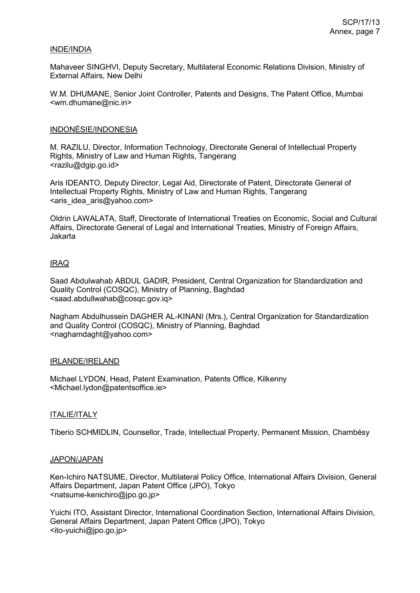### INDE/INDIA

Mahaveer SINGHVI, Deputy Secretary, Multilateral Economic Relations Division, Ministry of External Affairs, New Delhi

W.M. DHUMANE, Senior Joint Controller, Patents and Designs, The Patent Office, Mumbai <wm.dhumane@nic.in>

### INDONÉSIE/INDONESIA

M. RAZILU, Director, Information Technology, Directorate General of Intellectual Property Rights, Ministry of Law and Human Rights, Tangerang <razilu@dgip.go.id>

Aris IDEANTO, Deputy Director, Legal Aid, Directorate of Patent, Directorate General of Intellectual Property Rights, Ministry of Law and Human Rights, Tangerang <aris\_idea\_aris@yahoo.com>

Oldrin LAWALATA, Staff, Directorate of International Treaties on Economic, Social and Cultural Affairs, Directorate General of Legal and International Treaties, Ministry of Foreign Affairs, Jakarta

## IRAQ

Saad Abdulwahab ABDUL GADIR, President, Central Organization for Standardization and Quality Control (COSQC), Ministry of Planning, Baghdad <saad.abdullwahab@cosqc.gov.iq>

Nagham Abdulhussein DAGHER AL-KINANI (Mrs.), Central Organization for Standardization and Quality Control (COSQC), Ministry of Planning, Baghdad <naghamdaght@yahoo.com>

#### IRLANDE/IRELAND

Michael LYDON, Head, Patent Examination, Patents Office, Kilkenny <Michael.lydon@patentsoffice.ie>

#### ITALIE/ITALY

Tiberio SCHMIDLIN, Counsellor, Trade, Intellectual Property, Permanent Mission, Chambésy

#### JAPON/JAPAN

Ken-Ichiro NATSUME, Director, Multilateral Policy Office, International Affairs Division, General Affairs Department, Japan Patent Office (JPO), Tokyo <natsume-kenichiro@jpo.go.jp>

Yuichi ITO, Assistant Director, International Coordination Section, International Affairs Division, General Affairs Department, Japan Patent Office (JPO), Tokyo <ito-yuichi@jpo.go.jp>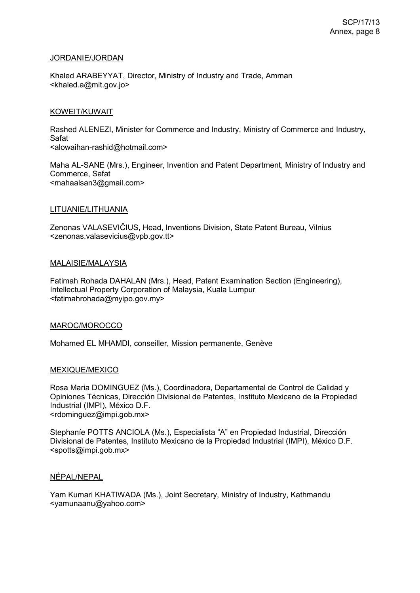### JORDANIE/JORDAN

Khaled ARABEYYAT, Director, Ministry of Industry and Trade, Amman <khaled.a@mit.gov.jo>

### KOWEIT/KUWAIT

Rashed ALENEZI, Minister for Commerce and Industry, Ministry of Commerce and Industry, Safat <alowaihan-rashid@hotmail.com>

Maha AL-SANE (Mrs.), Engineer, Invention and Patent Department, Ministry of Industry and Commerce, Safat <mahaalsan3@gmail.com>

### LITUANIE/LITHUANIA

Zenonas VALASEVIČIUS, Head, Inventions Division, State Patent Bureau, Vilnius <zenonas.valasevicius@vpb.gov.tt>

### MALAISIE/MALAYSIA

Fatimah Rohada DAHALAN (Mrs.), Head, Patent Examination Section (Engineering), Intellectual Property Corporation of Malaysia, Kuala Lumpur <fatimahrohada@myipo.gov.my>

#### MAROC/MOROCCO

Mohamed EL MHAMDI, conseiller, Mission permanente, Genève

## MEXIQUE/MEXICO

Rosa Maria DOMINGUEZ (Ms.), Coordinadora, Departamental de Control de Calidad y Opiniones Técnicas, Dirección Divisional de Patentes, Instituto Mexicano de la Propiedad Industrial (IMPI), México D.F. <rdominguez@impi.gob.mx>

Stephaníe POTTS ANCIOLA (Ms.), Especialista "A" en Propiedad Industrial, Dirección Divisional de Patentes, Instituto Mexicano de la Propiedad Industrial (IMPI), México D.F. <spotts@impi.gob.mx>

#### NÉPAL/NEPAL

Yam Kumari KHATIWADA (Ms.), Joint Secretary, Ministry of Industry, Kathmandu <yamunaanu@yahoo.com>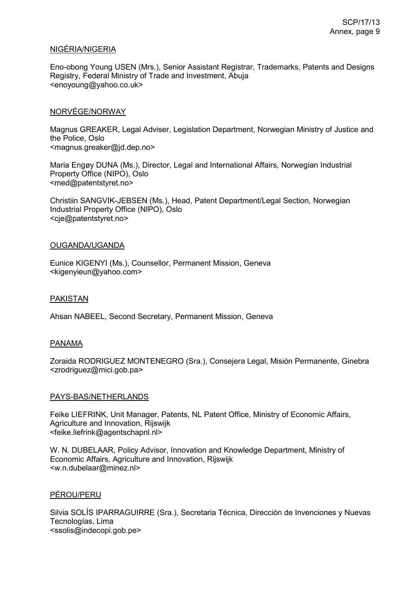## NIGÉRIA/NIGERIA

Eno-obong Young USEN (Mrs.), Senior Assistant Registrar, Trademarks, Patents and Designs Registry, Federal Ministry of Trade and Investment, Abuja <enoyoung@yahoo.co.uk>

### NORVÈGE/NORWAY

Magnus GREAKER, Legal Adviser, Legislation Department, Norwegian Ministry of Justice and the Police, Oslo <magnus.greaker@jd.dep.no>

Maria Engøy DUNA (Ms.), Director, Legal and International Affairs, Norwegian Industrial Property Office (NIPO), Oslo <med@patentstyret.no>

Christiin SANGVIK-JEBSEN (Ms.), Head, Patent Department/Legal Section, Norwegian Industrial Property Office (NIPO), Oslo <cje@patentstyret.no>

#### OUGANDA/UGANDA

Eunice KIGENYI (Ms.), Counsellor, Permanent Mission, Geneva <kigenyieun@yahoo.com>

#### PAKISTAN

Ahsan NABEEL, Second Secretary, Permanent Mission, Geneva

#### PANAMA

Zoraida RODRIGUEZ MONTENEGRO (Sra.), Consejera Legal, Misión Permanente, Ginebra <zrodriguez@mici.gob.pa>

#### PAYS-BAS/NETHERLANDS

Feike LIEFRINK, Unit Manager, Patents, NL Patent Office, Ministry of Economic Affairs, Agriculture and Innovation, Rijswijk <feike.liefrink@agentschapnl.nl>

W. N. DUBELAAR, Policy Advisor, Innovation and Knowledge Department, Ministry of Economic Affairs, Agriculture and Innovation, Rijswijk <w.n.dubelaar@minez.nl>

#### PÉROU/PERU

Silvia SOLÍS IPARRAGUIRRE (Sra.), Secretaria Técnica, Dirección de Invenciones y Nuevas Tecnologías, Lima <ssolis@indecopi.gob.pe>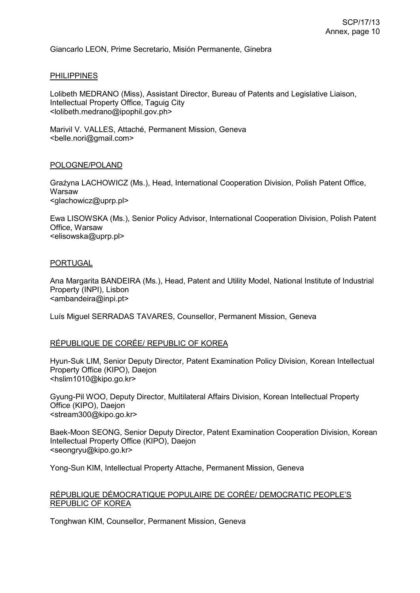Giancarlo LEON, Prime Secretario, Misión Permanente, Ginebra

### PHILIPPINES

Lolibeth MEDRANO (Miss), Assistant Director, Bureau of Patents and Legislative Liaison, Intellectual Property Office, Taguig City <lolibeth.medrano@ipophil.gov.ph>

Marivil V. VALLES, Attaché, Permanent Mission, Geneva <belle.nori@gmail.com>

#### POLOGNE/POLAND

Graźyna LACHOWICZ (Ms.), Head, International Cooperation Division, Polish Patent Office, Warsaw <glachowicz@uprp.pl>

Ewa LISOWSKA (Ms.), Senior Policy Advisor, International Cooperation Division, Polish Patent Office, Warsaw <elisowska@uprp.pl>

### PORTUGAL

Ana Margarita BANDEIRA (Ms.), Head, Patent and Utility Model, National Institute of Industrial Property (INPI), Lisbon <ambandeira@inpi.pt>

Luís Miguel SERRADAS TAVARES, Counsellor, Permanent Mission, Geneva

## RÉPUBLIQUE DE CORÉE/ REPUBLIC OF KOREA

Hyun-Suk LIM, Senior Deputy Director, Patent Examination Policy Division, Korean Intellectual Property Office (KIPO), Daejon <hslim1010@kipo.go.kr>

Gyung-Pil WOO, Deputy Director, Multilateral Affairs Division, Korean Intellectual Property Office (KIPO), Daejon <stream300@kipo.go.kr>

Baek-Moon SEONG, Senior Deputy Director, Patent Examination Cooperation Division, Korean Intellectual Property Office (KIPO), Daejon <seongryu@kipo.go.kr>

Yong-Sun KIM, Intellectual Property Attache, Permanent Mission, Geneva

## RÉPUBLIQUE DÉMOCRATIQUE POPULAIRE DE CORÉE/ DEMOCRATIC PEOPLE'S REPUBLIC OF KOREA

Tonghwan KIM, Counsellor, Permanent Mission, Geneva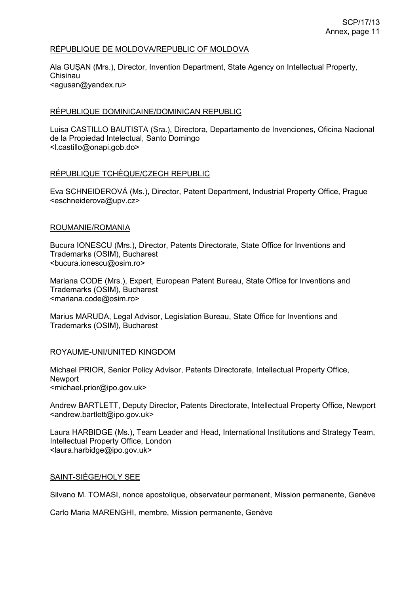## RÉPUBLIQUE DE MOLDOVA/REPUBLIC OF MOLDOVA

Ala GUŞAN (Mrs.), Director, Invention Department, State Agency on Intellectual Property, Chisinau <agusan@yandex.ru>

### RÉPUBLIQUE DOMINICAINE/DOMINICAN REPUBLIC

Luisa CASTILLO BAUTISTA (Sra.), Directora, Departamento de Invenciones, Oficina Nacional de la Propiedad Intelectual, Santo Domingo <l.castillo@onapi.gob.do>

### RÉPUBLIQUE TCHÈQUE/CZECH REPUBLIC

Eva SCHNEIDEROVÁ (Ms.), Director, Patent Department, Industrial Property Office, Prague <eschneiderova@upv.cz>

#### ROUMANIE/ROMANIA

Bucura IONESCU (Mrs.), Director, Patents Directorate, State Office for Inventions and Trademarks (OSIM), Bucharest <bucura.ionescu@osim.ro>

Mariana CODE (Mrs.), Expert, European Patent Bureau, State Office for Inventions and Trademarks (OSIM), Bucharest <mariana.code@osim.ro>

Marius MARUDA, Legal Advisor, Legislation Bureau, State Office for Inventions and Trademarks (OSIM), Bucharest

#### ROYAUME-UNI/UNITED KINGDOM

Michael PRIOR, Senior Policy Advisor, Patents Directorate, Intellectual Property Office, **Newport** <michael.prior@ipo.gov.uk>

Andrew BARTLETT, Deputy Director, Patents Directorate, Intellectual Property Office, Newport <andrew.bartlett@ipo.gov.uk>

Laura HARBIDGE (Ms.), Team Leader and Head, International Institutions and Strategy Team, Intellectual Property Office, London <laura.harbidge@ipo.gov.uk>

#### SAINT-SIÈGE/HOLY SEE

Silvano M. TOMASI, nonce apostolique, observateur permanent, Mission permanente, Genève

Carlo Maria MARENGHI, membre, Mission permanente, Genève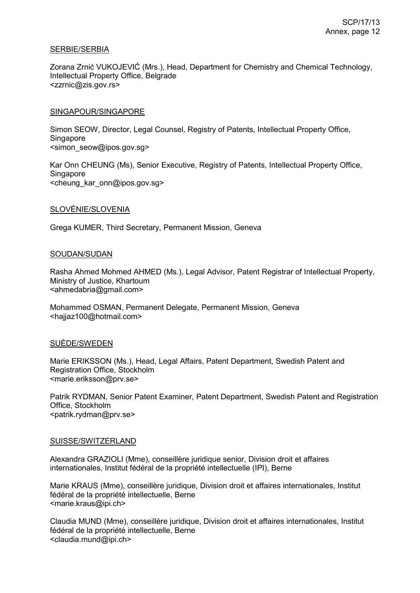## SERBIE/SERBIA

Zorana Zrnić VUKOJEVIĆ (Mrs.), Head, Department for Chemistry and Chemical Technology, Intellectual Property Office, Belgrade <zzrnic@zis.gov.rs>

### SINGAPOUR/SINGAPORE

Simon SEOW, Director, Legal Counsel, Registry of Patents, Intellectual Property Office, **Singapore** <simon\_seow@ipos.gov.sg>

Kar Onn CHEUNG (Ms), Senior Executive, Registry of Patents, Intellectual Property Office, **Singapore** <cheung\_kar\_onn@ipos.gov.sg>

### SLOVÉNIE/SLOVENIA

Grega KUMER, Third Secretary, Permanent Mission, Geneva

### SOUDAN/SUDAN

Rasha Ahmed Mohmed AHMED (Ms.), Legal Advisor, Patent Registrar of Intellectual Property, Ministry of Justice, Khartoum <ahmedabria@gmail.com>

Mohammed OSMAN, Permanent Delegate, Permanent Mission, Geneva <hajjaz100@hotmail.com>

#### SUÈDE/SWEDEN

Marie ERIKSSON (Ms.), Head, Legal Affairs, Patent Department, Swedish Patent and Registration Office, Stockholm <marie.eriksson@prv.se>

Patrik RYDMAN, Senior Patent Examiner, Patent Department, Swedish Patent and Registration Office, Stockholm <patrik.rydman@prv.se>

#### SUISSE/SWITZERLAND

Alexandra GRAZIOLI (Mme), conseillère juridique senior, Division droit et affaires internationales, Institut fédéral de la propriété intellectuelle (IPI), Berne

Marie KRAUS (Mme), conseillère juridique, Division droit et affaires internationales, Institut fédéral de la propriété intellectuelle, Berne <marie.kraus@ipi.ch>

Claudia MUND (Mme), conseillère juridique, Division droit et affaires internationales, Institut fédéral de la propriété intellectuelle, Berne <claudia.mund@ipi.ch>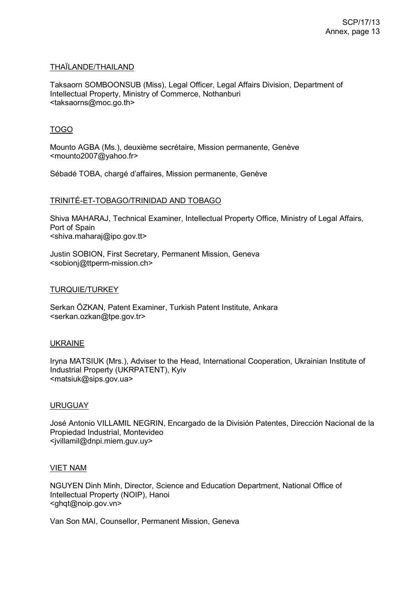### THAÏLANDE/THAILAND

Taksaorn SOMBOONSUB (Miss), Legal Officer, Legal Affairs Division, Department of Intellectual Property, Ministry of Commerce, Nothanburi <taksaorns@moc.go.th>

## TOGO

Mounto AGBA (Ms.), deuxième secrétaire, Mission permanente, Genève <mounto2007@yahoo.fr>

Sébadé TOBA, chargé d'affaires, Mission permanente, Genève

### TRINITÉ-ET-TOBAGO/TRINIDAD AND TOBAGO

Shiva MAHARAJ, Technical Examiner, Intellectual Property Office, Ministry of Legal Affairs, Port of Spain <shiva.maharaj@ipo.gov.tt>

Justin SOBION, First Secretary, Permanent Mission, Geneva <sobionj@ttperm-mission.ch>

### TURQUIE/TURKEY

Serkan ÖZKAN, Patent Examiner, Turkish Patent Institute, Ankara <serkan.ozkan@tpe.gov.tr>

#### UKRAINE

Iryna MATSIUK (Mrs.), Adviser to the Head, International Cooperation, Ukrainian Institute of Industrial Property (UKRPATENT), Kyiv <matsiuk@sips.gov.ua>

#### URUGUAY

José Antonio VILLAMIL NEGRIN, Encargado de la División Patentes, Dirección Nacional de la Propiedad Industrial, Montevideo <jvillamil@dnpi.miem.guv.uy>

#### VIET NAM

NGUYEN Dinh Minh, Director, Science and Education Department, National Office of Intellectual Property (NOIP), Hanoi <ghqt@noip.gov.vn>

Van Son MAI, Counsellor, Permanent Mission, Geneva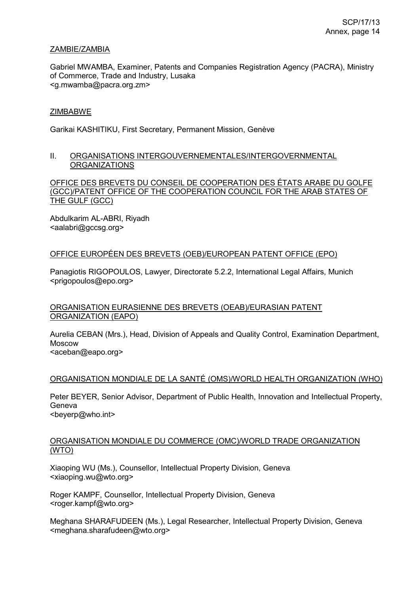## ZAMBIE/ZAMBIA

Gabriel MWAMBA, Examiner, Patents and Companies Registration Agency (PACRA), Ministry of Commerce, Trade and Industry, Lusaka <g.mwamba@pacra.org.zm>

## ZIMBABWE

Garikai KASHITIKU, First Secretary, Permanent Mission, Genève

## II. ORGANISATIONS INTERGOUVERNEMENTALES/INTERGOVERNMENTAL ORGANIZATIONS

OFFICE DES BREVETS DU CONSEIL DE COOPERATION DES ÉTATS ARABE DU GOLFE (GCC)/PATENT OFFICE OF THE COOPERATION COUNCIL FOR THE ARAB STATES OF THE GULF (GCC)

Abdulkarim AL-ABRI, Riyadh <aalabri@gccsg.org>

## OFFICE EUROPÉEN DES BREVETS (OEB)/EUROPEAN PATENT OFFICE (EPO)

Panagiotis RIGOPOULOS, Lawyer, Directorate 5.2.2, International Legal Affairs, Munich <prigopoulos@epo.org>

## ORGANISATION EURASIENNE DES BREVETS (OEAB)/EURASIAN PATENT ORGANIZATION (EAPO)

Aurelia CEBAN (Mrs.), Head, Division of Appeals and Quality Control, Examination Department, Moscow

<aceban@eapo.org>

## ORGANISATION MONDIALE DE LA SANTÉ (OMS)/WORLD HEALTH ORGANIZATION (WHO)

Peter BEYER, Senior Advisor, Department of Public Health, Innovation and Intellectual Property, Geneva <beyerp@who.int>

## ORGANISATION MONDIALE DU COMMERCE (OMC)/WORLD TRADE ORGANIZATION (WTO)

Xiaoping WU (Ms.), Counsellor, Intellectual Property Division, Geneva <xiaoping.wu@wto.org>

Roger KAMPF, Counsellor, Intellectual Property Division, Geneva <roger.kampf@wto.org>

Meghana SHARAFUDEEN (Ms.), Legal Researcher, Intellectual Property Division, Geneva <meghana.sharafudeen@wto.org>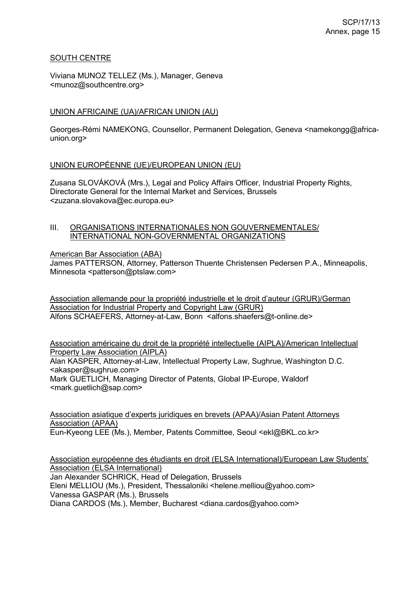## SOUTH CENTRE

Viviana MUNOZ TELLEZ (Ms.), Manager, Geneva <munoz@southcentre.org>

## UNION AFRICAINE (UA)/AFRICAN UNION (AU)

Georges-Rémi NAMEKONG, Counsellor, Permanent Delegation, Geneva <namekongg@africaunion.org>

### UNION EUROPÉENNE (UE)/EUROPEAN UNION (EU)

Zusana SLOVÁKOVÁ (Mrs.), Legal and Policy Affairs Officer, Industrial Property Rights, Directorate General for the Internal Market and Services, Brussels <zuzana.slovakova@ec.europa.eu>

### III. ORGANISATIONS INTERNATIONALES NON GOUVERNEMENTALES/ INTERNATIONAL NON-GOVERNMENTAL ORGANIZATIONS

American Bar Association (ABA)

James PATTERSON, Attorney, Patterson Thuente Christensen Pedersen P.A., Minneapolis, Minnesota <patterson@ptslaw.com>

Association allemande pour la propriété industrielle et le droit d'auteur (GRUR)/German Association for Industrial Property and Copyright Law (GRUR) Alfons SCHAEFERS, Attorney-at-Law, Bonn <alfons.shaefers@t-online.de>

Association américaine du droit de la propriété intellectuelle (AIPLA)/American Intellectual Property Law Association (AIPLA)

Alan KASPER, Attorney-at-Law, Intellectual Property Law, Sughrue, Washington D.C. <akasper@sughrue.com> Mark GUETLICH, Managing Director of Patents, Global IP-Europe, Waldorf <mark.guetlich@sap.com>

Association asiatique d'experts juridiques en brevets (APAA)/Asian Patent Attorneys Association (APAA)

Eun-Kyeong LEE (Ms.), Member, Patents Committee, Seoul <ekl@BKL.co.kr>

Association européenne des étudiants en droit (ELSA International)/European Law Students' Association (ELSA International)

Jan Alexander SCHRICK, Head of Delegation, Brussels Eleni MELLIOU (Ms.), President, Thessaloniki <helene.melliou@yahoo.com> Vanessa GASPAR (Ms.), Brussels

Diana CARDOS (Ms.), Member, Bucharest <diana.cardos@yahoo.com>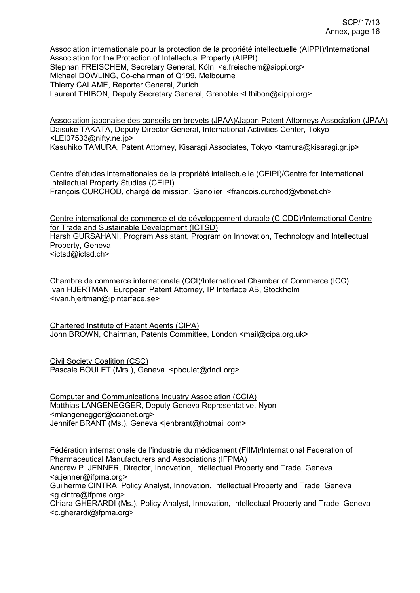Association internationale pour la protection de la propriété intellectuelle (AIPPI)/International Association for the Protection of Intellectual Property (AIPPI) Stephan FREISCHEM, Secretary General, Köln <s.freischem@aippi.org> Michael DOWLING, Co-chairman of Q199, Melbourne Thierry CALAME, Reporter General, Zurich Laurent THIBON, Deputy Secretary General, Grenoble <l.thibon@aippi.org>

Association japonaise des conseils en brevets (JPAA)/Japan Patent Attorneys Association (JPAA) Daisuke TAKATA, Deputy Director General, International Activities Center, Tokyo <LEI07533@nifty.ne.jp>

Kasuhiko TAMURA, Patent Attorney, Kisaragi Associates, Tokyo <tamura@kisaragi.gr.jp>

Centre d'études internationales de la propriété intellectuelle (CEIPI)/Centre for International Intellectual Property Studies (CEIPI) François CURCHOD, chargé de mission, Genolier <francois.curchod@vtxnet.ch>

Centre international de commerce et de développement durable (CICDD)/International Centre for Trade and Sustainable Development (ICTSD)

Harsh GURSAHANI, Program Assistant, Program on Innovation, Technology and Intellectual Property, Geneva <ictsd@ictsd.ch>

Chambre de commerce internationale (CCI)/International Chamber of Commerce (ICC) Ivan HJERTMAN, European Patent Attorney, IP Interface AB, Stockholm <ivan.hjertman@ipinterface.se>

Chartered Institute of Patent Agents (CIPA) John BROWN, Chairman, Patents Committee, London <mail@cipa.org.uk>

Civil Society Coalition (CSC) Pascale BOULET (Mrs.), Geneva <pboulet@dndi.org>

Computer and Communications Industry Association (CCIA) Matthias LANGENEGGER, Deputy Geneva Representative, Nyon <mlangenegger@ccianet.org> Jennifer BRANT (Ms.), Geneva <jenbrant@hotmail.com>

Fédération internationale de l'industrie du médicament (FIIM)/International Federation of Pharmaceutical Manufacturers and Associations (IFPMA)

Andrew P. JENNER, Director, Innovation, Intellectual Property and Trade, Geneva <a.jenner@ifpma.org>

Guilherme CINTRA, Policy Analyst, Innovation, Intellectual Property and Trade, Geneva <g.cintra@ifpma.org>

Chiara GHERARDI (Ms.), Policy Analyst, Innovation, Intellectual Property and Trade, Geneva <c.gherardi@ifpma.org>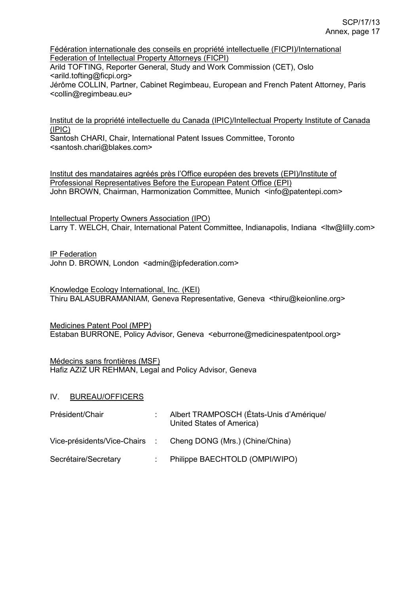Fédération internationale des conseils en propriété intellectuelle (FICPI)/International Federation of Intellectual Property Attorneys (FICPI)

Arild TOFTING, Reporter General, Study and Work Commission (CET), Oslo <arild.tofting@ficpi.org>

Jérôme COLLIN, Partner, Cabinet Regimbeau, European and French Patent Attorney, Paris <collin@regimbeau.eu>

Institut de la propriété intellectuelle du Canada (IPIC)/Intellectual Property Institute of Canada (IPIC)

Santosh CHARI, Chair, International Patent Issues Committee, Toronto <santosh.chari@blakes.com>

Institut des mandataires agréés près l'Office européen des brevets (EPI)/Institute of Professional Representatives Before the European Patent Office (EPI) John BROWN, Chairman, Harmonization Committee, Munich <info@patentepi.com>

Intellectual Property Owners Association (IPO)

Larry T. WELCH, Chair, International Patent Committee, Indianapolis, Indiana <ltw@lilly.com>

IP Federation

John D. BROWN, London <admin@ipfederation.com>

Knowledge Ecology International, Inc. (KEI) Thiru BALASUBRAMANIAM, Geneva Representative, Geneva <thiru@keionline.org>

Medicines Patent Pool (MPP) Estaban BURRONE, Policy Advisor, Geneva <eburrone@medicinespatentpool.org>

Médecins sans frontières (MSF) Hafiz AZIZ UR REHMAN, Legal and Policy Advisor, Geneva

## IV. BUREAU/OFFICERS

| Président/Chair      | Albert TRAMPOSCH (États-Unis d'Amérique/<br>United States of America) |
|----------------------|-----------------------------------------------------------------------|
|                      | Vice-présidents/Vice-Chairs : Cheng DONG (Mrs.) (Chine/China)         |
| Secrétaire/Secretary | Philippe BAECHTOLD (OMPI/WIPO)                                        |